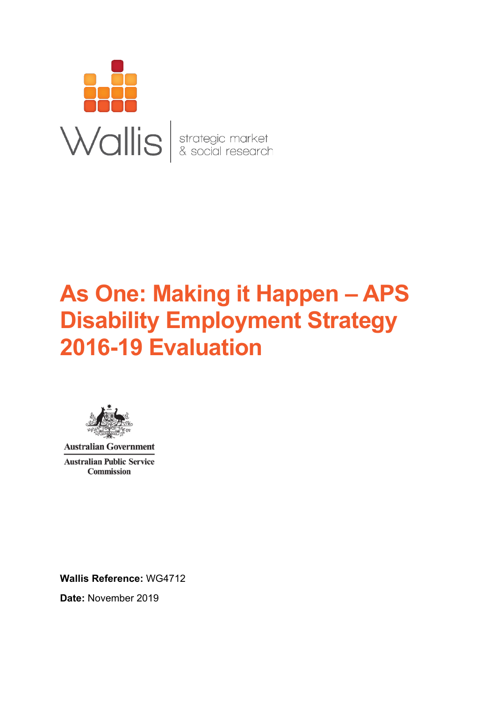

# **As One: Making it Happen – APS Disability Employment Strategy 2016-19 Evaluation**



**Australian Government Australian Public Service Commission** 

**Wallis Reference:** WG4712

**Date:** November 2019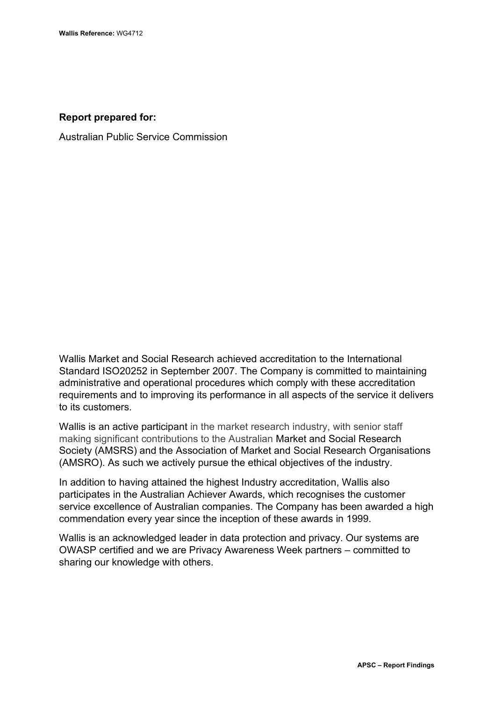#### **Report prepared for:**

Australian Public Service Commission

Wallis Market and Social Research achieved accreditation to the International Standard ISO20252 in September 2007. The Company is committed to maintaining administrative and operational procedures which comply with these accreditation requirements and to improving its performance in all aspects of the service it delivers to its customers.

Wallis is an active participant in the market research industry, with senior staff making significant contributions to the Australian Market and Social Research Society (AMSRS) and the Association of Market and Social Research Organisations (AMSRO). As such we actively pursue the ethical objectives of the industry.

In addition to having attained the highest Industry accreditation, Wallis also participates in the Australian Achiever Awards, which recognises the customer service excellence of Australian companies. The Company has been awarded a high commendation every year since the inception of these awards in 1999.

Wallis is an acknowledged leader in data protection and privacy. Our systems are OWASP certified and we are Privacy Awareness Week partners – committed to sharing our knowledge with others.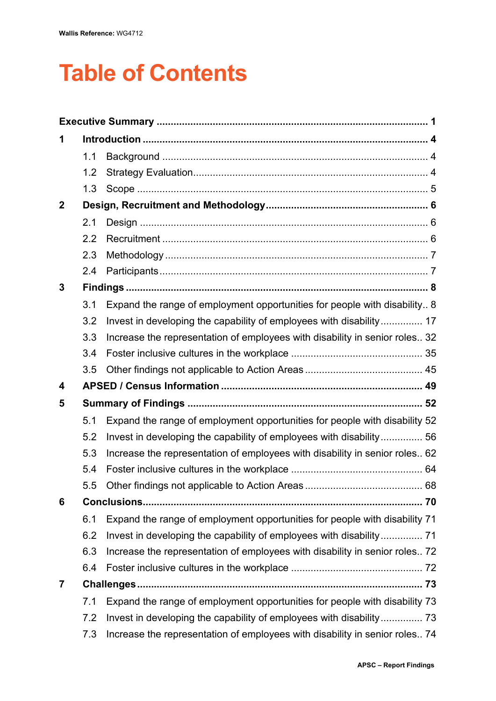# **Table of Contents**

| 1            |     |                                                                             |    |  |
|--------------|-----|-----------------------------------------------------------------------------|----|--|
|              | 1.1 |                                                                             |    |  |
|              | 1.2 |                                                                             |    |  |
|              | 1.3 |                                                                             |    |  |
| $\mathbf{2}$ |     |                                                                             |    |  |
|              | 2.1 |                                                                             |    |  |
|              | 2.2 |                                                                             |    |  |
|              | 2.3 |                                                                             |    |  |
|              | 2.4 |                                                                             |    |  |
| 3            |     |                                                                             |    |  |
|              | 3.1 | Expand the range of employment opportunities for people with disability 8   |    |  |
|              | 3.2 | Invest in developing the capability of employees with disability 17         |    |  |
|              | 3.3 | Increase the representation of employees with disability in senior roles 32 |    |  |
|              | 3.4 |                                                                             |    |  |
|              | 3.5 |                                                                             |    |  |
|              |     |                                                                             |    |  |
| 4            |     |                                                                             |    |  |
| 5            |     |                                                                             |    |  |
|              | 5.1 | Expand the range of employment opportunities for people with disability 52  |    |  |
|              | 5.2 | Invest in developing the capability of employees with disability 56         |    |  |
|              | 5.3 | Increase the representation of employees with disability in senior roles 62 |    |  |
|              | 5.4 |                                                                             |    |  |
|              | 5.5 | Other findings not applicable to Action Areas.                              | 68 |  |
| 6            |     |                                                                             |    |  |
|              | 6.1 | Expand the range of employment opportunities for people with disability 71  |    |  |
|              | 6.2 | Invest in developing the capability of employees with disability 71         |    |  |
|              | 6.3 | Increase the representation of employees with disability in senior roles 72 |    |  |
|              | 6.4 |                                                                             |    |  |
| 7            |     |                                                                             |    |  |
|              | 7.1 | Expand the range of employment opportunities for people with disability 73  |    |  |
|              | 7.2 | Invest in developing the capability of employees with disability 73         |    |  |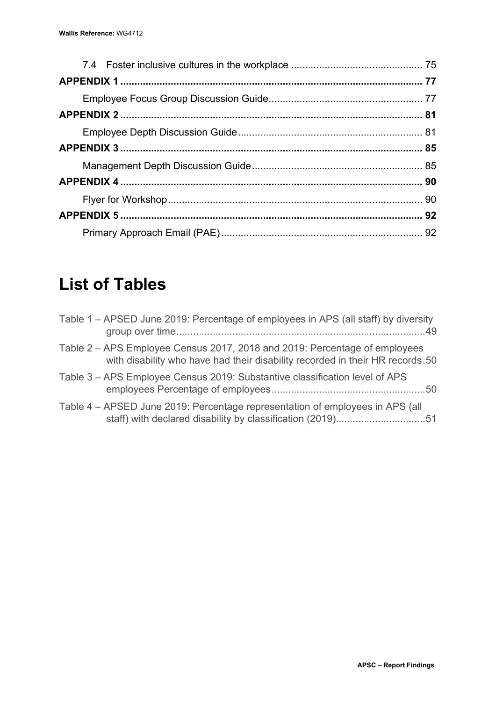# **List of Tables**

| Table 1 – APSED June 2019: Percentage of employees in APS (all staff) by diversity                                                                          | 49 |
|-------------------------------------------------------------------------------------------------------------------------------------------------------------|----|
| Table 2 – APS Employee Census 2017, 2018 and 2019: Percentage of employees<br>with disability who have had their disability recorded in their HR records.50 |    |
| Table 3 – APS Employee Census 2019: Substantive classification level of APS                                                                                 |    |
| Table 4 – APSED June 2019: Percentage representation of employees in APS (all<br>staff) with declared disability by classification (2019)51                 |    |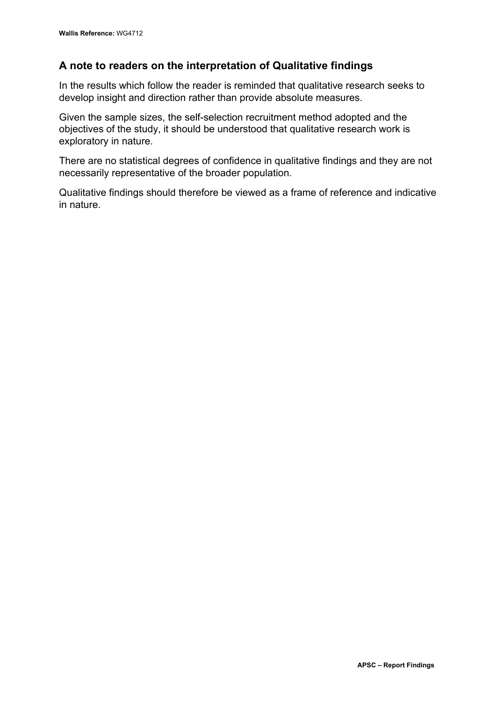### **A note to readers on the interpretation of Qualitative findings**

In the results which follow the reader is reminded that qualitative research seeks to develop insight and direction rather than provide absolute measures.

Given the sample sizes, the self-selection recruitment method adopted and the objectives of the study, it should be understood that qualitative research work is exploratory in nature.

There are no statistical degrees of confidence in qualitative findings and they are not necessarily representative of the broader population.

Qualitative findings should therefore be viewed as a frame of reference and indicative in nature.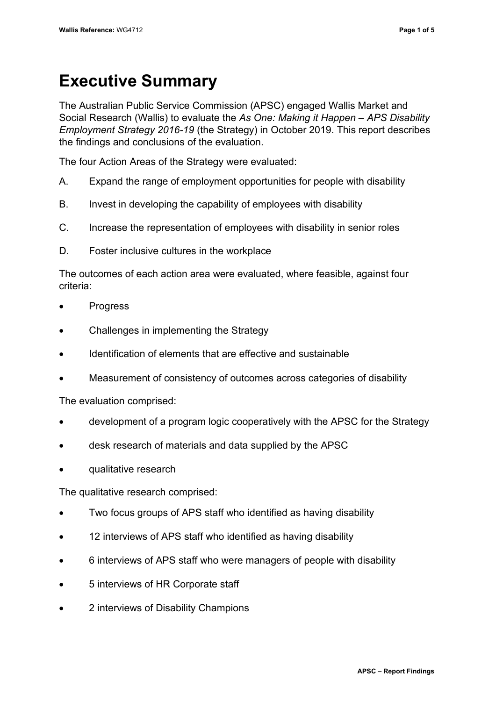# <span id="page-5-0"></span>**Executive Summary**

The Australian Public Service Commission (APSC) engaged Wallis Market and Social Research (Wallis) to evaluate the *As One: Making it Happen – APS Disability Employment Strategy 2016-19* (the Strategy) in October 2019. This report describes the findings and conclusions of the evaluation.

The four Action Areas of the Strategy were evaluated:

- A. Expand the range of employment opportunities for people with disability
- B. Invest in developing the capability of employees with disability
- C. Increase the representation of employees with disability in senior roles
- D. Foster inclusive cultures in the workplace

The outcomes of each action area were evaluated, where feasible, against four criteria:

- Progress
- Challenges in implementing the Strategy
- Identification of elements that are effective and sustainable
- Measurement of consistency of outcomes across categories of disability

The evaluation comprised:

- development of a program logic cooperatively with the APSC for the Strategy
- desk research of materials and data supplied by the APSC
- qualitative research

The qualitative research comprised:

- Two focus groups of APS staff who identified as having disability
- 12 interviews of APS staff who identified as having disability
- 6 interviews of APS staff who were managers of people with disability
- 5 interviews of HR Corporate staff
- 2 interviews of Disability Champions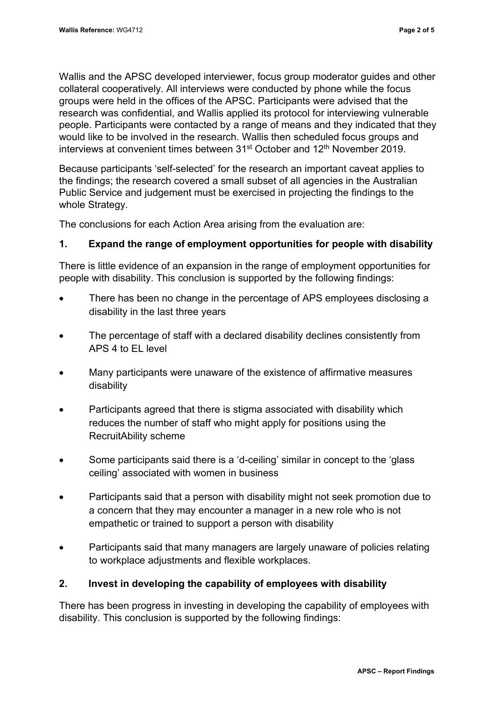Wallis and the APSC developed interviewer, focus group moderator guides and other collateral cooperatively. All interviews were conducted by phone while the focus groups were held in the offices of the APSC. Participants were advised that the research was confidential, and Wallis applied its protocol for interviewing vulnerable people. Participants were contacted by a range of means and they indicated that they would like to be involved in the research. Wallis then scheduled focus groups and interviews at convenient times between 31<sup>st</sup> October and 12<sup>th</sup> November 2019.

Because participants 'self-selected' for the research an important caveat applies to the findings; the research covered a small subset of all agencies in the Australian Public Service and judgement must be exercised in projecting the findings to the whole Strategy.

The conclusions for each Action Area arising from the evaluation are:

#### **1. Expand the range of employment opportunities for people with disability**

There is little evidence of an expansion in the range of employment opportunities for people with disability. This conclusion is supported by the following findings:

- There has been no change in the percentage of APS employees disclosing a disability in the last three years
- The percentage of staff with a declared disability declines consistently from APS 4 to EL level
- Many participants were unaware of the existence of affirmative measures disability
- Participants agreed that there is stigma associated with disability which reduces the number of staff who might apply for positions using the RecruitAbility scheme
- Some participants said there is a 'd-ceiling' similar in concept to the 'glass ceiling' associated with women in business
- Participants said that a person with disability might not seek promotion due to a concern that they may encounter a manager in a new role who is not empathetic or trained to support a person with disability
- Participants said that many managers are largely unaware of policies relating to workplace adjustments and flexible workplaces.

#### **2. Invest in developing the capability of employees with disability**

There has been progress in investing in developing the capability of employees with disability. This conclusion is supported by the following findings: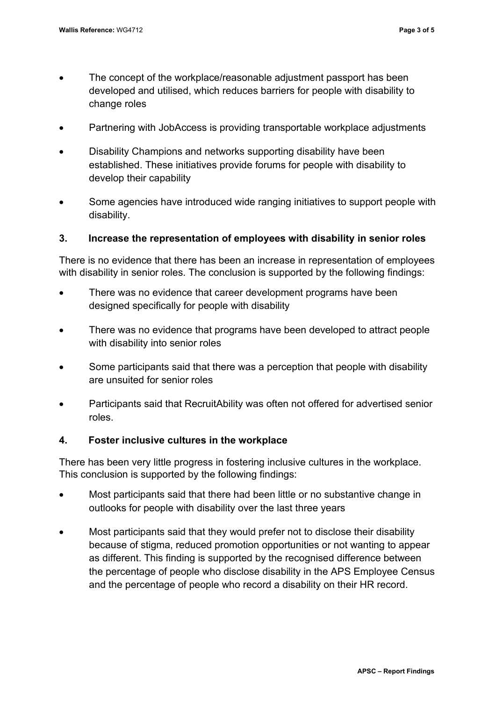- The concept of the workplace/reasonable adjustment passport has been developed and utilised, which reduces barriers for people with disability to change roles
- Partnering with JobAccess is providing transportable workplace adjustments
- Disability Champions and networks supporting disability have been established. These initiatives provide forums for people with disability to develop their capability
- Some agencies have introduced wide ranging initiatives to support people with disability.

#### **3. Increase the representation of employees with disability in senior roles**

There is no evidence that there has been an increase in representation of employees with disability in senior roles. The conclusion is supported by the following findings:

- There was no evidence that career development programs have been designed specifically for people with disability
- There was no evidence that programs have been developed to attract people with disability into senior roles
- Some participants said that there was a perception that people with disability are unsuited for senior roles
- Participants said that RecruitAbility was often not offered for advertised senior roles.

#### **4. Foster inclusive cultures in the workplace**

There has been very little progress in fostering inclusive cultures in the workplace. This conclusion is supported by the following findings:

- Most participants said that there had been little or no substantive change in outlooks for people with disability over the last three years
- Most participants said that they would prefer not to disclose their disability because of stigma, reduced promotion opportunities or not wanting to appear as different. This finding is supported by the recognised difference between the percentage of people who disclose disability in the APS Employee Census and the percentage of people who record a disability on their HR record.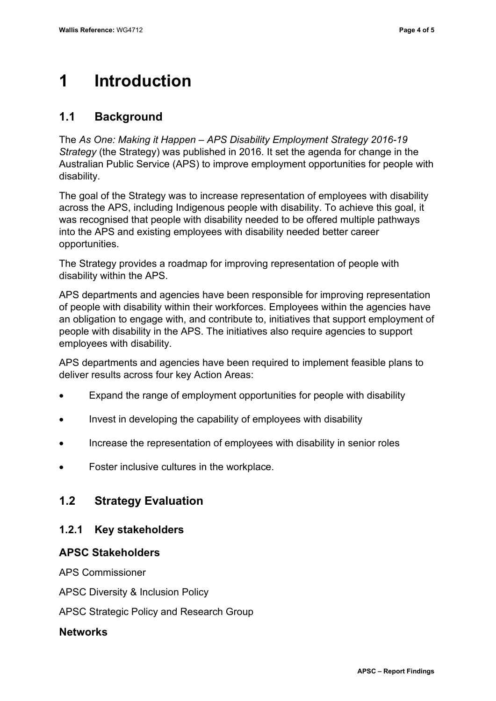# <span id="page-8-0"></span>**1 Introduction**

# <span id="page-8-1"></span>**1.1 Background**

The *As One: Making it Happen – APS Disability Employment Strategy 2016-19 Strategy* (the Strategy) was published in 2016. It set the agenda for change in the Australian Public Service (APS) to improve employment opportunities for people with disability.

The goal of the Strategy was to increase representation of employees with disability across the APS, including Indigenous people with disability. To achieve this goal, it was recognised that people with disability needed to be offered multiple pathways into the APS and existing employees with disability needed better career opportunities.

The Strategy provides a roadmap for improving representation of people with disability within the APS.

APS departments and agencies have been responsible for improving representation of people with disability within their workforces. Employees within the agencies have an obligation to engage with, and contribute to, initiatives that support employment of people with disability in the APS. The initiatives also require agencies to support employees with disability.

APS departments and agencies have been required to implement feasible plans to deliver results across four key Action Areas:

- Expand the range of employment opportunities for people with disability
- Invest in developing the capability of employees with disability
- Increase the representation of employees with disability in senior roles
- Foster inclusive cultures in the workplace.

## <span id="page-8-2"></span>**1.2 Strategy Evaluation**

#### **1.2.1 Key stakeholders**

#### **APSC Stakeholders**

APS Commissioner

APSC Diversity & Inclusion Policy

APSC Strategic Policy and Research Group

#### **Networks**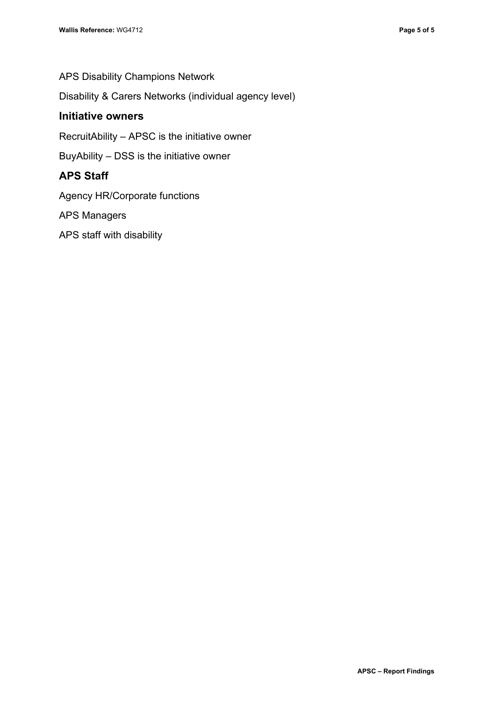APS Disability Champions Network

Disability & Carers Networks (individual agency level)

#### **Initiative owners**

RecruitAbility – APSC is the initiative owner

BuyAbility – DSS is the initiative owner

#### **APS Staff**

Agency HR/Corporate functions

APS Managers

APS staff with disability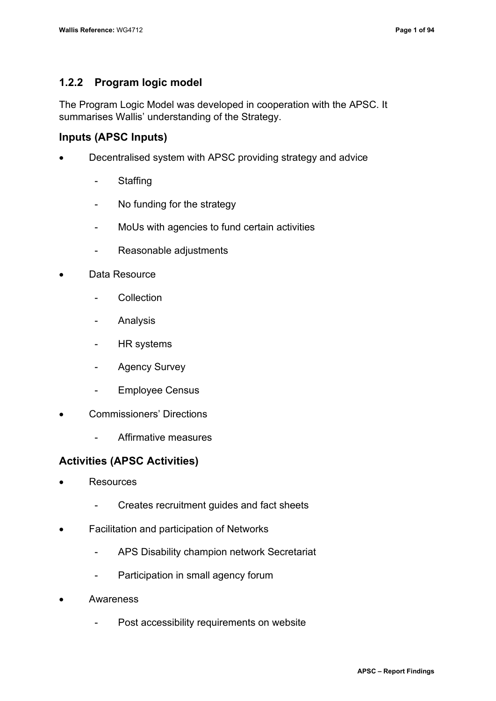#### **1.2.2 Program logic model**

The Program Logic Model was developed in cooperation with the APSC. It summarises Wallis' understanding of the Strategy.

#### **Inputs (APSC Inputs)**

- Decentralised system with APSC providing strategy and advice
	- Staffing
	- No funding for the strategy
	- MoUs with agencies to fund certain activities
	- Reasonable adjustments
- Data Resource
	- **Collection**
	- Analysis
	- HR systems
	- Agency Survey
	- Employee Census
- Commissioners' Directions
	- Affirmative measures

#### **Activities (APSC Activities)**

- **Resources** 
	- Creates recruitment guides and fact sheets
- Facilitation and participation of Networks
	- APS Disability champion network Secretariat
	- Participation in small agency forum
- **Awareness** 
	- Post accessibility requirements on website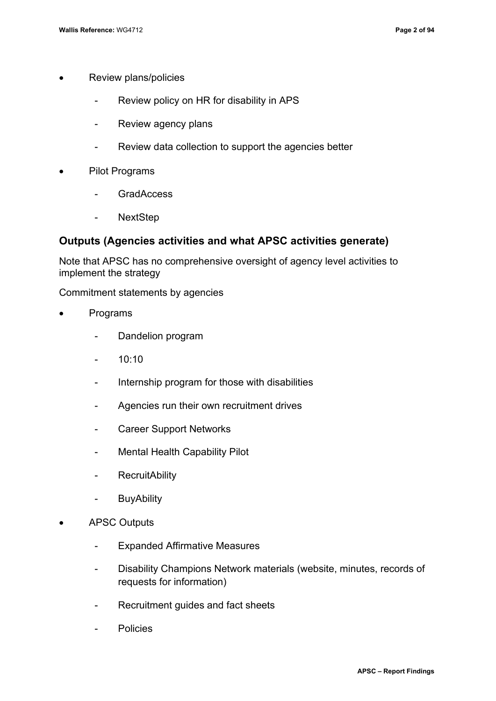- Review plans/policies
	- Review policy on HR for disability in APS
	- Review agency plans
	- Review data collection to support the agencies better
- Pilot Programs
	- GradAccess
	- NextStep

#### **Outputs (Agencies activities and what APSC activities generate)**

Note that APSC has no comprehensive oversight of agency level activities to implement the strategy

Commitment statements by agencies

- Programs
	- Dandelion program
	- 10:10
	- Internship program for those with disabilities
	- Agencies run their own recruitment drives
	- Career Support Networks
	- Mental Health Capability Pilot
	- RecruitAbility
	- BuyAbility
- APSC Outputs
	- Expanded Affirmative Measures
	- Disability Champions Network materials (website, minutes, records of requests for information)
	- Recruitment guides and fact sheets
	- Policies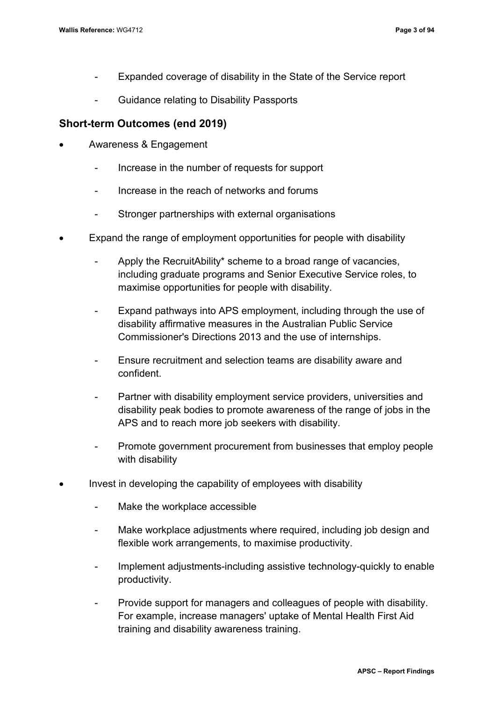- Expanded coverage of disability in the State of the Service report
- Guidance relating to Disability Passports

#### **Short-term Outcomes (end 2019)**

- Awareness & Engagement
	- Increase in the number of requests for support
	- Increase in the reach of networks and forums
	- Stronger partnerships with external organisations
- Expand the range of employment opportunities for people with disability
	- Apply the RecruitAbility\* scheme to a broad range of vacancies, including graduate programs and Senior Executive Service roles, to maximise opportunities for people with disability.
	- Expand pathways into APS employment, including through the use of disability affirmative measures in the Australian Public Service Commissioner's Directions 2013 and the use of internships.
	- Ensure recruitment and selection teams are disability aware and confident.
	- Partner with disability employment service providers, universities and disability peak bodies to promote awareness of the range of jobs in the APS and to reach more job seekers with disability.
	- Promote government procurement from businesses that employ people with disability
- Invest in developing the capability of employees with disability
	- Make the workplace accessible
	- Make workplace adjustments where required, including job design and flexible work arrangements, to maximise productivity.
	- Implement adjustments-including assistive technology-quickly to enable productivity.
	- Provide support for managers and colleagues of people with disability. For example, increase managers' uptake of Mental Health First Aid training and disability awareness training.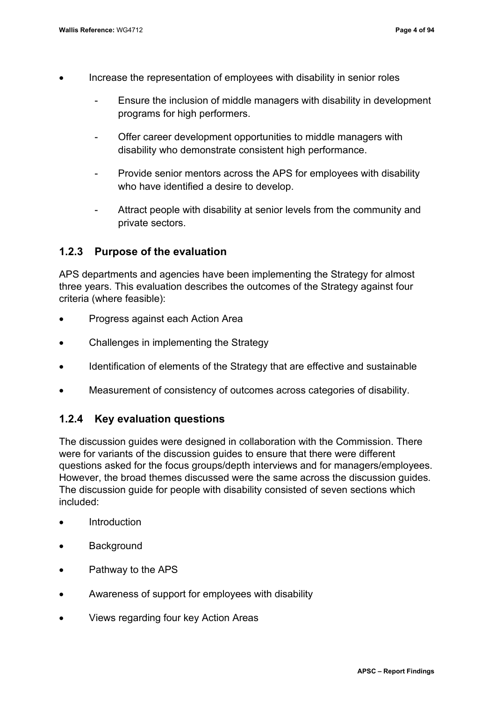- Increase the representation of employees with disability in senior roles
	- Ensure the inclusion of middle managers with disability in development programs for high performers.
	- Offer career development opportunities to middle managers with disability who demonstrate consistent high performance.
	- Provide senior mentors across the APS for employees with disability who have identified a desire to develop.
	- Attract people with disability at senior levels from the community and private sectors.

#### **1.2.3 Purpose of the evaluation**

APS departments and agencies have been implementing the Strategy for almost three years. This evaluation describes the outcomes of the Strategy against four criteria (where feasible):

- Progress against each Action Area
- Challenges in implementing the Strategy
- Identification of elements of the Strategy that are effective and sustainable
- Measurement of consistency of outcomes across categories of disability.

#### **1.2.4 Key evaluation questions**

The discussion guides were designed in collaboration with the Commission. There were for variants of the discussion guides to ensure that there were different questions asked for the focus groups/depth interviews and for managers/employees. However, the broad themes discussed were the same across the discussion guides. The discussion guide for people with disability consisted of seven sections which included:

- Introduction
- Background
- Pathway to the APS
- Awareness of support for employees with disability
- Views regarding four key Action Areas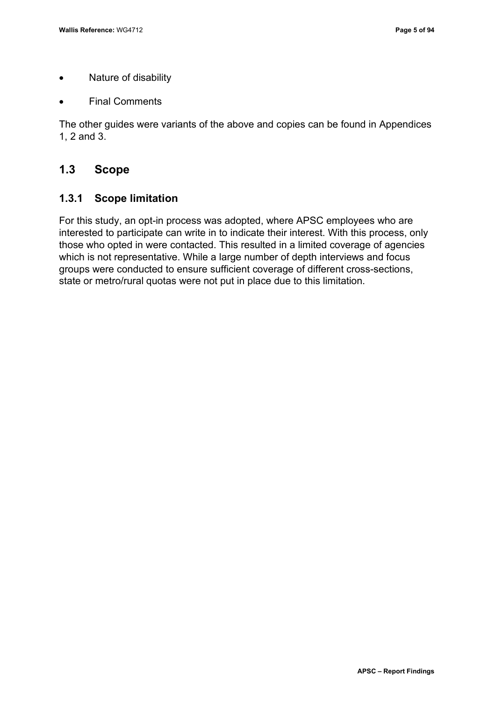- Nature of disability
- **Final Comments**

The other guides were variants of the above and copies can be found in Appendices 1, 2 and 3.

#### <span id="page-14-0"></span>**1.3 Scope**

#### **1.3.1 Scope limitation**

For this study, an opt-in process was adopted, where APSC employees who are interested to participate can write in to indicate their interest. With this process, only those who opted in were contacted. This resulted in a limited coverage of agencies which is not representative. While a large number of depth interviews and focus groups were conducted to ensure sufficient coverage of different cross-sections, state or metro/rural quotas were not put in place due to this limitation.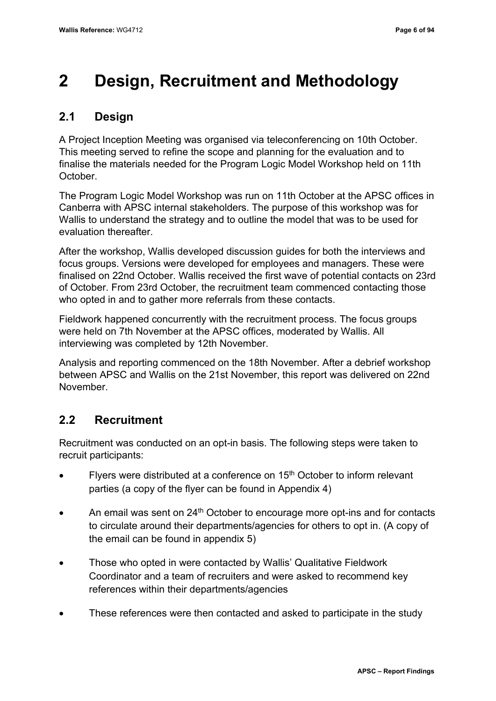# <span id="page-15-0"></span>**2 Design, Recruitment and Methodology**

# <span id="page-15-1"></span>**2.1 Design**

A Project Inception Meeting was organised via teleconferencing on 10th October. This meeting served to refine the scope and planning for the evaluation and to finalise the materials needed for the Program Logic Model Workshop held on 11th October.

The Program Logic Model Workshop was run on 11th October at the APSC offices in Canberra with APSC internal stakeholders. The purpose of this workshop was for Wallis to understand the strategy and to outline the model that was to be used for evaluation thereafter.

After the workshop, Wallis developed discussion guides for both the interviews and focus groups. Versions were developed for employees and managers. These were finalised on 22nd October. Wallis received the first wave of potential contacts on 23rd of October. From 23rd October, the recruitment team commenced contacting those who opted in and to gather more referrals from these contacts.

Fieldwork happened concurrently with the recruitment process. The focus groups were held on 7th November at the APSC offices, moderated by Wallis. All interviewing was completed by 12th November.

Analysis and reporting commenced on the 18th November. After a debrief workshop between APSC and Wallis on the 21st November, this report was delivered on 22nd November.

## <span id="page-15-2"></span>**2.2 Recruitment**

Recruitment was conducted on an opt-in basis. The following steps were taken to recruit participants:

- Flyers were distributed at a conference on 15<sup>th</sup> October to inform relevant parties (a copy of the flyer can be found in Appendix 4)
- An email was sent on  $24<sup>th</sup>$  October to encourage more opt-ins and for contacts to circulate around their departments/agencies for others to opt in. (A copy of the email can be found in appendix 5)
- Those who opted in were contacted by Wallis' Qualitative Fieldwork Coordinator and a team of recruiters and were asked to recommend key references within their departments/agencies
- These references were then contacted and asked to participate in the study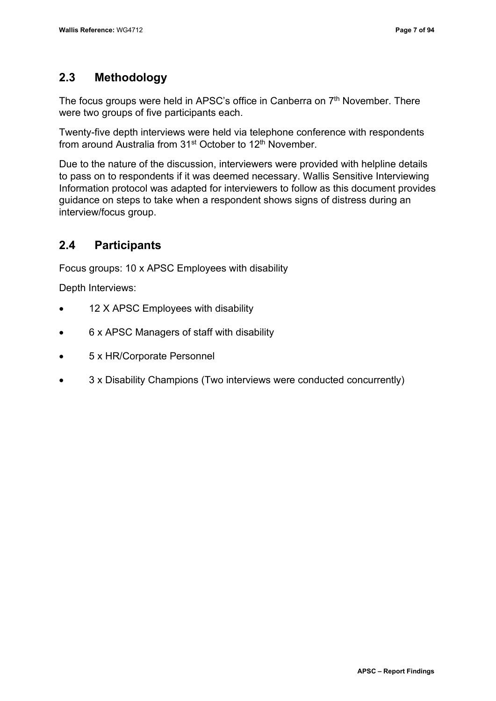## <span id="page-16-0"></span>**2.3 Methodology**

The focus groups were held in APSC's office in Canberra on 7<sup>th</sup> November. There were two groups of five participants each.

Twenty-five depth interviews were held via telephone conference with respondents from around Australia from 31st October to 12th November.

Due to the nature of the discussion, interviewers were provided with helpline details to pass on to respondents if it was deemed necessary. Wallis Sensitive Interviewing Information protocol was adapted for interviewers to follow as this document provides guidance on steps to take when a respondent shows signs of distress during an interview/focus group.

# <span id="page-16-1"></span>**2.4 Participants**

Focus groups: 10 x APSC Employees with disability

Depth Interviews:

- 12 X APSC Employees with disability
- 6 x APSC Managers of staff with disability
- 5 x HR/Corporate Personnel
- 3 x Disability Champions (Two interviews were conducted concurrently)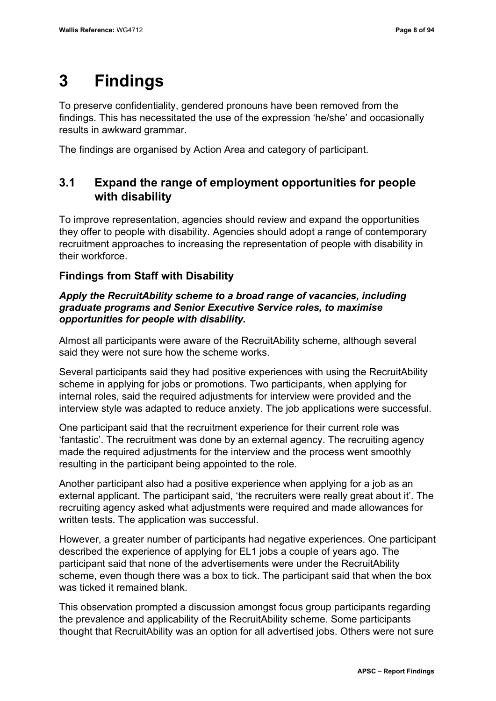# <span id="page-17-0"></span>**3 Findings**

To preserve confidentiality, gendered pronouns have been removed from the findings. This has necessitated the use of the expression 'he/she' and occasionally results in awkward grammar.

The findings are organised by Action Area and category of participant.

### <span id="page-17-1"></span>**3.1 Expand the range of employment opportunities for people with disability**

To improve representation, agencies should review and expand the opportunities they offer to people with disability. Agencies should adopt a range of contemporary recruitment approaches to increasing the representation of people with disability in their workforce.

#### **Findings from Staff with Disability**

#### *Apply the RecruitAbility scheme to a broad range of vacancies, including graduate programs and Senior Executive Service roles, to maximise opportunities for people with disability.*

Almost all participants were aware of the RecruitAbility scheme, although several said they were not sure how the scheme works.

Several participants said they had positive experiences with using the RecruitAbility scheme in applying for jobs or promotions. Two participants, when applying for internal roles, said the required adjustments for interview were provided and the interview style was adapted to reduce anxiety. The job applications were successful.

One participant said that the recruitment experience for their current role was 'fantastic'. The recruitment was done by an external agency. The recruiting agency made the required adjustments for the interview and the process went smoothly resulting in the participant being appointed to the role.

Another participant also had a positive experience when applying for a job as an external applicant. The participant said, 'the recruiters were really great about it'. The recruiting agency asked what adjustments were required and made allowances for written tests. The application was successful.

However, a greater number of participants had negative experiences. One participant described the experience of applying for EL1 jobs a couple of years ago. The participant said that none of the advertisements were under the RecruitAbility scheme, even though there was a box to tick. The participant said that when the box was ticked it remained blank.

This observation prompted a discussion amongst focus group participants regarding the prevalence and applicability of the RecruitAbility scheme. Some participants thought that RecruitAbility was an option for all advertised jobs. Others were not sure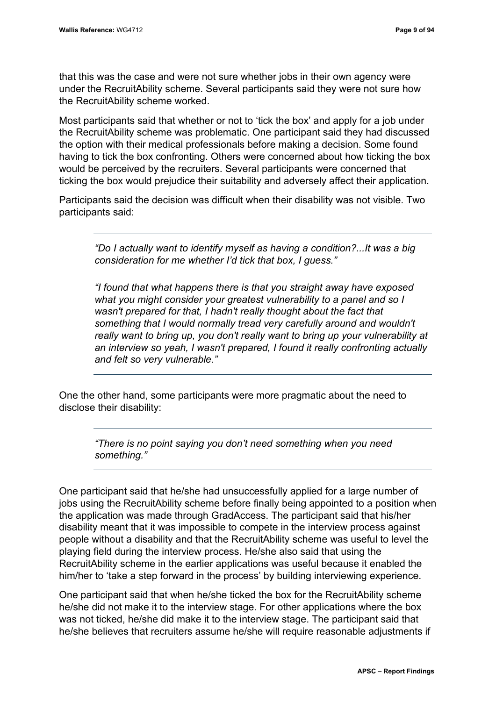that this was the case and were not sure whether jobs in their own agency were under the RecruitAbility scheme. Several participants said they were not sure how the RecruitAbility scheme worked.

Most participants said that whether or not to 'tick the box' and apply for a job under the RecruitAbility scheme was problematic. One participant said they had discussed the option with their medical professionals before making a decision. Some found having to tick the box confronting. Others were concerned about how ticking the box would be perceived by the recruiters. Several participants were concerned that ticking the box would prejudice their suitability and adversely affect their application.

Participants said the decision was difficult when their disability was not visible. Two participants said:

*"Do I actually want to identify myself as having a condition?...It was a big consideration for me whether I'd tick that box, I guess."*

*"I found that what happens there is that you straight away have exposed what you might consider your greatest vulnerability to a panel and so I wasn't prepared for that, I hadn't really thought about the fact that something that I would normally tread very carefully around and wouldn't really want to bring up, you don't really want to bring up your vulnerability at an interview so yeah, I wasn't prepared, I found it really confronting actually and felt so very vulnerable."*

One the other hand, some participants were more pragmatic about the need to disclose their disability:

> *"There is no point saying you don't need something when you need something."*

One participant said that he/she had unsuccessfully applied for a large number of jobs using the RecruitAbility scheme before finally being appointed to a position when the application was made through GradAccess. The participant said that his/her disability meant that it was impossible to compete in the interview process against people without a disability and that the RecruitAbility scheme was useful to level the playing field during the interview process. He/she also said that using the RecruitAbility scheme in the earlier applications was useful because it enabled the him/her to 'take a step forward in the process' by building interviewing experience.

One participant said that when he/she ticked the box for the RecruitAbility scheme he/she did not make it to the interview stage. For other applications where the box was not ticked, he/she did make it to the interview stage. The participant said that he/she believes that recruiters assume he/she will require reasonable adjustments if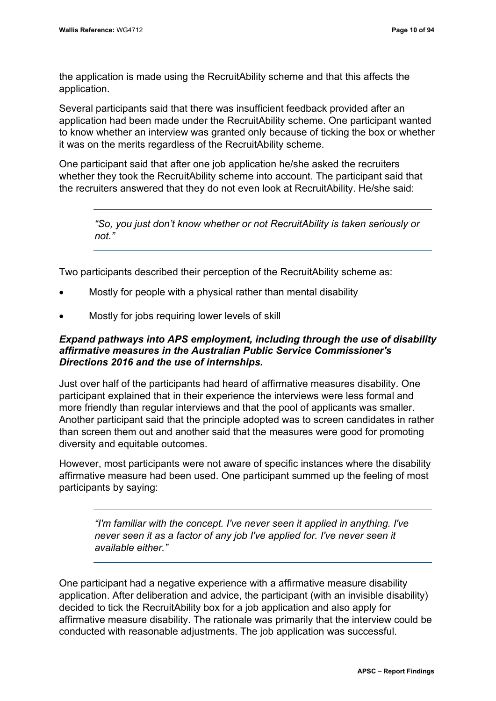the application is made using the RecruitAbility scheme and that this affects the application.

Several participants said that there was insufficient feedback provided after an application had been made under the RecruitAbility scheme. One participant wanted to know whether an interview was granted only because of ticking the box or whether it was on the merits regardless of the RecruitAbility scheme.

One participant said that after one job application he/she asked the recruiters whether they took the RecruitAbility scheme into account. The participant said that the recruiters answered that they do not even look at RecruitAbility. He/she said:

*"So, you just don't know whether or not RecruitAbility is taken seriously or not."*

Two participants described their perception of the RecruitAbility scheme as:

- Mostly for people with a physical rather than mental disability
- Mostly for jobs requiring lower levels of skill

#### *Expand pathways into APS employment, including through the use of disability affirmative measures in the Australian Public Service Commissioner's Directions 2016 and the use of internships.*

Just over half of the participants had heard of affirmative measures disability. One participant explained that in their experience the interviews were less formal and more friendly than regular interviews and that the pool of applicants was smaller. Another participant said that the principle adopted was to screen candidates in rather than screen them out and another said that the measures were good for promoting diversity and equitable outcomes.

However, most participants were not aware of specific instances where the disability affirmative measure had been used. One participant summed up the feeling of most participants by saying:

*"I'm familiar with the concept. I've never seen it applied in anything. I've never seen it as a factor of any job I've applied for. I've never seen it available either."*

One participant had a negative experience with a affirmative measure disability application. After deliberation and advice, the participant (with an invisible disability) decided to tick the RecruitAbility box for a job application and also apply for affirmative measure disability. The rationale was primarily that the interview could be conducted with reasonable adjustments. The job application was successful.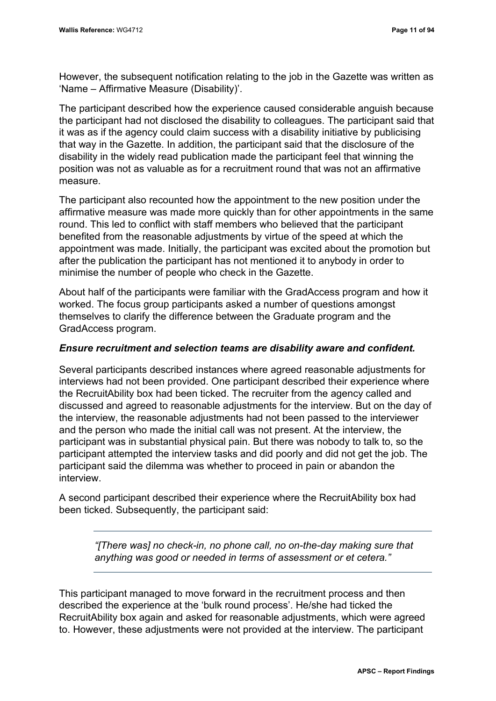However, the subsequent notification relating to the job in the Gazette was written as 'Name – Affirmative Measure (Disability)'.

The participant described how the experience caused considerable anguish because the participant had not disclosed the disability to colleagues. The participant said that it was as if the agency could claim success with a disability initiative by publicising that way in the Gazette. In addition, the participant said that the disclosure of the disability in the widely read publication made the participant feel that winning the position was not as valuable as for a recruitment round that was not an affirmative measure.

The participant also recounted how the appointment to the new position under the affirmative measure was made more quickly than for other appointments in the same round. This led to conflict with staff members who believed that the participant benefited from the reasonable adjustments by virtue of the speed at which the appointment was made. Initially, the participant was excited about the promotion but after the publication the participant has not mentioned it to anybody in order to minimise the number of people who check in the Gazette.

About half of the participants were familiar with the GradAccess program and how it worked. The focus group participants asked a number of questions amongst themselves to clarify the difference between the Graduate program and the GradAccess program.

#### *Ensure recruitment and selection teams are disability aware and confident.*

Several participants described instances where agreed reasonable adjustments for interviews had not been provided. One participant described their experience where the RecruitAbility box had been ticked. The recruiter from the agency called and discussed and agreed to reasonable adjustments for the interview. But on the day of the interview, the reasonable adjustments had not been passed to the interviewer and the person who made the initial call was not present. At the interview, the participant was in substantial physical pain. But there was nobody to talk to, so the participant attempted the interview tasks and did poorly and did not get the job. The participant said the dilemma was whether to proceed in pain or abandon the interview.

A second participant described their experience where the RecruitAbility box had been ticked. Subsequently, the participant said:

> *"[There was] no check-in, no phone call, no on-the-day making sure that anything was good or needed in terms of assessment or et cetera."*

This participant managed to move forward in the recruitment process and then described the experience at the 'bulk round process'. He/she had ticked the RecruitAbility box again and asked for reasonable adjustments, which were agreed to. However, these adjustments were not provided at the interview. The participant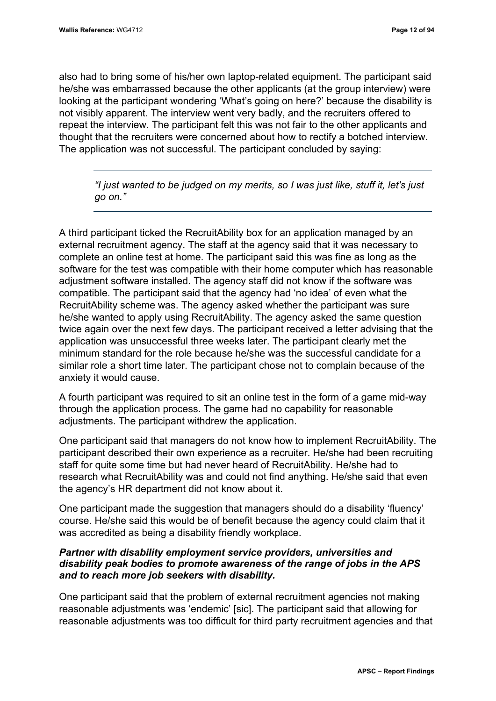also had to bring some of his/her own laptop-related equipment. The participant said he/she was embarrassed because the other applicants (at the group interview) were looking at the participant wondering 'What's going on here?' because the disability is not visibly apparent. The interview went very badly, and the recruiters offered to repeat the interview. The participant felt this was not fair to the other applicants and thought that the recruiters were concerned about how to rectify a botched interview. The application was not successful. The participant concluded by saying:

*"I just wanted to be judged on my merits, so I was just like, stuff it, let's just go on."* 

A third participant ticked the RecruitAbility box for an application managed by an external recruitment agency. The staff at the agency said that it was necessary to complete an online test at home. The participant said this was fine as long as the software for the test was compatible with their home computer which has reasonable adjustment software installed. The agency staff did not know if the software was compatible. The participant said that the agency had 'no idea' of even what the RecruitAbility scheme was. The agency asked whether the participant was sure he/she wanted to apply using RecruitAbility. The agency asked the same question twice again over the next few days. The participant received a letter advising that the application was unsuccessful three weeks later. The participant clearly met the minimum standard for the role because he/she was the successful candidate for a similar role a short time later. The participant chose not to complain because of the anxiety it would cause.

A fourth participant was required to sit an online test in the form of a game mid-way through the application process. The game had no capability for reasonable adjustments. The participant withdrew the application.

One participant said that managers do not know how to implement RecruitAbility. The participant described their own experience as a recruiter. He/she had been recruiting staff for quite some time but had never heard of RecruitAbility. He/she had to research what RecruitAbility was and could not find anything. He/she said that even the agency's HR department did not know about it.

One participant made the suggestion that managers should do a disability 'fluency' course. He/she said this would be of benefit because the agency could claim that it was accredited as being a disability friendly workplace.

#### *Partner with disability employment service providers, universities and disability peak bodies to promote awareness of the range of jobs in the APS and to reach more job seekers with disability.*

One participant said that the problem of external recruitment agencies not making reasonable adjustments was 'endemic' [sic]. The participant said that allowing for reasonable adjustments was too difficult for third party recruitment agencies and that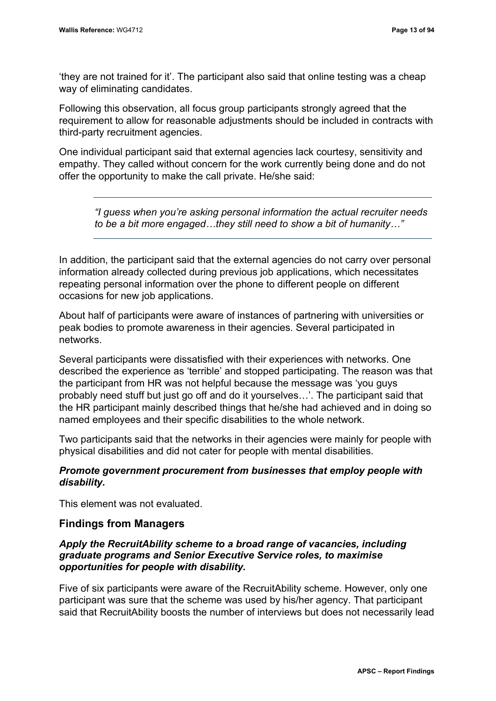'they are not trained for it'. The participant also said that online testing was a cheap way of eliminating candidates.

Following this observation, all focus group participants strongly agreed that the requirement to allow for reasonable adjustments should be included in contracts with third-party recruitment agencies.

One individual participant said that external agencies lack courtesy, sensitivity and empathy. They called without concern for the work currently being done and do not offer the opportunity to make the call private. He/she said:

*"I guess when you're asking personal information the actual recruiter needs to be a bit more engaged…they still need to show a bit of humanity…"*

In addition, the participant said that the external agencies do not carry over personal information already collected during previous job applications, which necessitates repeating personal information over the phone to different people on different occasions for new job applications.

About half of participants were aware of instances of partnering with universities or peak bodies to promote awareness in their agencies. Several participated in networks.

Several participants were dissatisfied with their experiences with networks. One described the experience as 'terrible' and stopped participating. The reason was that the participant from HR was not helpful because the message was 'you guys probably need stuff but just go off and do it yourselves…'. The participant said that the HR participant mainly described things that he/she had achieved and in doing so named employees and their specific disabilities to the whole network.

Two participants said that the networks in their agencies were mainly for people with physical disabilities and did not cater for people with mental disabilities.

#### *Promote government procurement from businesses that employ people with disability.*

This element was not evaluated.

#### **Findings from Managers**

#### *Apply the RecruitAbility scheme to a broad range of vacancies, including graduate programs and Senior Executive Service roles, to maximise opportunities for people with disability.*

Five of six participants were aware of the RecruitAbility scheme. However, only one participant was sure that the scheme was used by his/her agency. That participant said that RecruitAbility boosts the number of interviews but does not necessarily lead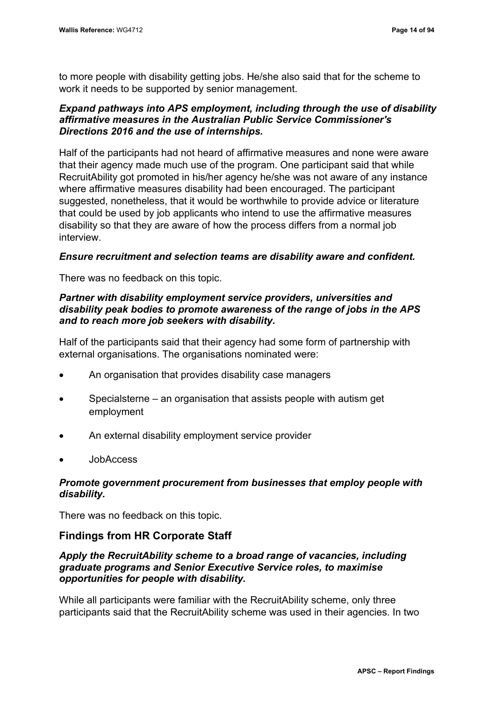to more people with disability getting jobs. He/she also said that for the scheme to work it needs to be supported by senior management.

#### *Expand pathways into APS employment, including through the use of disability affirmative measures in the Australian Public Service Commissioner's Directions 2016 and the use of internships.*

Half of the participants had not heard of affirmative measures and none were aware that their agency made much use of the program. One participant said that while RecruitAbility got promoted in his/her agency he/she was not aware of any instance where affirmative measures disability had been encouraged. The participant suggested, nonetheless, that it would be worthwhile to provide advice or literature that could be used by job applicants who intend to use the affirmative measures disability so that they are aware of how the process differs from a normal job interview.

#### *Ensure recruitment and selection teams are disability aware and confident.*

There was no feedback on this topic.

#### *Partner with disability employment service providers, universities and disability peak bodies to promote awareness of the range of jobs in the APS and to reach more job seekers with disability.*

Half of the participants said that their agency had some form of partnership with external organisations. The organisations nominated were:

- An organisation that provides disability case managers
- Specialsterne an organisation that assists people with autism get employment
- An external disability employment service provider
- JobAccess

#### *Promote government procurement from businesses that employ people with disability.*

There was no feedback on this topic.

#### **Findings from HR Corporate Staff**

#### *Apply the RecruitAbility scheme to a broad range of vacancies, including graduate programs and Senior Executive Service roles, to maximise opportunities for people with disability.*

While all participants were familiar with the RecruitAbility scheme, only three participants said that the RecruitAbility scheme was used in their agencies. In two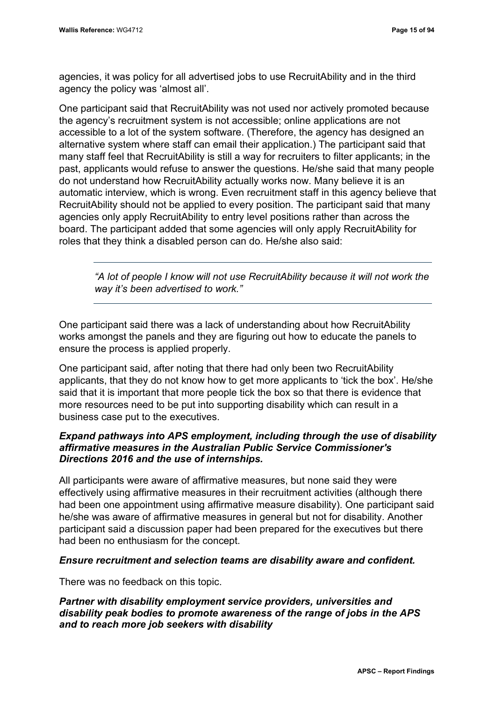agencies, it was policy for all advertised jobs to use RecruitAbility and in the third agency the policy was 'almost all'.

One participant said that RecruitAbility was not used nor actively promoted because the agency's recruitment system is not accessible; online applications are not accessible to a lot of the system software. (Therefore, the agency has designed an alternative system where staff can email their application.) The participant said that many staff feel that RecruitAbility is still a way for recruiters to filter applicants; in the past, applicants would refuse to answer the questions. He/she said that many people do not understand how RecruitAbility actually works now. Many believe it is an automatic interview, which is wrong. Even recruitment staff in this agency believe that RecruitAbility should not be applied to every position. The participant said that many agencies only apply RecruitAbility to entry level positions rather than across the board. The participant added that some agencies will only apply RecruitAbility for roles that they think a disabled person can do. He/she also said:

*"A lot of people I know will not use RecruitAbility because it will not work the way it's been advertised to work."*

One participant said there was a lack of understanding about how RecruitAbility works amongst the panels and they are figuring out how to educate the panels to ensure the process is applied properly.

One participant said, after noting that there had only been two RecruitAbility applicants, that they do not know how to get more applicants to 'tick the box'. He/she said that it is important that more people tick the box so that there is evidence that more resources need to be put into supporting disability which can result in a business case put to the executives.

#### *Expand pathways into APS employment, including through the use of disability affirmative measures in the Australian Public Service Commissioner's Directions 2016 and the use of internships.*

All participants were aware of affirmative measures, but none said they were effectively using affirmative measures in their recruitment activities (although there had been one appointment using affirmative measure disability). One participant said he/she was aware of affirmative measures in general but not for disability. Another participant said a discussion paper had been prepared for the executives but there had been no enthusiasm for the concept.

#### *Ensure recruitment and selection teams are disability aware and confident.*

There was no feedback on this topic.

#### *Partner with disability employment service providers, universities and disability peak bodies to promote awareness of the range of jobs in the APS and to reach more job seekers with disability*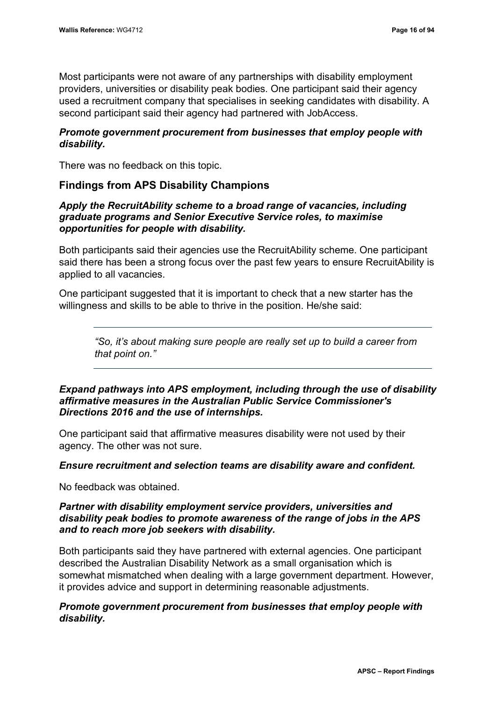Most participants were not aware of any partnerships with disability employment providers, universities or disability peak bodies. One participant said their agency used a recruitment company that specialises in seeking candidates with disability. A second participant said their agency had partnered with JobAccess.

#### *Promote government procurement from businesses that employ people with disability.*

There was no feedback on this topic.

#### **Findings from APS Disability Champions**

#### *Apply the RecruitAbility scheme to a broad range of vacancies, including graduate programs and Senior Executive Service roles, to maximise opportunities for people with disability.*

Both participants said their agencies use the RecruitAbility scheme. One participant said there has been a strong focus over the past few years to ensure RecruitAbility is applied to all vacancies.

One participant suggested that it is important to check that a new starter has the willingness and skills to be able to thrive in the position. He/she said:

*"So, it's about making sure people are really set up to build a career from that point on."*

#### *Expand pathways into APS employment, including through the use of disability affirmative measures in the Australian Public Service Commissioner's Directions 2016 and the use of internships.*

One participant said that affirmative measures disability were not used by their agency. The other was not sure.

#### *Ensure recruitment and selection teams are disability aware and confident.*

No feedback was obtained.

#### *Partner with disability employment service providers, universities and disability peak bodies to promote awareness of the range of jobs in the APS and to reach more job seekers with disability.*

Both participants said they have partnered with external agencies. One participant described the Australian Disability Network as a small organisation which is somewhat mismatched when dealing with a large government department. However, it provides advice and support in determining reasonable adjustments.

#### *Promote government procurement from businesses that employ people with disability.*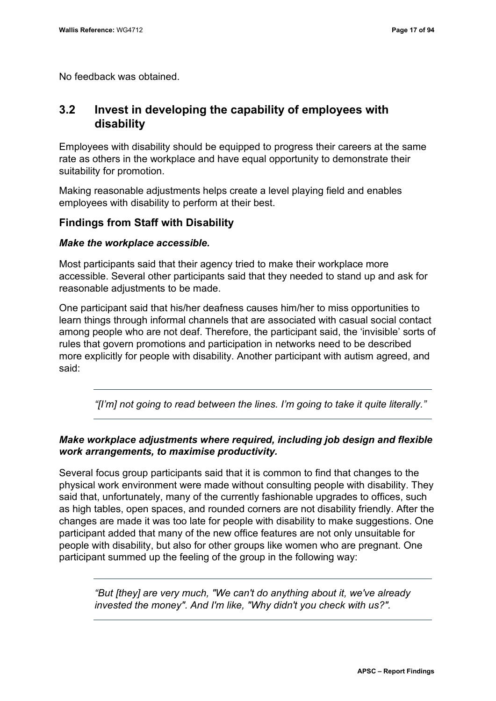No feedback was obtained.

### <span id="page-26-0"></span>**3.2 Invest in developing the capability of employees with disability**

Employees with disability should be equipped to progress their careers at the same rate as others in the workplace and have equal opportunity to demonstrate their suitability for promotion.

Making reasonable adjustments helps create a level playing field and enables employees with disability to perform at their best.

#### **Findings from Staff with Disability**

#### *Make the workplace accessible.*

Most participants said that their agency tried to make their workplace more accessible. Several other participants said that they needed to stand up and ask for reasonable adjustments to be made.

One participant said that his/her deafness causes him/her to miss opportunities to learn things through informal channels that are associated with casual social contact among people who are not deaf. Therefore, the participant said, the 'invisible' sorts of rules that govern promotions and participation in networks need to be described more explicitly for people with disability. Another participant with autism agreed, and said:

*"[I'm] not going to read between the lines. I'm going to take it quite literally."*

#### *Make workplace adjustments where required, including job design and flexible work arrangements, to maximise productivity.*

Several focus group participants said that it is common to find that changes to the physical work environment were made without consulting people with disability. They said that, unfortunately, many of the currently fashionable upgrades to offices, such as high tables, open spaces, and rounded corners are not disability friendly. After the changes are made it was too late for people with disability to make suggestions. One participant added that many of the new office features are not only unsuitable for people with disability, but also for other groups like women who are pregnant. One participant summed up the feeling of the group in the following way:

*"But [they] are very much, "We can't do anything about it, we've already invested the money". And I'm like, "Why didn't you check with us?".*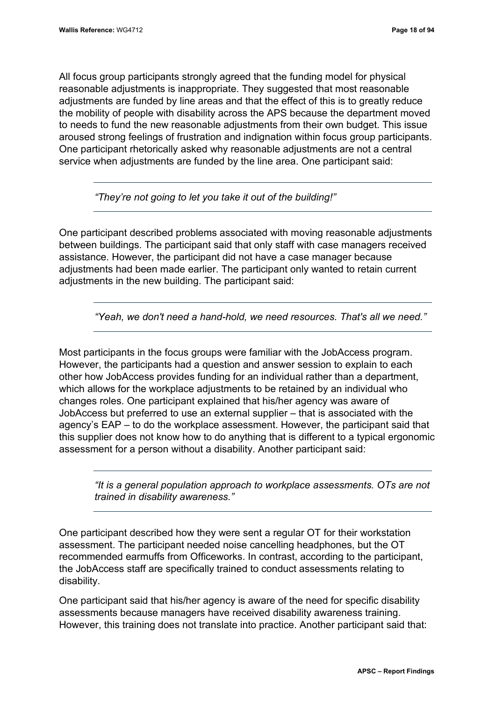All focus group participants strongly agreed that the funding model for physical reasonable adjustments is inappropriate. They suggested that most reasonable adjustments are funded by line areas and that the effect of this is to greatly reduce the mobility of people with disability across the APS because the department moved to needs to fund the new reasonable adjustments from their own budget. This issue aroused strong feelings of frustration and indignation within focus group participants. One participant rhetorically asked why reasonable adjustments are not a central service when adjustments are funded by the line area. One participant said:

*"They're not going to let you take it out of the building!"*

One participant described problems associated with moving reasonable adjustments between buildings. The participant said that only staff with case managers received assistance. However, the participant did not have a case manager because adjustments had been made earlier. The participant only wanted to retain current adjustments in the new building. The participant said:

*"Yeah, we don't need a hand-hold, we need resources. That's all we need."*

Most participants in the focus groups were familiar with the JobAccess program. However, the participants had a question and answer session to explain to each other how JobAccess provides funding for an individual rather than a department, which allows for the workplace adjustments to be retained by an individual who changes roles. One participant explained that his/her agency was aware of JobAccess but preferred to use an external supplier – that is associated with the agency's EAP – to do the workplace assessment. However, the participant said that this supplier does not know how to do anything that is different to a typical ergonomic assessment for a person without a disability. Another participant said:

*"It is a general population approach to workplace assessments. OTs are not trained in disability awareness."*

One participant described how they were sent a regular OT for their workstation assessment. The participant needed noise cancelling headphones, but the OT recommended earmuffs from Officeworks. In contrast, according to the participant, the JobAccess staff are specifically trained to conduct assessments relating to disability.

One participant said that his/her agency is aware of the need for specific disability assessments because managers have received disability awareness training. However, this training does not translate into practice. Another participant said that: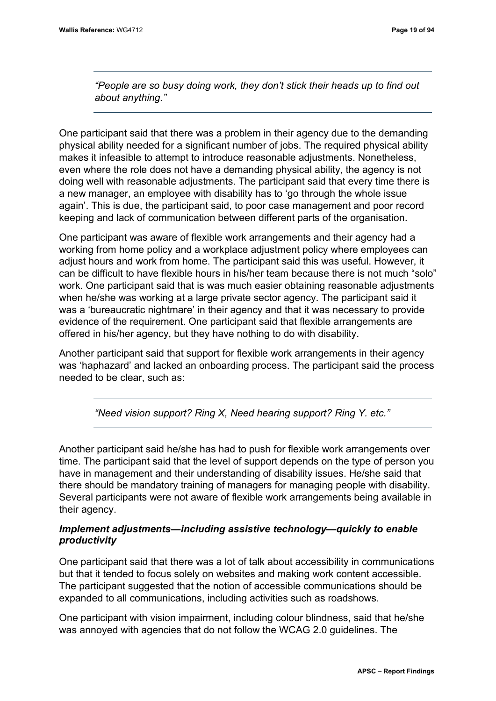*"People are so busy doing work, they don't stick their heads up to find out about anything."*

One participant said that there was a problem in their agency due to the demanding physical ability needed for a significant number of jobs. The required physical ability makes it infeasible to attempt to introduce reasonable adjustments. Nonetheless, even where the role does not have a demanding physical ability, the agency is not doing well with reasonable adjustments. The participant said that every time there is a new manager, an employee with disability has to 'go through the whole issue again'. This is due, the participant said, to poor case management and poor record keeping and lack of communication between different parts of the organisation.

One participant was aware of flexible work arrangements and their agency had a working from home policy and a workplace adjustment policy where employees can adjust hours and work from home. The participant said this was useful. However, it can be difficult to have flexible hours in his/her team because there is not much "solo" work. One participant said that is was much easier obtaining reasonable adjustments when he/she was working at a large private sector agency. The participant said it was a 'bureaucratic nightmare' in their agency and that it was necessary to provide evidence of the requirement. One participant said that flexible arrangements are offered in his/her agency, but they have nothing to do with disability.

Another participant said that support for flexible work arrangements in their agency was 'haphazard' and lacked an onboarding process. The participant said the process needed to be clear, such as:

*"Need vision support? Ring X, Need hearing support? Ring Y. etc."*

Another participant said he/she has had to push for flexible work arrangements over time. The participant said that the level of support depends on the type of person you have in management and their understanding of disability issues. He/she said that there should be mandatory training of managers for managing people with disability. Several participants were not aware of flexible work arrangements being available in their agency.

#### *Implement adjustments—including assistive technology—quickly to enable productivity*

One participant said that there was a lot of talk about accessibility in communications but that it tended to focus solely on websites and making work content accessible. The participant suggested that the notion of accessible communications should be expanded to all communications, including activities such as roadshows.

One participant with vision impairment, including colour blindness, said that he/she was annoyed with agencies that do not follow the WCAG 2.0 guidelines. The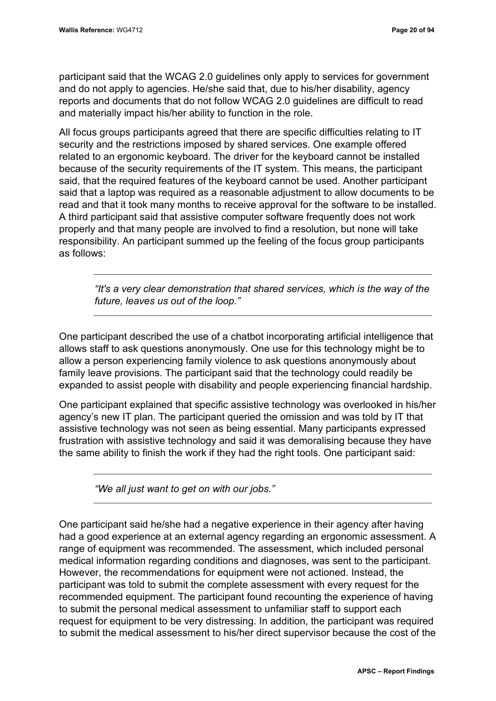participant said that the WCAG 2.0 guidelines only apply to services for government and do not apply to agencies. He/she said that, due to his/her disability, agency reports and documents that do not follow WCAG 2.0 guidelines are difficult to read and materially impact his/her ability to function in the role.

All focus groups participants agreed that there are specific difficulties relating to IT security and the restrictions imposed by shared services. One example offered related to an ergonomic keyboard. The driver for the keyboard cannot be installed because of the security requirements of the IT system. This means, the participant said, that the required features of the keyboard cannot be used. Another participant said that a laptop was required as a reasonable adjustment to allow documents to be read and that it took many months to receive approval for the software to be installed. A third participant said that assistive computer software frequently does not work properly and that many people are involved to find a resolution, but none will take responsibility. An participant summed up the feeling of the focus group participants as follows:

*"It's a very clear demonstration that shared services, which is the way of the future, leaves us out of the loop."*

One participant described the use of a chatbot incorporating artificial intelligence that allows staff to ask questions anonymously. One use for this technology might be to allow a person experiencing family violence to ask questions anonymously about family leave provisions. The participant said that the technology could readily be expanded to assist people with disability and people experiencing financial hardship.

One participant explained that specific assistive technology was overlooked in his/her agency's new IT plan. The participant queried the omission and was told by IT that assistive technology was not seen as being essential. Many participants expressed frustration with assistive technology and said it was demoralising because they have the same ability to finish the work if they had the right tools. One participant said:

*"We all just want to get on with our jobs."*

One participant said he/she had a negative experience in their agency after having had a good experience at an external agency regarding an ergonomic assessment. A range of equipment was recommended. The assessment, which included personal medical information regarding conditions and diagnoses, was sent to the participant. However, the recommendations for equipment were not actioned. Instead, the participant was told to submit the complete assessment with every request for the recommended equipment. The participant found recounting the experience of having to submit the personal medical assessment to unfamiliar staff to support each request for equipment to be very distressing. In addition, the participant was required to submit the medical assessment to his/her direct supervisor because the cost of the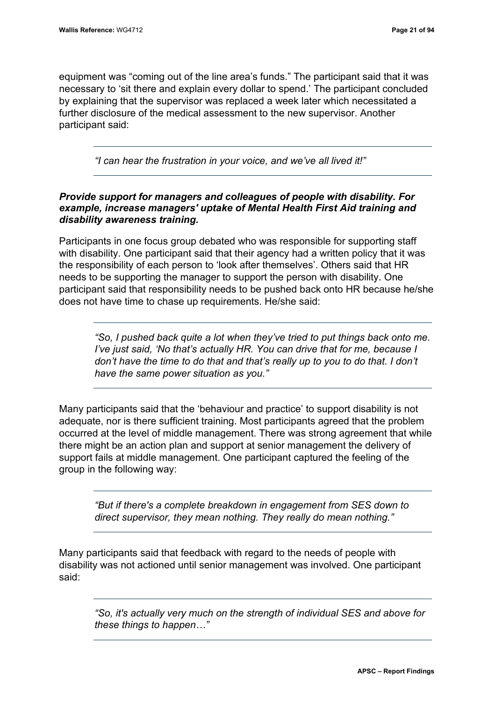equipment was "coming out of the line area's funds." The participant said that it was necessary to 'sit there and explain every dollar to spend.' The participant concluded by explaining that the supervisor was replaced a week later which necessitated a further disclosure of the medical assessment to the new supervisor. Another participant said:

*"I can hear the frustration in your voice, and we've all lived it!"*

#### *Provide support for managers and colleagues of people with disability. For example, increase managers' uptake of Mental Health First Aid training and disability awareness training.*

Participants in one focus group debated who was responsible for supporting staff with disability. One participant said that their agency had a written policy that it was the responsibility of each person to 'look after themselves'. Others said that HR needs to be supporting the manager to support the person with disability. One participant said that responsibility needs to be pushed back onto HR because he/she does not have time to chase up requirements. He/she said:

*"So, I pushed back quite a lot when they've tried to put things back onto me. I've just said, 'No that's actually HR. You can drive that for me, because I don't have the time to do that and that's really up to you to do that. I don't have the same power situation as you."* 

Many participants said that the 'behaviour and practice' to support disability is not adequate, nor is there sufficient training. Most participants agreed that the problem occurred at the level of middle management. There was strong agreement that while there might be an action plan and support at senior management the delivery of support fails at middle management. One participant captured the feeling of the group in the following way:

*"But if there's a complete breakdown in engagement from SES down to direct supervisor, they mean nothing. They really do mean nothing."*

Many participants said that feedback with regard to the needs of people with disability was not actioned until senior management was involved. One participant said:

*"So, it's actually very much on the strength of individual SES and above for these things to happen…"*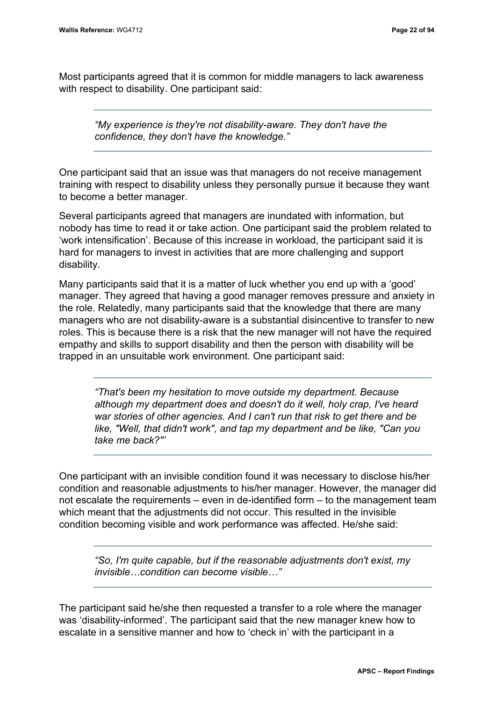Most participants agreed that it is common for middle managers to lack awareness with respect to disability. One participant said:

*"My experience is they're not disability-aware. They don't have the confidence, they don't have the knowledge."*

One participant said that an issue was that managers do not receive management training with respect to disability unless they personally pursue it because they want to become a better manager.

Several participants agreed that managers are inundated with information, but nobody has time to read it or take action. One participant said the problem related to 'work intensification'. Because of this increase in workload, the participant said it is hard for managers to invest in activities that are more challenging and support disability.

Many participants said that it is a matter of luck whether you end up with a 'good' manager. They agreed that having a good manager removes pressure and anxiety in the role. Relatedly, many participants said that the knowledge that there are many managers who are not disability-aware is a substantial disincentive to transfer to new roles. This is because there is a risk that the new manager will not have the required empathy and skills to support disability and then the person with disability will be trapped in an unsuitable work environment. One participant said:

*"That's been my hesitation to move outside my department. Because although my department does and doesn't do it well, holy crap, I've heard war stories of other agencies. And I can't run that risk to get there and be like, "Well, that didn't work", and tap my department and be like, "Can you take me back?"'*

One participant with an invisible condition found it was necessary to disclose his/her condition and reasonable adjustments to his/her manager. However, the manager did not escalate the requirements – even in de-identified form – to the management team which meant that the adjustments did not occur. This resulted in the invisible condition becoming visible and work performance was affected. He/she said:

*"So, I'm quite capable, but if the reasonable adjustments don't exist, my invisible…condition can become visible…"*

The participant said he/she then requested a transfer to a role where the manager was 'disability-informed'. The participant said that the new manager knew how to escalate in a sensitive manner and how to 'check in' with the participant in a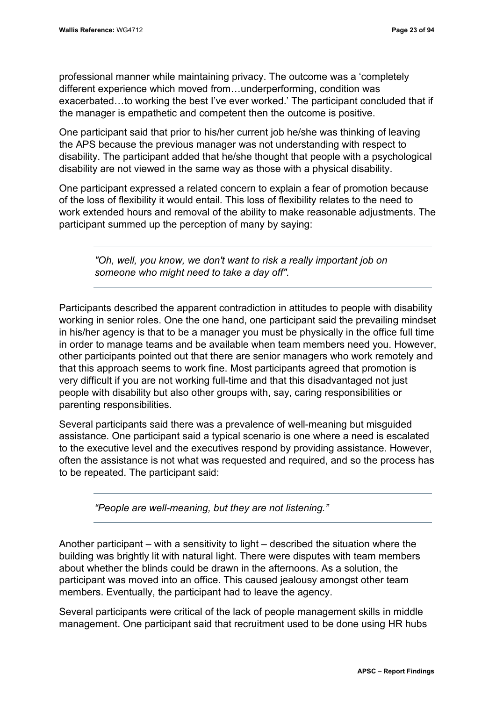professional manner while maintaining privacy. The outcome was a 'completely different experience which moved from…underperforming, condition was exacerbated…to working the best I've ever worked.' The participant concluded that if the manager is empathetic and competent then the outcome is positive.

One participant said that prior to his/her current job he/she was thinking of leaving the APS because the previous manager was not understanding with respect to disability. The participant added that he/she thought that people with a psychological disability are not viewed in the same way as those with a physical disability.

One participant expressed a related concern to explain a fear of promotion because of the loss of flexibility it would entail. This loss of flexibility relates to the need to work extended hours and removal of the ability to make reasonable adjustments. The participant summed up the perception of many by saying:

*"Oh, well, you know, we don't want to risk a really important job on someone who might need to take a day off".*

Participants described the apparent contradiction in attitudes to people with disability working in senior roles. One the one hand, one participant said the prevailing mindset in his/her agency is that to be a manager you must be physically in the office full time in order to manage teams and be available when team members need you. However, other participants pointed out that there are senior managers who work remotely and that this approach seems to work fine. Most participants agreed that promotion is very difficult if you are not working full-time and that this disadvantaged not just people with disability but also other groups with, say, caring responsibilities or parenting responsibilities.

Several participants said there was a prevalence of well-meaning but misguided assistance. One participant said a typical scenario is one where a need is escalated to the executive level and the executives respond by providing assistance. However, often the assistance is not what was requested and required, and so the process has to be repeated. The participant said:

*"People are well-meaning, but they are not listening."*

Another participant – with a sensitivity to light – described the situation where the building was brightly lit with natural light. There were disputes with team members about whether the blinds could be drawn in the afternoons. As a solution, the participant was moved into an office. This caused jealousy amongst other team members. Eventually, the participant had to leave the agency.

Several participants were critical of the lack of people management skills in middle management. One participant said that recruitment used to be done using HR hubs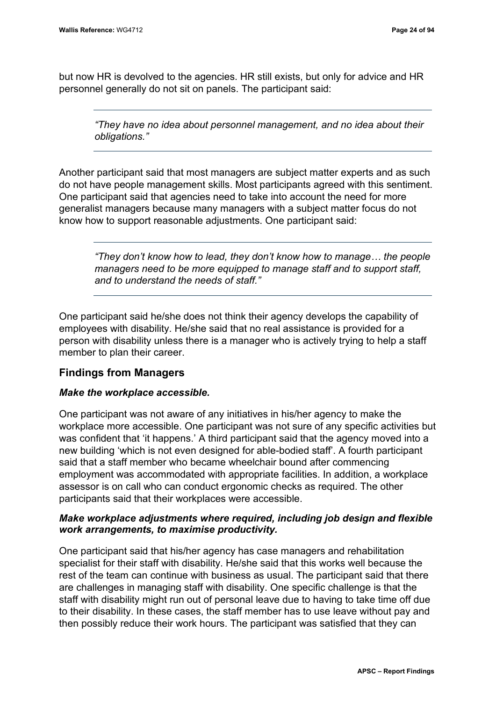but now HR is devolved to the agencies. HR still exists, but only for advice and HR personnel generally do not sit on panels. The participant said:

*"They have no idea about personnel management, and no idea about their obligations."*

Another participant said that most managers are subject matter experts and as such do not have people management skills. Most participants agreed with this sentiment. One participant said that agencies need to take into account the need for more generalist managers because many managers with a subject matter focus do not know how to support reasonable adjustments. One participant said:

*"They don't know how to lead, they don't know how to manage… the people managers need to be more equipped to manage staff and to support staff, and to understand the needs of staff."*

One participant said he/she does not think their agency develops the capability of employees with disability. He/she said that no real assistance is provided for a person with disability unless there is a manager who is actively trying to help a staff member to plan their career.

#### **Findings from Managers**

#### *Make the workplace accessible.*

One participant was not aware of any initiatives in his/her agency to make the workplace more accessible. One participant was not sure of any specific activities but was confident that 'it happens.' A third participant said that the agency moved into a new building 'which is not even designed for able-bodied staff'. A fourth participant said that a staff member who became wheelchair bound after commencing employment was accommodated with appropriate facilities. In addition, a workplace assessor is on call who can conduct ergonomic checks as required. The other participants said that their workplaces were accessible.

#### *Make workplace adjustments where required, including job design and flexible work arrangements, to maximise productivity.*

One participant said that his/her agency has case managers and rehabilitation specialist for their staff with disability. He/she said that this works well because the rest of the team can continue with business as usual. The participant said that there are challenges in managing staff with disability. One specific challenge is that the staff with disability might run out of personal leave due to having to take time off due to their disability. In these cases, the staff member has to use leave without pay and then possibly reduce their work hours. The participant was satisfied that they can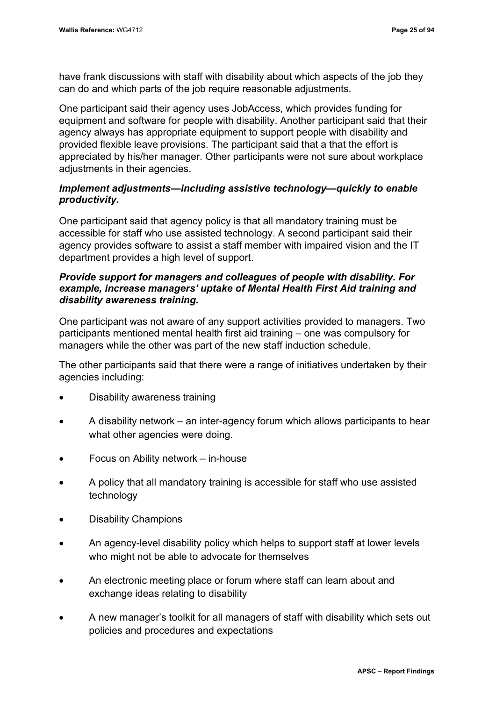have frank discussions with staff with disability about which aspects of the job they can do and which parts of the job require reasonable adjustments.

One participant said their agency uses JobAccess, which provides funding for equipment and software for people with disability. Another participant said that their agency always has appropriate equipment to support people with disability and provided flexible leave provisions. The participant said that a that the effort is appreciated by his/her manager. Other participants were not sure about workplace adjustments in their agencies.

#### *Implement adjustments—including assistive technology—quickly to enable productivity.*

One participant said that agency policy is that all mandatory training must be accessible for staff who use assisted technology. A second participant said their agency provides software to assist a staff member with impaired vision and the IT department provides a high level of support.

#### *Provide support for managers and colleagues of people with disability. For example, increase managers' uptake of Mental Health First Aid training and disability awareness training.*

One participant was not aware of any support activities provided to managers. Two participants mentioned mental health first aid training – one was compulsory for managers while the other was part of the new staff induction schedule.

The other participants said that there were a range of initiatives undertaken by their agencies including:

- Disability awareness training
- A disability network an inter-agency forum which allows participants to hear what other agencies were doing.
- Focus on Ability network in-house
- A policy that all mandatory training is accessible for staff who use assisted technology
- Disability Champions
- An agency-level disability policy which helps to support staff at lower levels who might not be able to advocate for themselves
- An electronic meeting place or forum where staff can learn about and exchange ideas relating to disability
- A new manager's toolkit for all managers of staff with disability which sets out policies and procedures and expectations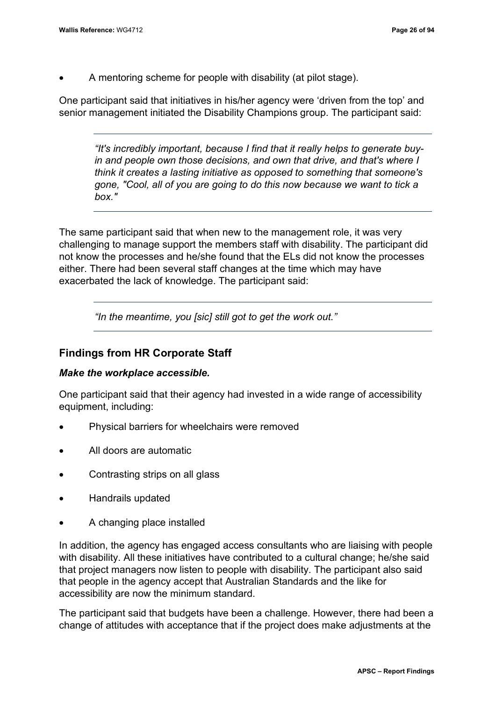• A mentoring scheme for people with disability (at pilot stage).

One participant said that initiatives in his/her agency were 'driven from the top' and senior management initiated the Disability Champions group. The participant said:

*"It's incredibly important, because I find that it really helps to generate buyin and people own those decisions, and own that drive, and that's where I think it creates a lasting initiative as opposed to something that someone's gone, "Cool, all of you are going to do this now because we want to tick a box."*

The same participant said that when new to the management role, it was very challenging to manage support the members staff with disability. The participant did not know the processes and he/she found that the ELs did not know the processes either. There had been several staff changes at the time which may have exacerbated the lack of knowledge. The participant said:

*"In the meantime, you [sic] still got to get the work out."*

#### **Findings from HR Corporate Staff**

#### *Make the workplace accessible.*

One participant said that their agency had invested in a wide range of accessibility equipment, including:

- Physical barriers for wheelchairs were removed
- All doors are automatic
- Contrasting strips on all glass
- Handrails updated
- A changing place installed

In addition, the agency has engaged access consultants who are liaising with people with disability. All these initiatives have contributed to a cultural change; he/she said that project managers now listen to people with disability. The participant also said that people in the agency accept that Australian Standards and the like for accessibility are now the minimum standard.

The participant said that budgets have been a challenge. However, there had been a change of attitudes with acceptance that if the project does make adjustments at the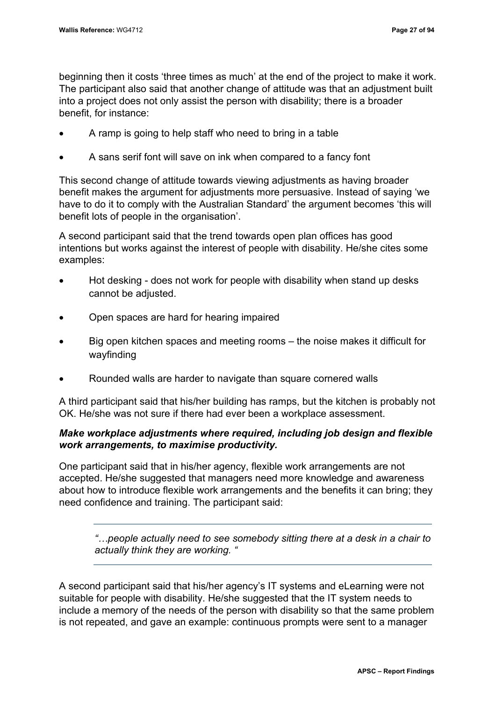beginning then it costs 'three times as much' at the end of the project to make it work. The participant also said that another change of attitude was that an adjustment built into a project does not only assist the person with disability; there is a broader benefit, for instance:

- A ramp is going to help staff who need to bring in a table
- A sans serif font will save on ink when compared to a fancy font

This second change of attitude towards viewing adjustments as having broader benefit makes the argument for adjustments more persuasive. Instead of saying 'we have to do it to comply with the Australian Standard' the argument becomes 'this will benefit lots of people in the organisation'.

A second participant said that the trend towards open plan offices has good intentions but works against the interest of people with disability. He/she cites some examples:

- Hot desking does not work for people with disability when stand up desks cannot be adjusted.
- Open spaces are hard for hearing impaired
- Big open kitchen spaces and meeting rooms the noise makes it difficult for wayfinding
- Rounded walls are harder to navigate than square cornered walls

A third participant said that his/her building has ramps, but the kitchen is probably not OK. He/she was not sure if there had ever been a workplace assessment.

## *Make workplace adjustments where required, including job design and flexible work arrangements, to maximise productivity.*

One participant said that in his/her agency, flexible work arrangements are not accepted. He/she suggested that managers need more knowledge and awareness about how to introduce flexible work arrangements and the benefits it can bring; they need confidence and training. The participant said:

*"…people actually need to see somebody sitting there at a desk in a chair to actually think they are working. "*

A second participant said that his/her agency's IT systems and eLearning were not suitable for people with disability. He/she suggested that the IT system needs to include a memory of the needs of the person with disability so that the same problem is not repeated, and gave an example: continuous prompts were sent to a manager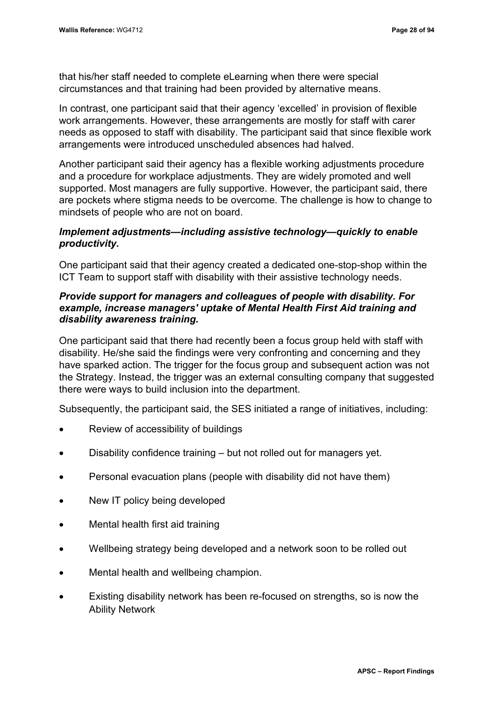that his/her staff needed to complete eLearning when there were special circumstances and that training had been provided by alternative means.

In contrast, one participant said that their agency 'excelled' in provision of flexible work arrangements. However, these arrangements are mostly for staff with carer needs as opposed to staff with disability. The participant said that since flexible work arrangements were introduced unscheduled absences had halved.

Another participant said their agency has a flexible working adjustments procedure and a procedure for workplace adjustments. They are widely promoted and well supported. Most managers are fully supportive. However, the participant said, there are pockets where stigma needs to be overcome. The challenge is how to change to mindsets of people who are not on board.

## *Implement adjustments—including assistive technology—quickly to enable productivity.*

One participant said that their agency created a dedicated one-stop-shop within the ICT Team to support staff with disability with their assistive technology needs.

## *Provide support for managers and colleagues of people with disability. For example, increase managers' uptake of Mental Health First Aid training and disability awareness training.*

One participant said that there had recently been a focus group held with staff with disability. He/she said the findings were very confronting and concerning and they have sparked action. The trigger for the focus group and subsequent action was not the Strategy. Instead, the trigger was an external consulting company that suggested there were ways to build inclusion into the department.

Subsequently, the participant said, the SES initiated a range of initiatives, including:

- Review of accessibility of buildings
- Disability confidence training but not rolled out for managers yet.
- Personal evacuation plans (people with disability did not have them)
- New IT policy being developed
- Mental health first aid training
- Wellbeing strategy being developed and a network soon to be rolled out
- Mental health and wellbeing champion.
- Existing disability network has been re-focused on strengths, so is now the Ability Network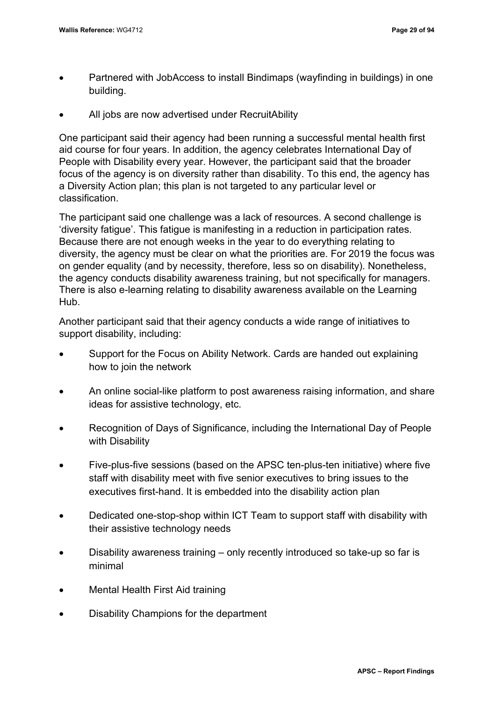- Partnered with JobAccess to install Bindimaps (wayfinding in buildings) in one building.
- All jobs are now advertised under RecruitAbility

One participant said their agency had been running a successful mental health first aid course for four years. In addition, the agency celebrates International Day of People with Disability every year. However, the participant said that the broader focus of the agency is on diversity rather than disability. To this end, the agency has a Diversity Action plan; this plan is not targeted to any particular level or classification.

The participant said one challenge was a lack of resources. A second challenge is 'diversity fatigue'. This fatigue is manifesting in a reduction in participation rates. Because there are not enough weeks in the year to do everything relating to diversity, the agency must be clear on what the priorities are. For 2019 the focus was on gender equality (and by necessity, therefore, less so on disability). Nonetheless, the agency conducts disability awareness training, but not specifically for managers. There is also e-learning relating to disability awareness available on the Learning Hub.

Another participant said that their agency conducts a wide range of initiatives to support disability, including:

- Support for the Focus on Ability Network. Cards are handed out explaining how to join the network
- An online social-like platform to post awareness raising information, and share ideas for assistive technology, etc.
- Recognition of Days of Significance, including the International Day of People with Disability
- Five-plus-five sessions (based on the APSC ten-plus-ten initiative) where five staff with disability meet with five senior executives to bring issues to the executives first-hand. It is embedded into the disability action plan
- Dedicated one-stop-shop within ICT Team to support staff with disability with their assistive technology needs
- Disability awareness training only recently introduced so take-up so far is minimal
- Mental Health First Aid training
- Disability Champions for the department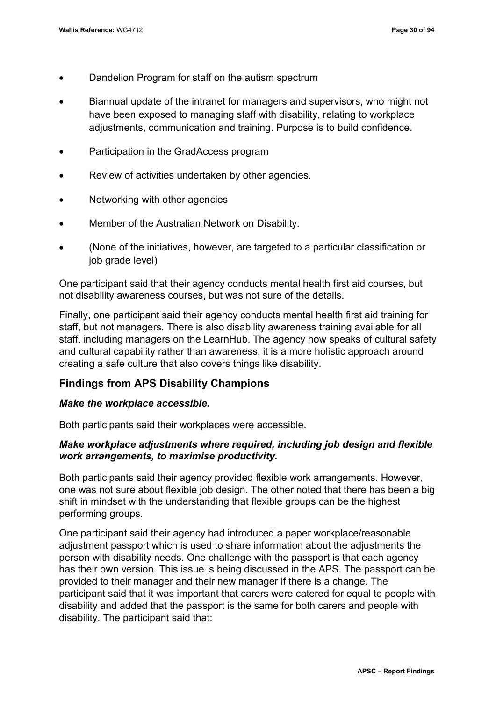- Dandelion Program for staff on the autism spectrum
- Biannual update of the intranet for managers and supervisors, who might not have been exposed to managing staff with disability, relating to workplace adjustments, communication and training. Purpose is to build confidence.
- Participation in the GradAccess program
- Review of activities undertaken by other agencies.
- Networking with other agencies
- Member of the Australian Network on Disability.
- (None of the initiatives, however, are targeted to a particular classification or job grade level)

One participant said that their agency conducts mental health first aid courses, but not disability awareness courses, but was not sure of the details.

Finally, one participant said their agency conducts mental health first aid training for staff, but not managers. There is also disability awareness training available for all staff, including managers on the LearnHub. The agency now speaks of cultural safety and cultural capability rather than awareness; it is a more holistic approach around creating a safe culture that also covers things like disability.

## **Findings from APS Disability Champions**

### *Make the workplace accessible.*

Both participants said their workplaces were accessible.

## *Make workplace adjustments where required, including job design and flexible work arrangements, to maximise productivity.*

Both participants said their agency provided flexible work arrangements. However, one was not sure about flexible job design. The other noted that there has been a big shift in mindset with the understanding that flexible groups can be the highest performing groups.

One participant said their agency had introduced a paper workplace/reasonable adjustment passport which is used to share information about the adjustments the person with disability needs. One challenge with the passport is that each agency has their own version. This issue is being discussed in the APS. The passport can be provided to their manager and their new manager if there is a change. The participant said that it was important that carers were catered for equal to people with disability and added that the passport is the same for both carers and people with disability. The participant said that: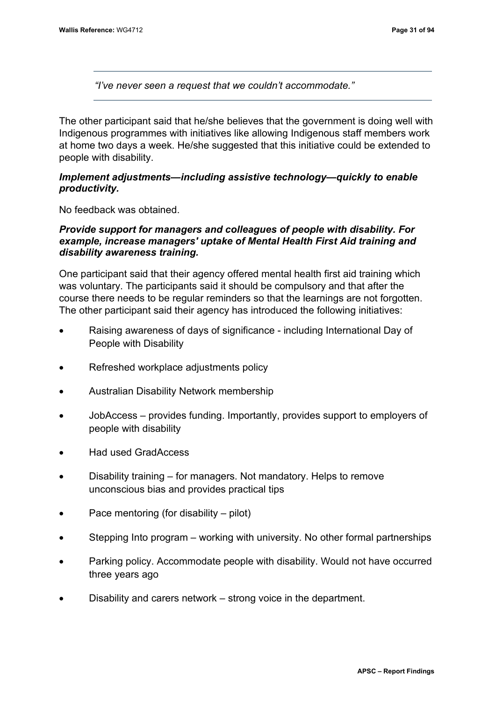*"I've never seen a request that we couldn't accommodate."*

The other participant said that he/she believes that the government is doing well with Indigenous programmes with initiatives like allowing Indigenous staff members work at home two days a week. He/she suggested that this initiative could be extended to people with disability.

## *Implement adjustments—including assistive technology—quickly to enable productivity.*

No feedback was obtained.

## *Provide support for managers and colleagues of people with disability. For example, increase managers' uptake of Mental Health First Aid training and disability awareness training.*

One participant said that their agency offered mental health first aid training which was voluntary. The participants said it should be compulsory and that after the course there needs to be regular reminders so that the learnings are not forgotten. The other participant said their agency has introduced the following initiatives:

- Raising awareness of days of significance including International Day of People with Disability
- Refreshed workplace adjustments policy
- Australian Disability Network membership
- JobAccess provides funding. Importantly, provides support to employers of people with disability
- Had used GradAccess
- Disability training for managers. Not mandatory. Helps to remove unconscious bias and provides practical tips
- Pace mentoring (for disability pilot)
- Stepping Into program working with university. No other formal partnerships
- Parking policy. Accommodate people with disability. Would not have occurred three years ago
- Disability and carers network strong voice in the department.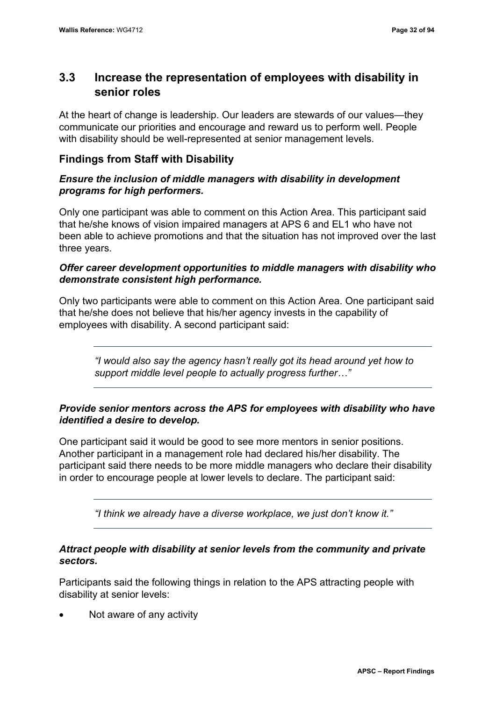# **3.3 Increase the representation of employees with disability in senior roles**

At the heart of change is leadership. Our leaders are stewards of our values—they communicate our priorities and encourage and reward us to perform well. People with disability should be well-represented at senior management levels.

## **Findings from Staff with Disability**

## *Ensure the inclusion of middle managers with disability in development programs for high performers.*

Only one participant was able to comment on this Action Area. This participant said that he/she knows of vision impaired managers at APS 6 and EL1 who have not been able to achieve promotions and that the situation has not improved over the last three years.

## *Offer career development opportunities to middle managers with disability who demonstrate consistent high performance.*

Only two participants were able to comment on this Action Area. One participant said that he/she does not believe that his/her agency invests in the capability of employees with disability. A second participant said:

*"I would also say the agency hasn't really got its head around yet how to support middle level people to actually progress further…"*

## *Provide senior mentors across the APS for employees with disability who have identified a desire to develop.*

One participant said it would be good to see more mentors in senior positions. Another participant in a management role had declared his/her disability. The participant said there needs to be more middle managers who declare their disability in order to encourage people at lower levels to declare. The participant said:

*"I think we already have a diverse workplace, we just don't know it."*

## *Attract people with disability at senior levels from the community and private sectors.*

Participants said the following things in relation to the APS attracting people with disability at senior levels:

Not aware of any activity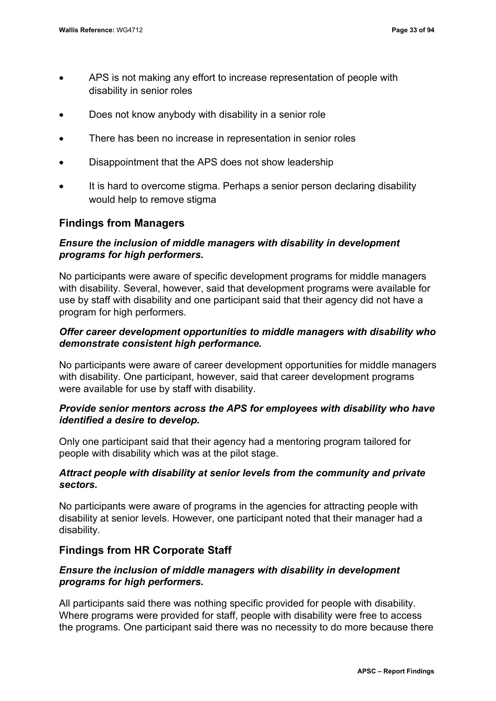- APS is not making any effort to increase representation of people with disability in senior roles
- Does not know anybody with disability in a senior role
- There has been no increase in representation in senior roles
- Disappointment that the APS does not show leadership
- It is hard to overcome stigma. Perhaps a senior person declaring disability would help to remove stigma

## **Findings from Managers**

## *Ensure the inclusion of middle managers with disability in development programs for high performers.*

No participants were aware of specific development programs for middle managers with disability. Several, however, said that development programs were available for use by staff with disability and one participant said that their agency did not have a program for high performers.

## *Offer career development opportunities to middle managers with disability who demonstrate consistent high performance.*

No participants were aware of career development opportunities for middle managers with disability. One participant, however, said that career development programs were available for use by staff with disability.

## *Provide senior mentors across the APS for employees with disability who have identified a desire to develop.*

Only one participant said that their agency had a mentoring program tailored for people with disability which was at the pilot stage.

## *Attract people with disability at senior levels from the community and private sectors.*

No participants were aware of programs in the agencies for attracting people with disability at senior levels. However, one participant noted that their manager had a disability.

## **Findings from HR Corporate Staff**

## *Ensure the inclusion of middle managers with disability in development programs for high performers.*

All participants said there was nothing specific provided for people with disability. Where programs were provided for staff, people with disability were free to access the programs. One participant said there was no necessity to do more because there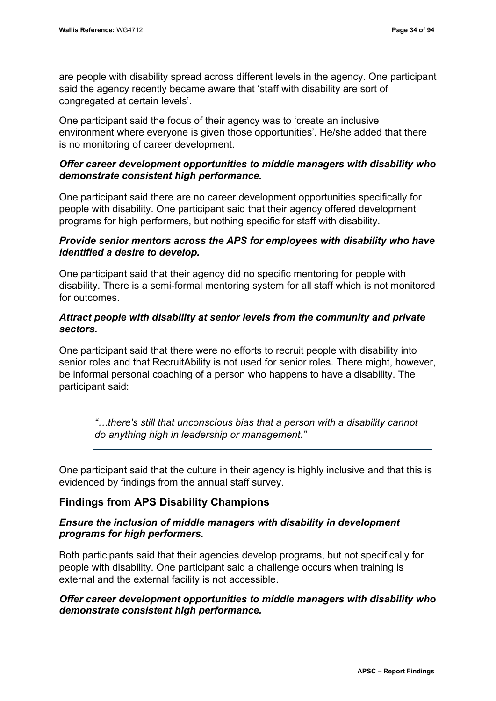are people with disability spread across different levels in the agency. One participant said the agency recently became aware that 'staff with disability are sort of congregated at certain levels'.

One participant said the focus of their agency was to 'create an inclusive environment where everyone is given those opportunities'. He/she added that there is no monitoring of career development.

## *Offer career development opportunities to middle managers with disability who demonstrate consistent high performance.*

One participant said there are no career development opportunities specifically for people with disability. One participant said that their agency offered development programs for high performers, but nothing specific for staff with disability.

## *Provide senior mentors across the APS for employees with disability who have identified a desire to develop.*

One participant said that their agency did no specific mentoring for people with disability. There is a semi-formal mentoring system for all staff which is not monitored for outcomes.

## *Attract people with disability at senior levels from the community and private sectors.*

One participant said that there were no efforts to recruit people with disability into senior roles and that RecruitAbility is not used for senior roles. There might, however, be informal personal coaching of a person who happens to have a disability. The participant said:

*"…there's still that unconscious bias that a person with a disability cannot do anything high in leadership or management."*

One participant said that the culture in their agency is highly inclusive and that this is evidenced by findings from the annual staff survey.

# **Findings from APS Disability Champions**

## *Ensure the inclusion of middle managers with disability in development programs for high performers.*

Both participants said that their agencies develop programs, but not specifically for people with disability. One participant said a challenge occurs when training is external and the external facility is not accessible.

## *Offer career development opportunities to middle managers with disability who demonstrate consistent high performance.*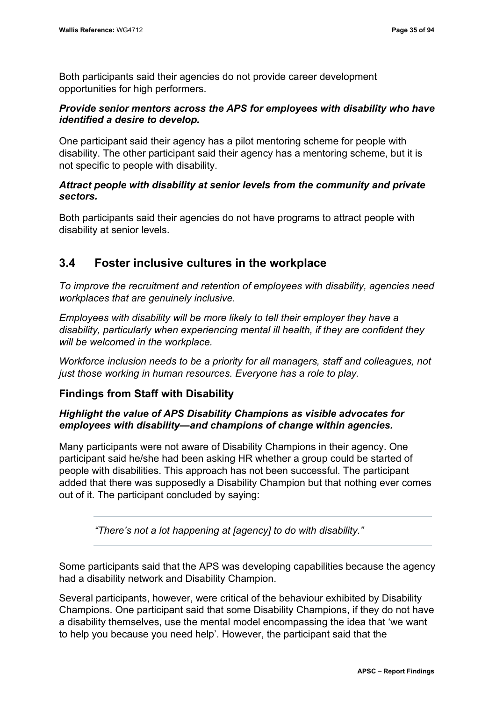Both participants said their agencies do not provide career development opportunities for high performers.

## *Provide senior mentors across the APS for employees with disability who have identified a desire to develop.*

One participant said their agency has a pilot mentoring scheme for people with disability. The other participant said their agency has a mentoring scheme, but it is not specific to people with disability.

## *Attract people with disability at senior levels from the community and private sectors.*

Both participants said their agencies do not have programs to attract people with disability at senior levels.

# **3.4 Foster inclusive cultures in the workplace**

*To improve the recruitment and retention of employees with disability, agencies need workplaces that are genuinely inclusive.*

*Employees with disability will be more likely to tell their employer they have a disability, particularly when experiencing mental ill health, if they are confident they will be welcomed in the workplace.*

*Workforce inclusion needs to be a priority for all managers, staff and colleagues, not just those working in human resources. Everyone has a role to play.*

## **Findings from Staff with Disability**

## *Highlight the value of APS Disability Champions as visible advocates for employees with disability—and champions of change within agencies.*

Many participants were not aware of Disability Champions in their agency. One participant said he/she had been asking HR whether a group could be started of people with disabilities. This approach has not been successful. The participant added that there was supposedly a Disability Champion but that nothing ever comes out of it. The participant concluded by saying:

*"There's not a lot happening at [agency] to do with disability."*

Some participants said that the APS was developing capabilities because the agency had a disability network and Disability Champion.

Several participants, however, were critical of the behaviour exhibited by Disability Champions. One participant said that some Disability Champions, if they do not have a disability themselves, use the mental model encompassing the idea that 'we want to help you because you need help'. However, the participant said that the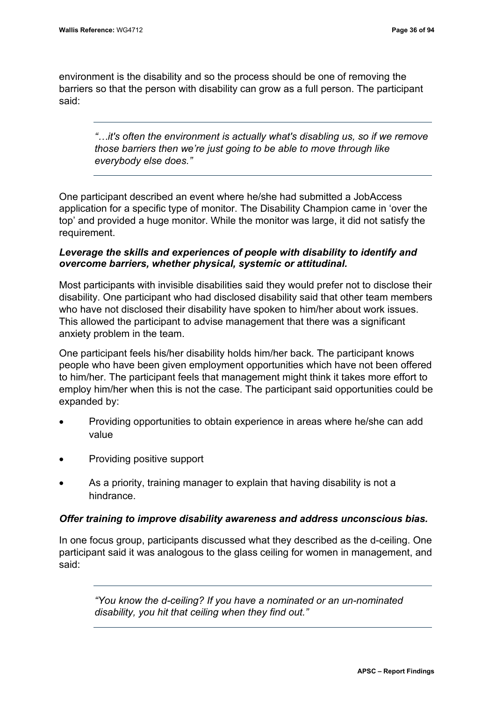environment is the disability and so the process should be one of removing the barriers so that the person with disability can grow as a full person. The participant said:

*"…it's often the environment is actually what's disabling us, so if we remove those barriers then we're just going to be able to move through like everybody else does."*

One participant described an event where he/she had submitted a JobAccess application for a specific type of monitor. The Disability Champion came in 'over the top' and provided a huge monitor. While the monitor was large, it did not satisfy the requirement.

## *Leverage the skills and experiences of people with disability to identify and overcome barriers, whether physical, systemic or attitudinal.*

Most participants with invisible disabilities said they would prefer not to disclose their disability. One participant who had disclosed disability said that other team members who have not disclosed their disability have spoken to him/her about work issues. This allowed the participant to advise management that there was a significant anxiety problem in the team.

One participant feels his/her disability holds him/her back. The participant knows people who have been given employment opportunities which have not been offered to him/her. The participant feels that management might think it takes more effort to employ him/her when this is not the case. The participant said opportunities could be expanded by:

- Providing opportunities to obtain experience in areas where he/she can add value
- Providing positive support
- As a priority, training manager to explain that having disability is not a hindrance.

### *Offer training to improve disability awareness and address unconscious bias.*

In one focus group, participants discussed what they described as the d-ceiling. One participant said it was analogous to the glass ceiling for women in management, and said:

*"You know the d-ceiling? If you have a nominated or an un-nominated disability, you hit that ceiling when they find out."*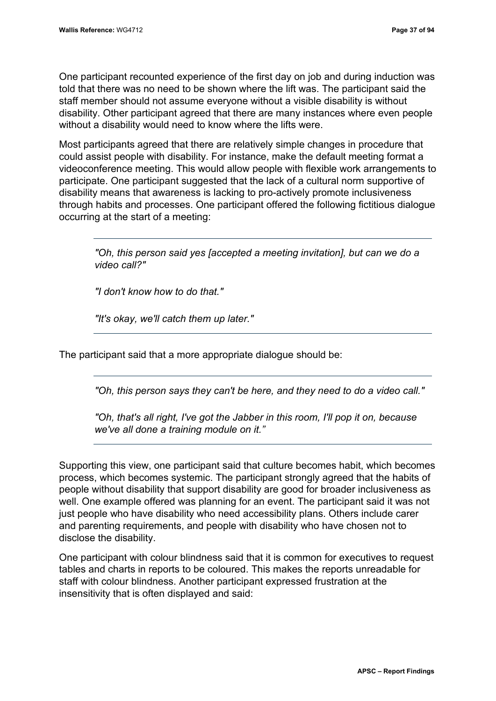One participant recounted experience of the first day on job and during induction was told that there was no need to be shown where the lift was. The participant said the staff member should not assume everyone without a visible disability is without disability. Other participant agreed that there are many instances where even people without a disability would need to know where the lifts were.

Most participants agreed that there are relatively simple changes in procedure that could assist people with disability. For instance, make the default meeting format a videoconference meeting. This would allow people with flexible work arrangements to participate. One participant suggested that the lack of a cultural norm supportive of disability means that awareness is lacking to pro-actively promote inclusiveness through habits and processes. One participant offered the following fictitious dialogue occurring at the start of a meeting:

*"Oh, this person said yes [accepted a meeting invitation], but can we do a video call?"*

*"I don't know how to do that."*

*"It's okay, we'll catch them up later."*

The participant said that a more appropriate dialogue should be:

*"Oh, this person says they can't be here, and they need to do a video call."*

*"Oh, that's all right, I've got the Jabber in this room, I'll pop it on, because we've all done a training module on it."*

Supporting this view, one participant said that culture becomes habit, which becomes process, which becomes systemic. The participant strongly agreed that the habits of people without disability that support disability are good for broader inclusiveness as well. One example offered was planning for an event. The participant said it was not just people who have disability who need accessibility plans. Others include carer and parenting requirements, and people with disability who have chosen not to disclose the disability.

One participant with colour blindness said that it is common for executives to request tables and charts in reports to be coloured. This makes the reports unreadable for staff with colour blindness. Another participant expressed frustration at the insensitivity that is often displayed and said: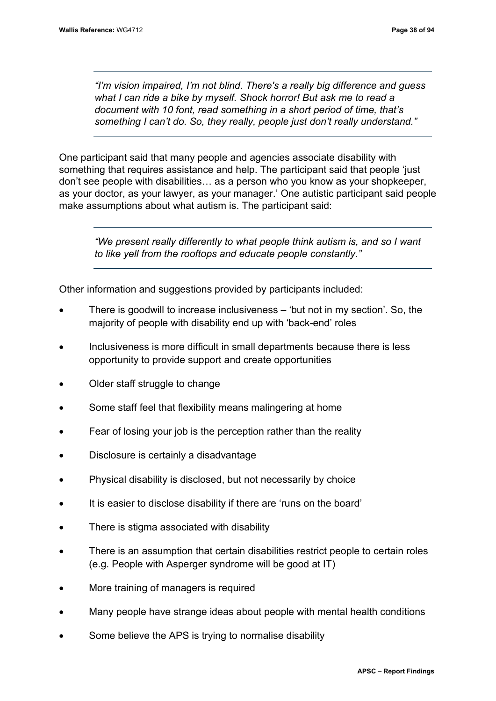*"I'm vision impaired, I'm not blind. There's a really big difference and guess what I can ride a bike by myself. Shock horror! But ask me to read a document with 10 font, read something in a short period of time, that's something I can't do. So, they really, people just don't really understand."*

One participant said that many people and agencies associate disability with something that requires assistance and help. The participant said that people 'just don't see people with disabilities… as a person who you know as your shopkeeper, as your doctor, as your lawyer, as your manager.' One autistic participant said people make assumptions about what autism is. The participant said:

*"We present really differently to what people think autism is, and so I want to like yell from the rooftops and educate people constantly."*

Other information and suggestions provided by participants included:

- There is goodwill to increase inclusiveness 'but not in my section'. So, the majority of people with disability end up with 'back-end' roles
- Inclusiveness is more difficult in small departments because there is less opportunity to provide support and create opportunities
- Older staff struggle to change
- Some staff feel that flexibility means malingering at home
- Fear of losing your job is the perception rather than the reality
- Disclosure is certainly a disadvantage
- Physical disability is disclosed, but not necessarily by choice
- It is easier to disclose disability if there are 'runs on the board'
- There is stigma associated with disability
- There is an assumption that certain disabilities restrict people to certain roles (e.g. People with Asperger syndrome will be good at IT)
- More training of managers is required
- Many people have strange ideas about people with mental health conditions
- Some believe the APS is trying to normalise disability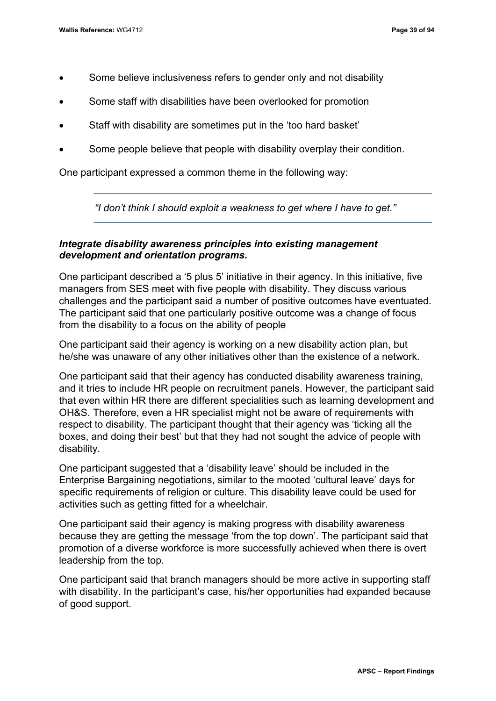- Some believe inclusiveness refers to gender only and not disability
- Some staff with disabilities have been overlooked for promotion
- Staff with disability are sometimes put in the 'too hard basket'
- Some people believe that people with disability overplay their condition.

One participant expressed a common theme in the following way:

*"I don't think I should exploit a weakness to get where I have to get."*

## *Integrate disability awareness principles into existing management development and orientation programs.*

One participant described a '5 plus 5' initiative in their agency. In this initiative, five managers from SES meet with five people with disability. They discuss various challenges and the participant said a number of positive outcomes have eventuated. The participant said that one particularly positive outcome was a change of focus from the disability to a focus on the ability of people

One participant said their agency is working on a new disability action plan, but he/she was unaware of any other initiatives other than the existence of a network.

One participant said that their agency has conducted disability awareness training, and it tries to include HR people on recruitment panels. However, the participant said that even within HR there are different specialities such as learning development and OH&S. Therefore, even a HR specialist might not be aware of requirements with respect to disability. The participant thought that their agency was 'ticking all the boxes, and doing their best' but that they had not sought the advice of people with disability.

One participant suggested that a 'disability leave' should be included in the Enterprise Bargaining negotiations, similar to the mooted 'cultural leave' days for specific requirements of religion or culture. This disability leave could be used for activities such as getting fitted for a wheelchair.

One participant said their agency is making progress with disability awareness because they are getting the message 'from the top down'. The participant said that promotion of a diverse workforce is more successfully achieved when there is overt leadership from the top.

One participant said that branch managers should be more active in supporting staff with disability. In the participant's case, his/her opportunities had expanded because of good support.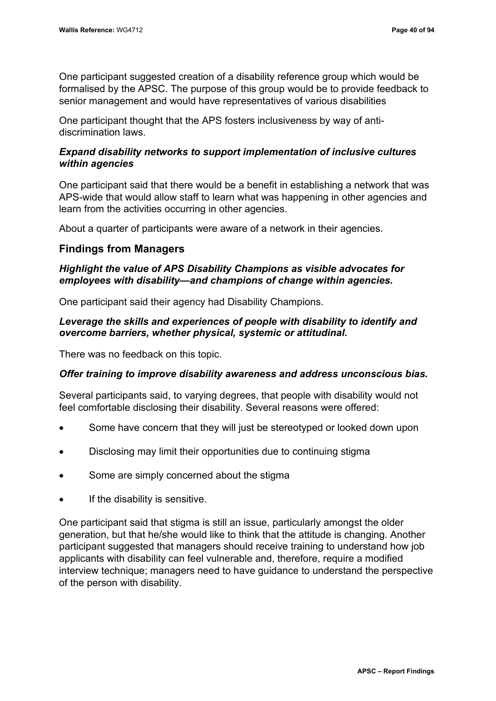One participant suggested creation of a disability reference group which would be formalised by the APSC. The purpose of this group would be to provide feedback to senior management and would have representatives of various disabilities

One participant thought that the APS fosters inclusiveness by way of antidiscrimination laws.

## *Expand disability networks to support implementation of inclusive cultures within agencies*

One participant said that there would be a benefit in establishing a network that was APS-wide that would allow staff to learn what was happening in other agencies and learn from the activities occurring in other agencies.

About a quarter of participants were aware of a network in their agencies.

## **Findings from Managers**

## *Highlight the value of APS Disability Champions as visible advocates for employees with disability—and champions of change within agencies.*

One participant said their agency had Disability Champions.

## *Leverage the skills and experiences of people with disability to identify and overcome barriers, whether physical, systemic or attitudinal.*

There was no feedback on this topic.

## *Offer training to improve disability awareness and address unconscious bias.*

Several participants said, to varying degrees, that people with disability would not feel comfortable disclosing their disability. Several reasons were offered:

- Some have concern that they will just be stereotyped or looked down upon
- Disclosing may limit their opportunities due to continuing stigma
- Some are simply concerned about the stigma
- If the disability is sensitive.

One participant said that stigma is still an issue, particularly amongst the older generation, but that he/she would like to think that the attitude is changing. Another participant suggested that managers should receive training to understand how job applicants with disability can feel vulnerable and, therefore, require a modified interview technique; managers need to have guidance to understand the perspective of the person with disability.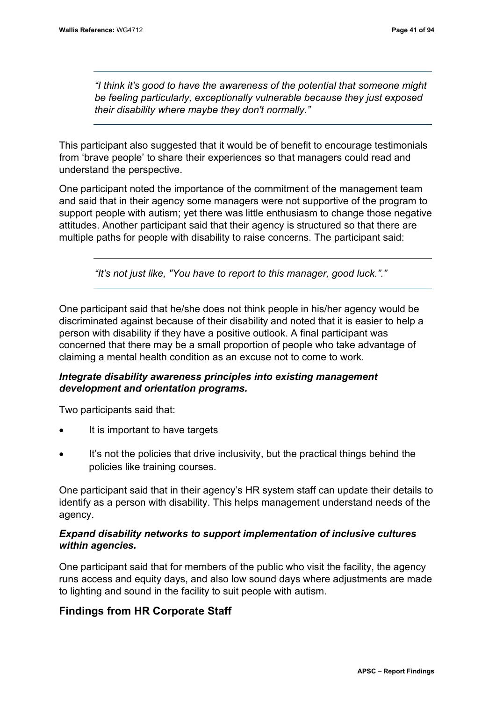*"I think it's good to have the awareness of the potential that someone might be feeling particularly, exceptionally vulnerable because they just exposed their disability where maybe they don't normally."*

This participant also suggested that it would be of benefit to encourage testimonials from 'brave people' to share their experiences so that managers could read and understand the perspective.

One participant noted the importance of the commitment of the management team and said that in their agency some managers were not supportive of the program to support people with autism; yet there was little enthusiasm to change those negative attitudes. Another participant said that their agency is structured so that there are multiple paths for people with disability to raise concerns. The participant said:

*"It's not just like, "You have to report to this manager, good luck."."*

One participant said that he/she does not think people in his/her agency would be discriminated against because of their disability and noted that it is easier to help a person with disability if they have a positive outlook. A final participant was concerned that there may be a small proportion of people who take advantage of claiming a mental health condition as an excuse not to come to work.

## *Integrate disability awareness principles into existing management development and orientation programs.*

Two participants said that:

- It is important to have targets
- It's not the policies that drive inclusivity, but the practical things behind the policies like training courses.

One participant said that in their agency's HR system staff can update their details to identify as a person with disability. This helps management understand needs of the agency.

## *Expand disability networks to support implementation of inclusive cultures within agencies.*

One participant said that for members of the public who visit the facility, the agency runs access and equity days, and also low sound days where adjustments are made to lighting and sound in the facility to suit people with autism.

## **Findings from HR Corporate Staff**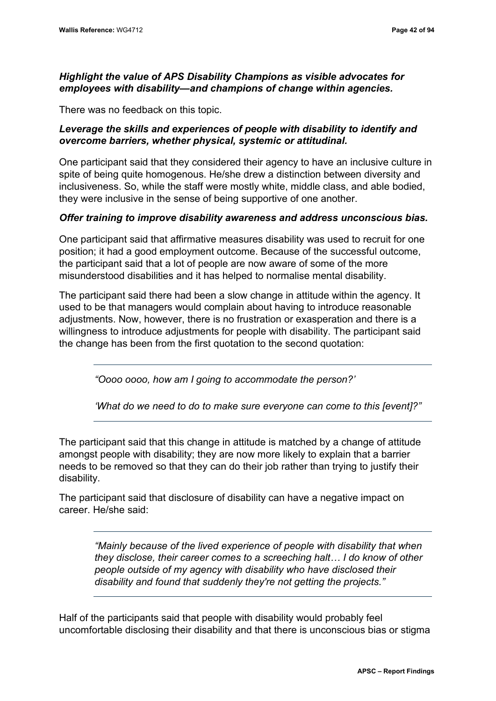## *Highlight the value of APS Disability Champions as visible advocates for employees with disability—and champions of change within agencies.*

There was no feedback on this topic.

## *Leverage the skills and experiences of people with disability to identify and overcome barriers, whether physical, systemic or attitudinal.*

One participant said that they considered their agency to have an inclusive culture in spite of being quite homogenous. He/she drew a distinction between diversity and inclusiveness. So, while the staff were mostly white, middle class, and able bodied, they were inclusive in the sense of being supportive of one another.

## *Offer training to improve disability awareness and address unconscious bias.*

One participant said that affirmative measures disability was used to recruit for one position; it had a good employment outcome. Because of the successful outcome, the participant said that a lot of people are now aware of some of the more misunderstood disabilities and it has helped to normalise mental disability.

The participant said there had been a slow change in attitude within the agency. It used to be that managers would complain about having to introduce reasonable adjustments. Now, however, there is no frustration or exasperation and there is a willingness to introduce adjustments for people with disability. The participant said the change has been from the first quotation to the second quotation:

*"Oooo oooo, how am I going to accommodate the person?'* 

*'What do we need to do to make sure everyone can come to this [event]?"*

The participant said that this change in attitude is matched by a change of attitude amongst people with disability; they are now more likely to explain that a barrier needs to be removed so that they can do their job rather than trying to justify their disability.

The participant said that disclosure of disability can have a negative impact on career. He/she said:

> *"Mainly because of the lived experience of people with disability that when they disclose, their career comes to a screeching halt… I do know of other people outside of my agency with disability who have disclosed their disability and found that suddenly they're not getting the projects."*

Half of the participants said that people with disability would probably feel uncomfortable disclosing their disability and that there is unconscious bias or stigma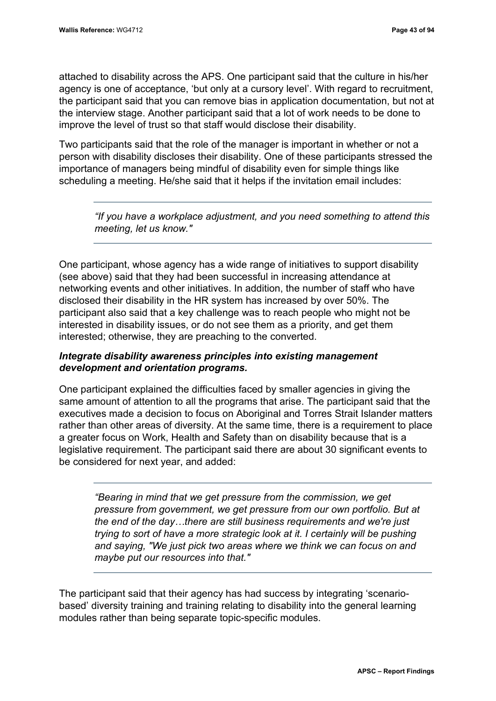attached to disability across the APS. One participant said that the culture in his/her agency is one of acceptance, 'but only at a cursory level'. With regard to recruitment, the participant said that you can remove bias in application documentation, but not at the interview stage. Another participant said that a lot of work needs to be done to improve the level of trust so that staff would disclose their disability.

Two participants said that the role of the manager is important in whether or not a person with disability discloses their disability. One of these participants stressed the importance of managers being mindful of disability even for simple things like scheduling a meeting. He/she said that it helps if the invitation email includes:

*"If you have a workplace adjustment, and you need something to attend this meeting, let us know."*

One participant, whose agency has a wide range of initiatives to support disability (see above) said that they had been successful in increasing attendance at networking events and other initiatives. In addition, the number of staff who have disclosed their disability in the HR system has increased by over 50%. The participant also said that a key challenge was to reach people who might not be interested in disability issues, or do not see them as a priority, and get them interested; otherwise, they are preaching to the converted.

## *Integrate disability awareness principles into existing management development and orientation programs.*

One participant explained the difficulties faced by smaller agencies in giving the same amount of attention to all the programs that arise. The participant said that the executives made a decision to focus on Aboriginal and Torres Strait Islander matters rather than other areas of diversity. At the same time, there is a requirement to place a greater focus on Work, Health and Safety than on disability because that is a legislative requirement. The participant said there are about 30 significant events to be considered for next year, and added:

*"Bearing in mind that we get pressure from the commission, we get pressure from government, we get pressure from our own portfolio. But at the end of the day…there are still business requirements and we're just trying to sort of have a more strategic look at it. I certainly will be pushing and saying, "We just pick two areas where we think we can focus on and maybe put our resources into that."*

The participant said that their agency has had success by integrating 'scenariobased' diversity training and training relating to disability into the general learning modules rather than being separate topic-specific modules.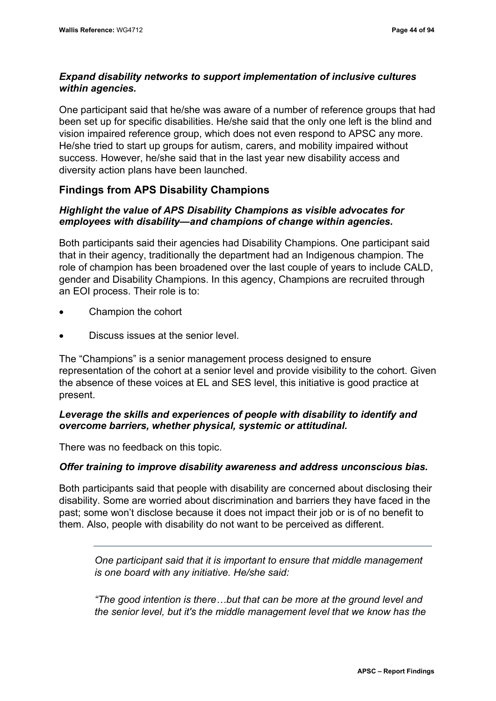## *Expand disability networks to support implementation of inclusive cultures within agencies.*

One participant said that he/she was aware of a number of reference groups that had been set up for specific disabilities. He/she said that the only one left is the blind and vision impaired reference group, which does not even respond to APSC any more. He/she tried to start up groups for autism, carers, and mobility impaired without success. However, he/she said that in the last year new disability access and diversity action plans have been launched.

## **Findings from APS Disability Champions**

## *Highlight the value of APS Disability Champions as visible advocates for employees with disability—and champions of change within agencies.*

Both participants said their agencies had Disability Champions. One participant said that in their agency, traditionally the department had an Indigenous champion. The role of champion has been broadened over the last couple of years to include CALD, gender and Disability Champions. In this agency, Champions are recruited through an EOI process. Their role is to:

- Champion the cohort
- Discuss issues at the senior level.

The "Champions" is a senior management process designed to ensure representation of the cohort at a senior level and provide visibility to the cohort. Given the absence of these voices at EL and SES level, this initiative is good practice at present.

## *Leverage the skills and experiences of people with disability to identify and overcome barriers, whether physical, systemic or attitudinal.*

There was no feedback on this topic.

### *Offer training to improve disability awareness and address unconscious bias.*

Both participants said that people with disability are concerned about disclosing their disability. Some are worried about discrimination and barriers they have faced in the past; some won't disclose because it does not impact their job or is of no benefit to them. Also, people with disability do not want to be perceived as different.

*One participant said that it is important to ensure that middle management is one board with any initiative. He/she said:*

*"The good intention is there…but that can be more at the ground level and the senior level, but it's the middle management level that we know has the*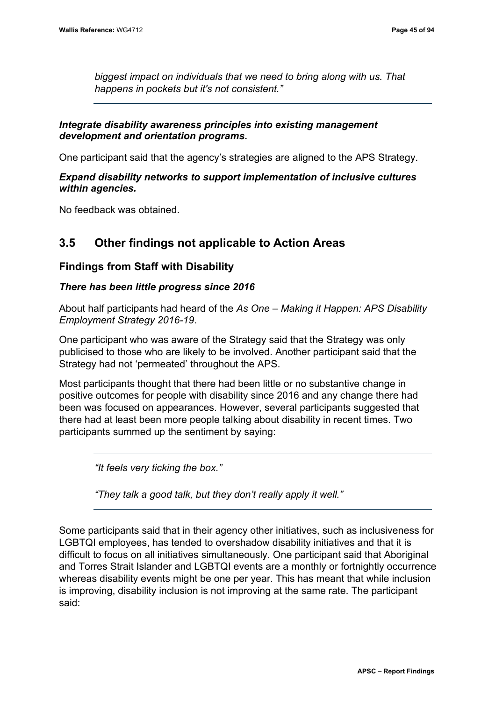*biggest impact on individuals that we need to bring along with us. That happens in pockets but it's not consistent."*

## *Integrate disability awareness principles into existing management development and orientation programs.*

One participant said that the agency's strategies are aligned to the APS Strategy.

## *Expand disability networks to support implementation of inclusive cultures within agencies.*

No feedback was obtained.

# **3.5 Other findings not applicable to Action Areas**

## **Findings from Staff with Disability**

## *There has been little progress since 2016*

About half participants had heard of the *As One – Making it Happen: APS Disability Employment Strategy 2016-19*.

One participant who was aware of the Strategy said that the Strategy was only publicised to those who are likely to be involved. Another participant said that the Strategy had not 'permeated' throughout the APS.

Most participants thought that there had been little or no substantive change in positive outcomes for people with disability since 2016 and any change there had been was focused on appearances. However, several participants suggested that there had at least been more people talking about disability in recent times. Two participants summed up the sentiment by saying:

*"It feels very ticking the box."*

*"They talk a good talk, but they don't really apply it well."*

Some participants said that in their agency other initiatives, such as inclusiveness for LGBTQI employees, has tended to overshadow disability initiatives and that it is difficult to focus on all initiatives simultaneously. One participant said that Aboriginal and Torres Strait Islander and LGBTQI events are a monthly or fortnightly occurrence whereas disability events might be one per year. This has meant that while inclusion is improving, disability inclusion is not improving at the same rate. The participant said: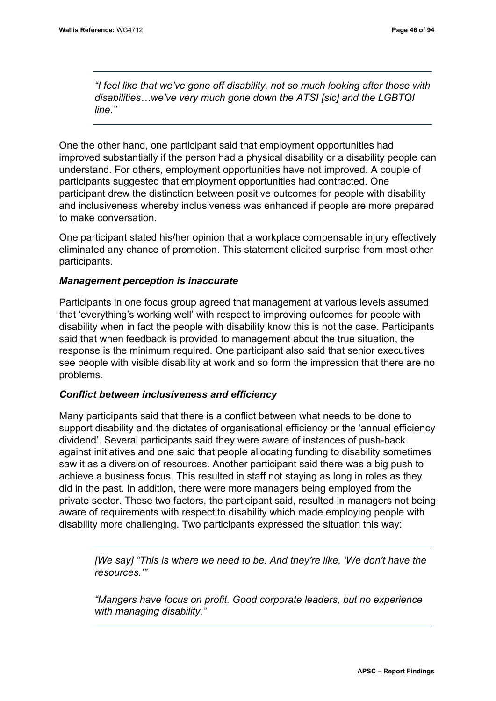*"I feel like that we've gone off disability, not so much looking after those with disabilities…we've very much gone down the ATSI [sic] and the LGBTQI line."*

One the other hand, one participant said that employment opportunities had improved substantially if the person had a physical disability or a disability people can understand. For others, employment opportunities have not improved. A couple of participants suggested that employment opportunities had contracted. One participant drew the distinction between positive outcomes for people with disability and inclusiveness whereby inclusiveness was enhanced if people are more prepared to make conversation.

One participant stated his/her opinion that a workplace compensable injury effectively eliminated any chance of promotion. This statement elicited surprise from most other participants.

## *Management perception is inaccurate*

Participants in one focus group agreed that management at various levels assumed that 'everything's working well' with respect to improving outcomes for people with disability when in fact the people with disability know this is not the case. Participants said that when feedback is provided to management about the true situation, the response is the minimum required. One participant also said that senior executives see people with visible disability at work and so form the impression that there are no problems.

### *Conflict between inclusiveness and efficiency*

Many participants said that there is a conflict between what needs to be done to support disability and the dictates of organisational efficiency or the 'annual efficiency dividend'. Several participants said they were aware of instances of push-back against initiatives and one said that people allocating funding to disability sometimes saw it as a diversion of resources. Another participant said there was a big push to achieve a business focus. This resulted in staff not staying as long in roles as they did in the past. In addition, there were more managers being employed from the private sector. These two factors, the participant said, resulted in managers not being aware of requirements with respect to disability which made employing people with disability more challenging. Two participants expressed the situation this way:

*[We say] "This is where we need to be. And they're like, 'We don't have the resources.'"* 

*"Mangers have focus on profit. Good corporate leaders, but no experience with managing disability."*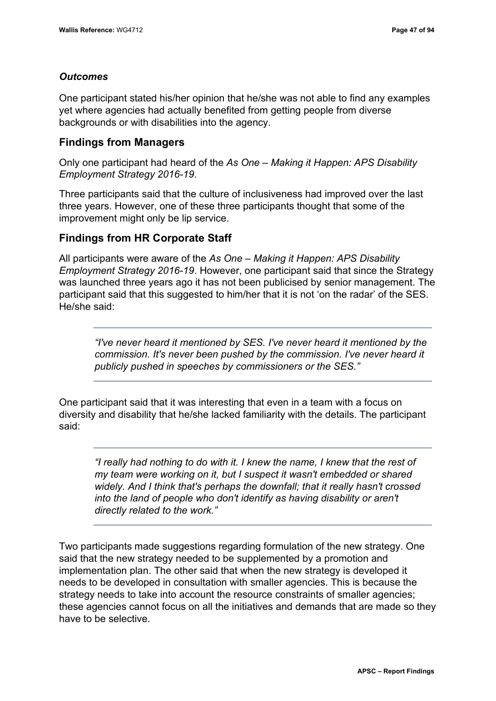## *Outcomes*

One participant stated his/her opinion that he/she was not able to find any examples yet where agencies had actually benefited from getting people from diverse backgrounds or with disabilities into the agency.

## **Findings from Managers**

Only one participant had heard of the *As One – Making it Happen: APS Disability Employment Strategy 2016-19*.

Three participants said that the culture of inclusiveness had improved over the last three years. However, one of these three participants thought that some of the improvement might only be lip service.

## **Findings from HR Corporate Staff**

All participants were aware of the *As One – Making it Happen: APS Disability Employment Strategy 2016-19*. However, one participant said that since the Strategy was launched three years ago it has not been publicised by senior management. The participant said that this suggested to him/her that it is not 'on the radar' of the SES. He/she said:

*"I've never heard it mentioned by SES. I've never heard it mentioned by the commission. It's never been pushed by the commission. I've never heard it publicly pushed in speeches by commissioners or the SES."*

One participant said that it was interesting that even in a team with a focus on diversity and disability that he/she lacked familiarity with the details. The participant said:

*"I really had nothing to do with it. I knew the name, I knew that the rest of my team were working on it, but I suspect it wasn't embedded or shared widely. And I think that's perhaps the downfall; that it really hasn't crossed into the land of people who don't identify as having disability or aren't directly related to the work."*

Two participants made suggestions regarding formulation of the new strategy. One said that the new strategy needed to be supplemented by a promotion and implementation plan. The other said that when the new strategy is developed it needs to be developed in consultation with smaller agencies. This is because the strategy needs to take into account the resource constraints of smaller agencies; these agencies cannot focus on all the initiatives and demands that are made so they have to be selective.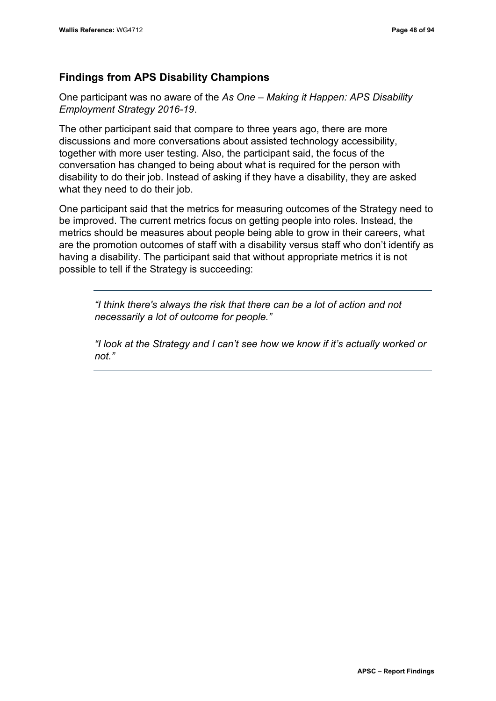## **Findings from APS Disability Champions**

One participant was no aware of the *As One – Making it Happen: APS Disability Employment Strategy 2016-19*.

The other participant said that compare to three years ago, there are more discussions and more conversations about assisted technology accessibility, together with more user testing. Also, the participant said, the focus of the conversation has changed to being about what is required for the person with disability to do their job. Instead of asking if they have a disability, they are asked what they need to do their job.

One participant said that the metrics for measuring outcomes of the Strategy need to be improved. The current metrics focus on getting people into roles. Instead, the metrics should be measures about people being able to grow in their careers, what are the promotion outcomes of staff with a disability versus staff who don't identify as having a disability. The participant said that without appropriate metrics it is not possible to tell if the Strategy is succeeding:

*"I think there's always the risk that there can be a lot of action and not necessarily a lot of outcome for people."*

*"I look at the Strategy and I can't see how we know if it's actually worked or not."*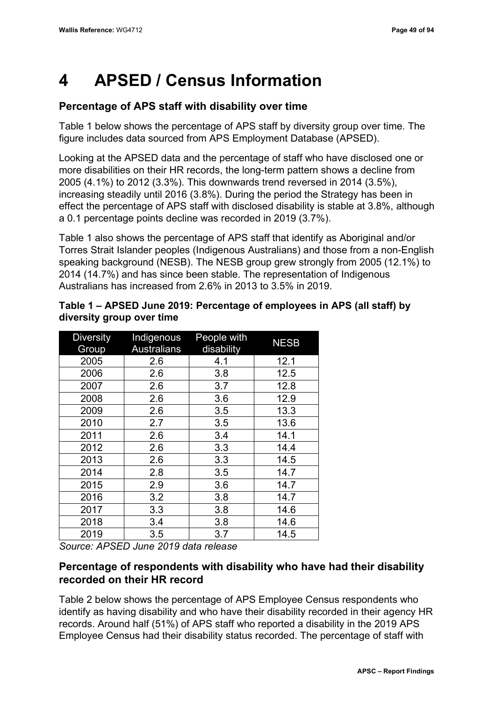# **4 APSED / Census Information**

# **Percentage of APS staff with disability over time**

[Table 1](#page-58-0) below shows the percentage of APS staff by diversity group over time. The figure includes data sourced from APS Employment Database (APSED).

Looking at the APSED data and the percentage of staff who have disclosed one or more disabilities on their HR records, the long-term pattern shows a decline from 2005 (4.1%) to 2012 (3.3%). This downwards trend reversed in 2014 (3.5%), increasing steadily until 2016 (3.8%). During the period the Strategy has been in effect the percentage of APS staff with disclosed disability is stable at 3.8%, although a 0.1 percentage points decline was recorded in 2019 (3.7%).

Table 1 also shows the percentage of APS staff that identify as Aboriginal and/or Torres Strait Islander peoples (Indigenous Australians) and those from a non-English speaking background (NESB). The NESB group grew strongly from 2005 (12.1%) to 2014 (14.7%) and has since been stable. The representation of Indigenous Australians has increased from 2.6% in 2013 to 3.5% in 2019.

| <b>Diversity</b><br>Group | Indigenous<br><b>Australians</b> | People with<br>disability | <b>NESB</b> |
|---------------------------|----------------------------------|---------------------------|-------------|
| 2005                      | 2.6                              | 4.1                       | 12.1        |
| 2006                      | 2.6                              | 3.8                       | 12.5        |
| 2007                      | 2.6                              | 3.7                       | 12.8        |
| 2008                      | 2.6                              | 3.6                       | 12.9        |
| 2009                      | 2.6                              | 3.5                       | 13.3        |
| 2010                      | 2.7                              | 3.5                       | 13.6        |
| 2011                      | 2.6                              | 3.4                       | 14.1        |
| 2012                      | 2.6                              | 3.3                       | 14.4        |
| 2013                      | 2.6                              | 3.3                       | 14.5        |
| 2014                      | 2.8                              | 3.5                       | 14.7        |
| 2015                      | 2.9                              | 3.6                       | 14.7        |
| 2016                      | 3.2                              | 3.8                       | 14.7        |
| 2017                      | 3.3                              | 3.8                       | 14.6        |
| 2018                      | 3.4                              | 3.8                       | 14.6        |
| 2019                      | 3.5                              | 3.7                       | 14.5        |

## <span id="page-58-0"></span>**Table 1 – APSED June 2019: Percentage of employees in APS (all staff) by diversity group over time**

*Source: APSED June 2019 data release*

## **Percentage of respondents with disability who have had their disability recorded on their HR record**

[Table 2](#page-59-0) below shows the percentage of APS Employee Census respondents who identify as having disability and who have their disability recorded in their agency HR records. Around half (51%) of APS staff who reported a disability in the 2019 APS Employee Census had their disability status recorded. The percentage of staff with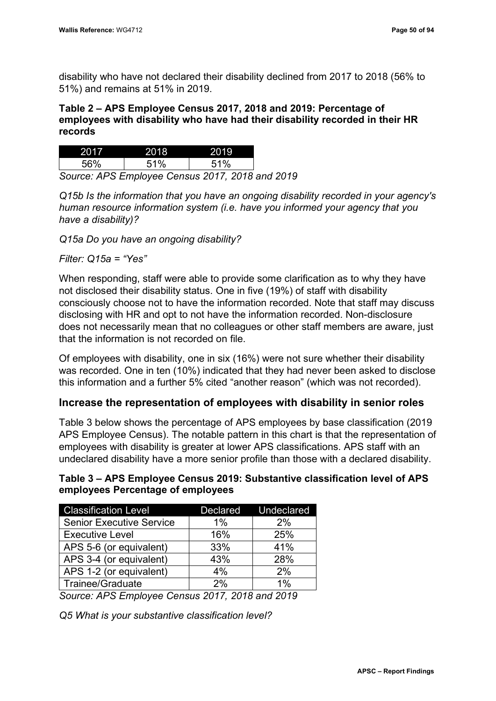disability who have not declared their disability declined from 2017 to 2018 (56% to 51%) and remains at 51% in 2019.

## <span id="page-59-0"></span>**Table 2 – APS Employee Census 2017, 2018 and 2019: Percentage of employees with disability who have had their disability recorded in their HR records**

| 56%                                       | 51% | 51% |  |  |  |
|-------------------------------------------|-----|-----|--|--|--|
| Cause: ADC Employee Canous 2017, 2010 and |     |     |  |  |  |

*Source: APS Employee Census 2017, 2018 and 2019*

*Q15b Is the information that you have an ongoing disability recorded in your agency's human resource information system (i.e. have you informed your agency that you have a disability)?* 

*Q15a Do you have an ongoing disability?*

*Filter: Q15a = "Yes"*

When responding, staff were able to provide some clarification as to why they have not disclosed their disability status. One in five (19%) of staff with disability consciously choose not to have the information recorded. Note that staff may discuss disclosing with HR and opt to not have the information recorded. Non-disclosure does not necessarily mean that no colleagues or other staff members are aware, just that the information is not recorded on file.

Of employees with disability, one in six (16%) were not sure whether their disability was recorded. One in ten (10%) indicated that they had never been asked to disclose this information and a further 5% cited "another reason" (which was not recorded).

## **Increase the representation of employees with disability in senior roles**

[Table 3](#page-59-1) below shows the percentage of APS employees by base classification (2019 APS Employee Census). The notable pattern in this chart is that the representation of employees with disability is greater at lower APS classifications. APS staff with an undeclared disability have a more senior profile than those with a declared disability.

## <span id="page-59-1"></span>**Table 3 – APS Employee Census 2019: Substantive classification level of APS employees Percentage of employees**

| <b>Classification Level</b>     |     | Declared Undeclared |
|---------------------------------|-----|---------------------|
| <b>Senior Executive Service</b> | 1%  | 2%                  |
| <b>Executive Level</b>          | 16% | 25%                 |
| APS 5-6 (or equivalent)         | 33% | 41%                 |
| APS 3-4 (or equivalent)         | 43% | 28%                 |
| APS 1-2 (or equivalent)         | 4%  | 2%                  |
| Trainee/Graduate                | 2%  | $1\%$               |

*Source: APS Employee Census 2017, 2018 and 2019*

*Q5 What is your substantive classification level?*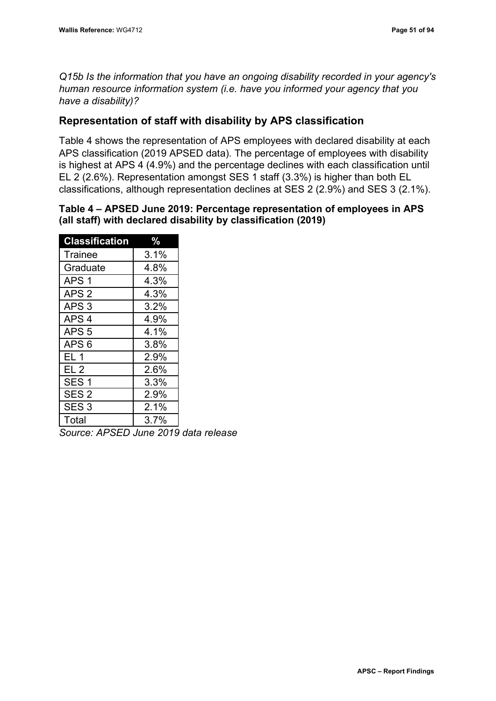*Q15b Is the information that you have an ongoing disability recorded in your agency's human resource information system (i.e. have you informed your agency that you have a disability)?*

## **Representation of staff with disability by APS classification**

[Table 4](#page-60-0) shows the representation of APS employees with declared disability at each APS classification (2019 APSED data). The percentage of employees with disability is highest at APS 4 (4.9%) and the percentage declines with each classification until EL 2 (2.6%). Representation amongst SES 1 staff (3.3%) is higher than both EL classifications, although representation declines at SES 2 (2.9%) and SES 3 (2.1%).

## <span id="page-60-0"></span>**Table 4 – APSED June 2019: Percentage representation of employees in APS (all staff) with declared disability by classification (2019)**

| <b>Classification</b> | $\frac{0}{2}$ |
|-----------------------|---------------|
| Trainee               | 3.1%          |
| Graduate              | 4.8%          |
| APS <sub>1</sub>      | 4.3%          |
| APS <sub>2</sub>      | 4.3%          |
| APS <sub>3</sub>      | 3.2%          |
| APS <sub>4</sub>      | 4.9%          |
| APS <sub>5</sub>      | 4.1%          |
| APS <sub>6</sub>      | 3.8%          |
| EL 1                  | 2.9%          |
| EL 2                  | 2.6%          |
| SES <sub>1</sub>      | 3.3%          |
| SES <sub>2</sub>      | 2.9%          |
| SES <sub>3</sub>      | 2.1%          |
| Total                 | 3.7%          |

*Source: APSED June 2019 data release*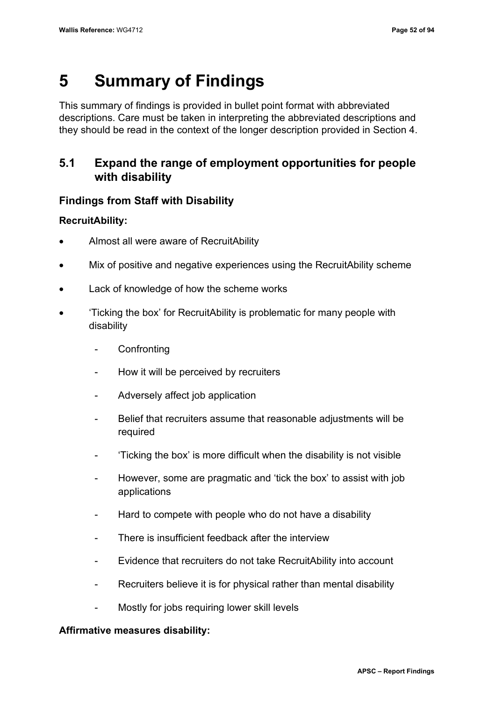# **5 Summary of Findings**

This summary of findings is provided in bullet point format with abbreviated descriptions. Care must be taken in interpreting the abbreviated descriptions and they should be read in the context of the longer description provided in Section 4.

# **5.1 Expand the range of employment opportunities for people with disability**

# **Findings from Staff with Disability**

## **RecruitAbility:**

- Almost all were aware of RecruitAbility
- Mix of positive and negative experiences using the RecruitAbility scheme
- Lack of knowledge of how the scheme works
- 'Ticking the box' for RecruitAbility is problematic for many people with disability
	- **Confronting**
	- How it will be perceived by recruiters
	- Adversely affect job application
	- Belief that recruiters assume that reasonable adjustments will be required
	- 'Ticking the box' is more difficult when the disability is not visible
	- However, some are pragmatic and 'tick the box' to assist with job applications
	- Hard to compete with people who do not have a disability
	- There is insufficient feedback after the interview
	- Evidence that recruiters do not take RecruitAbility into account
	- Recruiters believe it is for physical rather than mental disability
	- Mostly for jobs requiring lower skill levels

## **Affirmative measures disability:**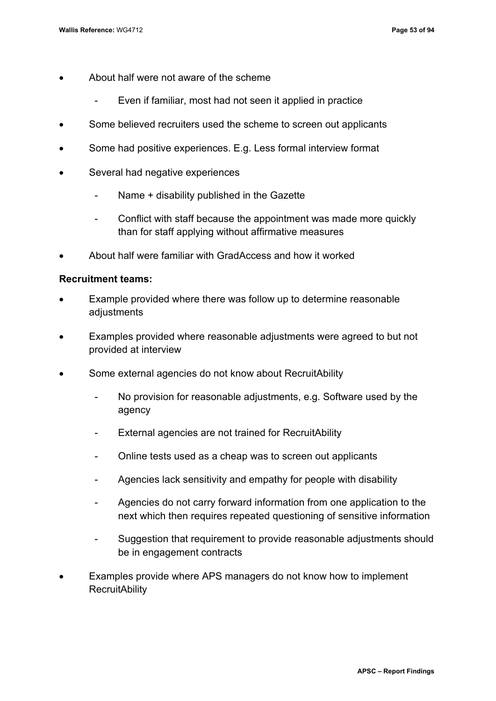- About half were not aware of the scheme
	- Even if familiar, most had not seen it applied in practice
- Some believed recruiters used the scheme to screen out applicants
- Some had positive experiences. E.g. Less formal interview format
- Several had negative experiences
	- Name + disability published in the Gazette
	- Conflict with staff because the appointment was made more quickly than for staff applying without affirmative measures
- About half were familiar with GradAccess and how it worked

#### **Recruitment teams:**

- Example provided where there was follow up to determine reasonable adjustments
- Examples provided where reasonable adjustments were agreed to but not provided at interview
- Some external agencies do not know about RecruitAbility
	- No provision for reasonable adjustments, e.g. Software used by the agency
	- External agencies are not trained for RecruitAbility
	- Online tests used as a cheap was to screen out applicants
	- Agencies lack sensitivity and empathy for people with disability
	- Agencies do not carry forward information from one application to the next which then requires repeated questioning of sensitive information
	- Suggestion that requirement to provide reasonable adjustments should be in engagement contracts
- Examples provide where APS managers do not know how to implement **RecruitAbility**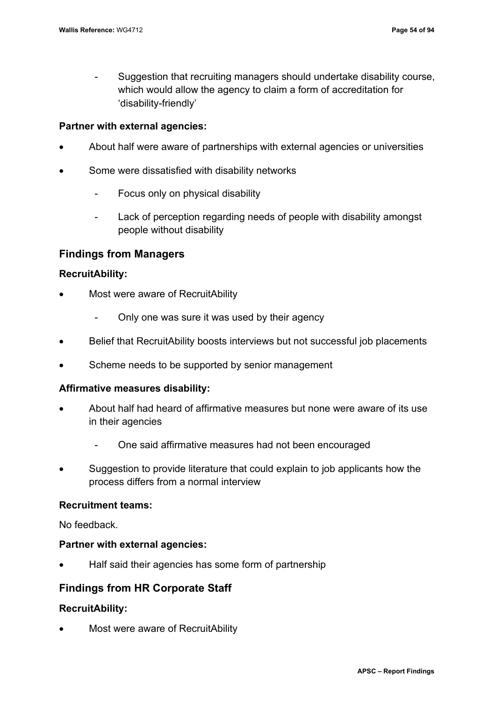- Suggestion that recruiting managers should undertake disability course, which would allow the agency to claim a form of accreditation for 'disability-friendly'

## **Partner with external agencies:**

- About half were aware of partnerships with external agencies or universities
- Some were dissatisfied with disability networks
	- Focus only on physical disability
	- Lack of perception regarding needs of people with disability amongst people without disability

## **Findings from Managers**

## **RecruitAbility:**

- Most were aware of RecruitAbility
	- Only one was sure it was used by their agency
- Belief that RecruitAbility boosts interviews but not successful job placements
- Scheme needs to be supported by senior management

### **Affirmative measures disability:**

- About half had heard of affirmative measures but none were aware of its use in their agencies
	- One said affirmative measures had not been encouraged
- Suggestion to provide literature that could explain to job applicants how the process differs from a normal interview

## **Recruitment teams:**

No feedback.

### **Partner with external agencies:**

• Half said their agencies has some form of partnership

## **Findings from HR Corporate Staff**

## **RecruitAbility:**

• Most were aware of RecruitAbility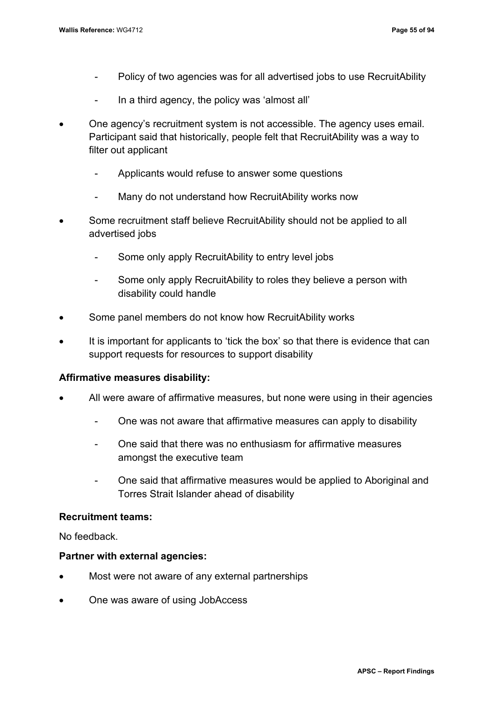- Policy of two agencies was for all advertised jobs to use RecruitAbility
- In a third agency, the policy was 'almost all'
- One agency's recruitment system is not accessible. The agency uses email. Participant said that historically, people felt that RecruitAbility was a way to filter out applicant
	- Applicants would refuse to answer some questions
	- Many do not understand how RecruitAbility works now
- Some recruitment staff believe RecruitAbility should not be applied to all advertised jobs
	- Some only apply RecruitAbility to entry level jobs
	- Some only apply RecruitAbility to roles they believe a person with disability could handle
- Some panel members do not know how RecruitAbility works
- It is important for applicants to 'tick the box' so that there is evidence that can support requests for resources to support disability

### **Affirmative measures disability:**

- All were aware of affirmative measures, but none were using in their agencies
	- One was not aware that affirmative measures can apply to disability
	- One said that there was no enthusiasm for affirmative measures amongst the executive team
	- One said that affirmative measures would be applied to Aboriginal and Torres Strait Islander ahead of disability

### **Recruitment teams:**

No feedback.

### **Partner with external agencies:**

- Most were not aware of any external partnerships
- One was aware of using JobAccess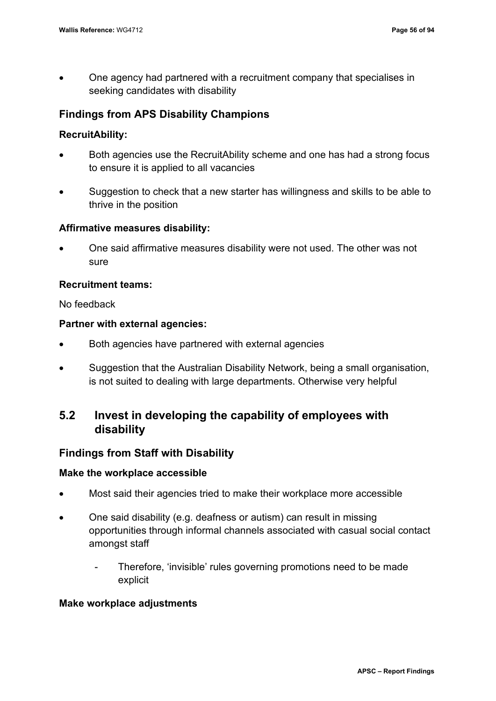• One agency had partnered with a recruitment company that specialises in seeking candidates with disability

## **Findings from APS Disability Champions**

## **RecruitAbility:**

- Both agencies use the RecruitAbility scheme and one has had a strong focus to ensure it is applied to all vacancies
- Suggestion to check that a new starter has willingness and skills to be able to thrive in the position

## **Affirmative measures disability:**

• One said affirmative measures disability were not used. The other was not sure

## **Recruitment teams:**

No feedback

### **Partner with external agencies:**

- Both agencies have partnered with external agencies
- Suggestion that the Australian Disability Network, being a small organisation, is not suited to dealing with large departments. Otherwise very helpful

# **5.2 Invest in developing the capability of employees with disability**

## **Findings from Staff with Disability**

### **Make the workplace accessible**

- Most said their agencies tried to make their workplace more accessible
- One said disability (e.g. deafness or autism) can result in missing opportunities through informal channels associated with casual social contact amongst staff
	- Therefore, 'invisible' rules governing promotions need to be made explicit

### **Make workplace adjustments**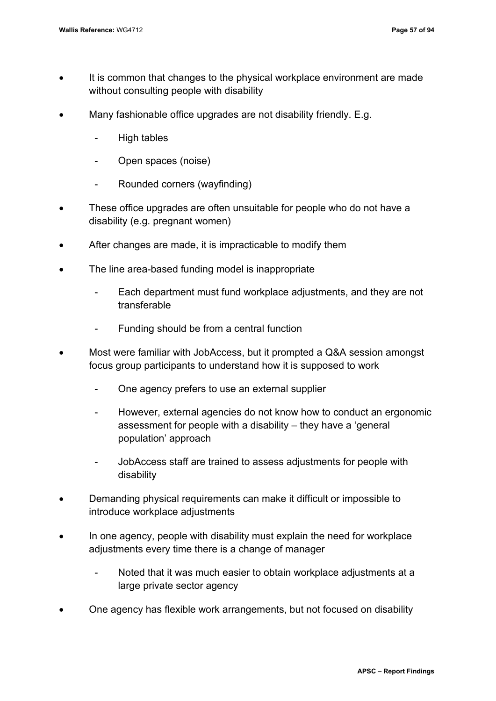- It is common that changes to the physical workplace environment are made without consulting people with disability
- Many fashionable office upgrades are not disability friendly. E.g.
	- High tables
	- Open spaces (noise)
	- Rounded corners (wayfinding)
- These office upgrades are often unsuitable for people who do not have a disability (e.g. pregnant women)
- After changes are made, it is impracticable to modify them
- The line area-based funding model is inappropriate
	- Each department must fund workplace adjustments, and they are not transferable
	- Funding should be from a central function
- Most were familiar with JobAccess, but it prompted a Q&A session amongst focus group participants to understand how it is supposed to work
	- One agency prefers to use an external supplier
	- However, external agencies do not know how to conduct an ergonomic assessment for people with a disability – they have a 'general population' approach
	- JobAccess staff are trained to assess adjustments for people with disability
- Demanding physical requirements can make it difficult or impossible to introduce workplace adjustments
- In one agency, people with disability must explain the need for workplace adjustments every time there is a change of manager
	- Noted that it was much easier to obtain workplace adjustments at a large private sector agency
- One agency has flexible work arrangements, but not focused on disability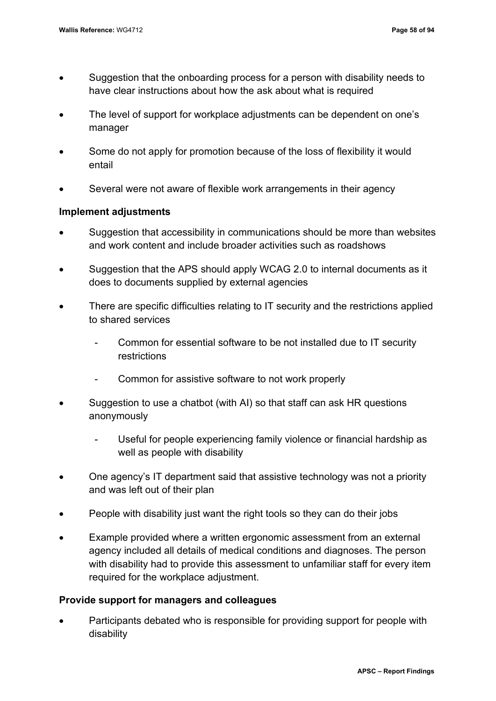- Suggestion that the onboarding process for a person with disability needs to have clear instructions about how the ask about what is required
- The level of support for workplace adjustments can be dependent on one's manager
- Some do not apply for promotion because of the loss of flexibility it would entail
- Several were not aware of flexible work arrangements in their agency

## **Implement adjustments**

- Suggestion that accessibility in communications should be more than websites and work content and include broader activities such as roadshows
- Suggestion that the APS should apply WCAG 2.0 to internal documents as it does to documents supplied by external agencies
- There are specific difficulties relating to IT security and the restrictions applied to shared services
	- Common for essential software to be not installed due to IT security restrictions
	- Common for assistive software to not work properly
- Suggestion to use a chatbot (with AI) so that staff can ask HR questions anonymously
	- Useful for people experiencing family violence or financial hardship as well as people with disability
- One agency's IT department said that assistive technology was not a priority and was left out of their plan
- People with disability just want the right tools so they can do their jobs
- Example provided where a written ergonomic assessment from an external agency included all details of medical conditions and diagnoses. The person with disability had to provide this assessment to unfamiliar staff for every item required for the workplace adjustment.

## **Provide support for managers and colleagues**

• Participants debated who is responsible for providing support for people with disability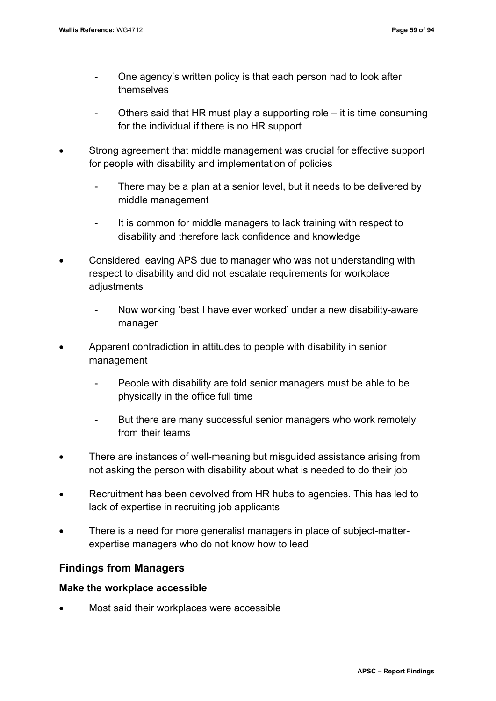- One agency's written policy is that each person had to look after themselves
- Others said that HR must play a supporting role it is time consuming for the individual if there is no HR support
- Strong agreement that middle management was crucial for effective support for people with disability and implementation of policies
	- There may be a plan at a senior level, but it needs to be delivered by middle management
	- It is common for middle managers to lack training with respect to disability and therefore lack confidence and knowledge
- Considered leaving APS due to manager who was not understanding with respect to disability and did not escalate requirements for workplace adjustments
	- Now working 'best I have ever worked' under a new disability-aware manager
- Apparent contradiction in attitudes to people with disability in senior management
	- People with disability are told senior managers must be able to be physically in the office full time
	- But there are many successful senior managers who work remotely from their teams
- There are instances of well-meaning but misguided assistance arising from not asking the person with disability about what is needed to do their job
- Recruitment has been devolved from HR hubs to agencies. This has led to lack of expertise in recruiting job applicants
- There is a need for more generalist managers in place of subject-matterexpertise managers who do not know how to lead

## **Findings from Managers**

## **Make the workplace accessible**

• Most said their workplaces were accessible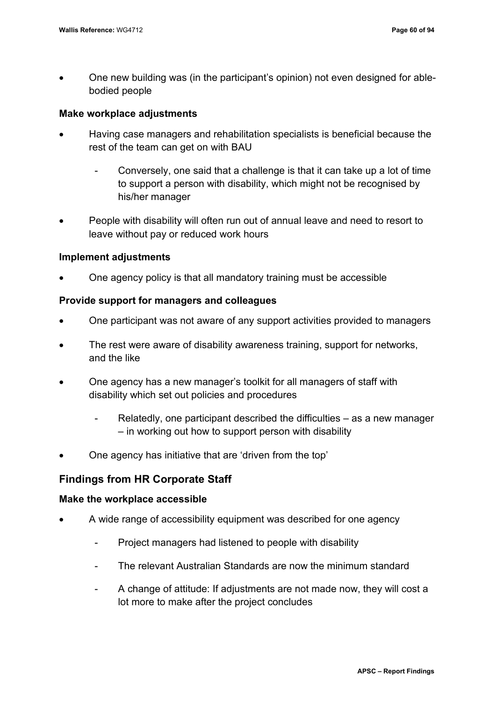• One new building was (in the participant's opinion) not even designed for ablebodied people

### **Make workplace adjustments**

- Having case managers and rehabilitation specialists is beneficial because the rest of the team can get on with BAU
	- Conversely, one said that a challenge is that it can take up a lot of time to support a person with disability, which might not be recognised by his/her manager
- People with disability will often run out of annual leave and need to resort to leave without pay or reduced work hours

### **Implement adjustments**

• One agency policy is that all mandatory training must be accessible

#### **Provide support for managers and colleagues**

- One participant was not aware of any support activities provided to managers
- The rest were aware of disability awareness training, support for networks, and the like
- One agency has a new manager's toolkit for all managers of staff with disability which set out policies and procedures
	- Relatedly, one participant described the difficulties  $-$  as a new manager – in working out how to support person with disability
- One agency has initiative that are 'driven from the top'

## **Findings from HR Corporate Staff**

#### **Make the workplace accessible**

- A wide range of accessibility equipment was described for one agency
	- Project managers had listened to people with disability
	- The relevant Australian Standards are now the minimum standard
	- A change of attitude: If adjustments are not made now, they will cost a lot more to make after the project concludes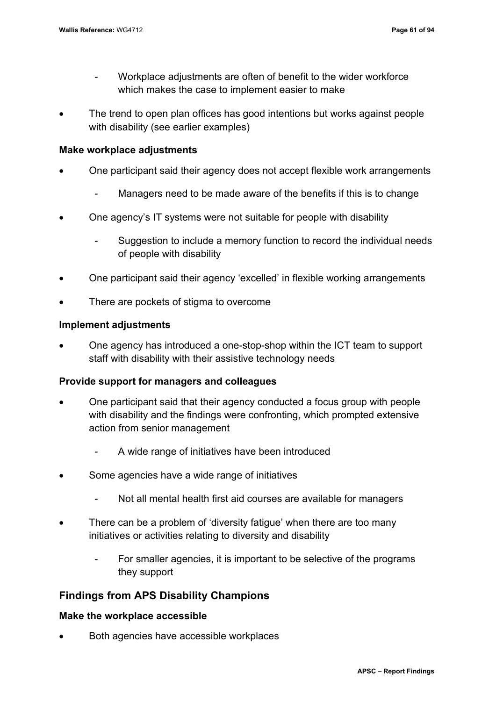- Workplace adjustments are often of benefit to the wider workforce which makes the case to implement easier to make
- The trend to open plan offices has good intentions but works against people with disability (see earlier examples)

### **Make workplace adjustments**

- One participant said their agency does not accept flexible work arrangements
	- Managers need to be made aware of the benefits if this is to change
- One agency's IT systems were not suitable for people with disability
	- Suggestion to include a memory function to record the individual needs of people with disability
- One participant said their agency 'excelled' in flexible working arrangements
- There are pockets of stigma to overcome

## **Implement adjustments**

• One agency has introduced a one-stop-shop within the ICT team to support staff with disability with their assistive technology needs

## **Provide support for managers and colleagues**

- One participant said that their agency conducted a focus group with people with disability and the findings were confronting, which prompted extensive action from senior management
	- A wide range of initiatives have been introduced
- Some agencies have a wide range of initiatives
	- Not all mental health first aid courses are available for managers
- There can be a problem of 'diversity fatigue' when there are too many initiatives or activities relating to diversity and disability
	- For smaller agencies, it is important to be selective of the programs they support

## **Findings from APS Disability Champions**

### **Make the workplace accessible**

• Both agencies have accessible workplaces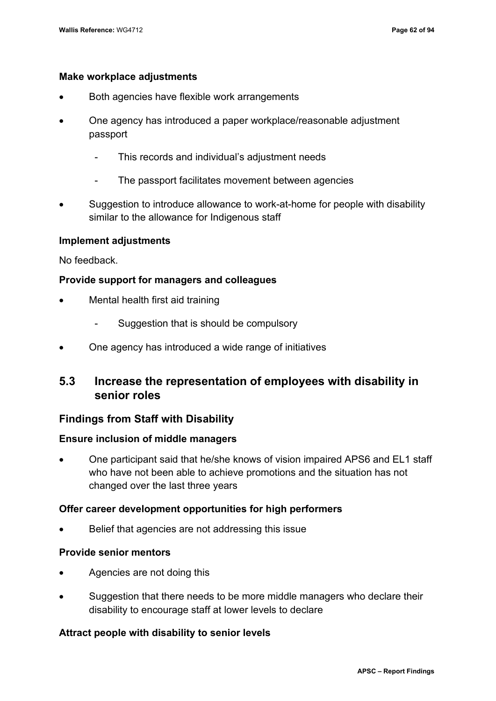### **Make workplace adjustments**

- Both agencies have flexible work arrangements
- One agency has introduced a paper workplace/reasonable adjustment passport
	- This records and individual's adjustment needs
	- The passport facilitates movement between agencies
- Suggestion to introduce allowance to work-at-home for people with disability similar to the allowance for Indigenous staff

### **Implement adjustments**

No feedback.

### **Provide support for managers and colleagues**

- Mental health first aid training
	- Suggestion that is should be compulsory
- One agency has introduced a wide range of initiatives

# **5.3 Increase the representation of employees with disability in senior roles**

## **Findings from Staff with Disability**

### **Ensure inclusion of middle managers**

• One participant said that he/she knows of vision impaired APS6 and EL1 staff who have not been able to achieve promotions and the situation has not changed over the last three years

### **Offer career development opportunities for high performers**

• Belief that agencies are not addressing this issue

### **Provide senior mentors**

- Agencies are not doing this
- Suggestion that there needs to be more middle managers who declare their disability to encourage staff at lower levels to declare

## **Attract people with disability to senior levels**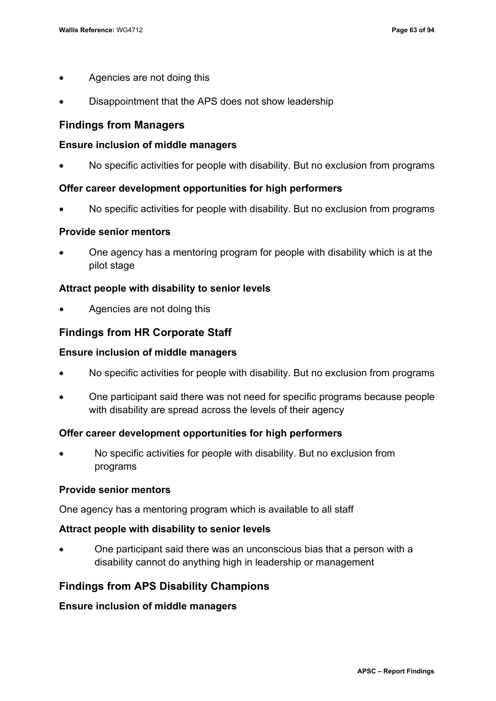- Agencies are not doing this
- Disappointment that the APS does not show leadership

## **Findings from Managers**

### **Ensure inclusion of middle managers**

• No specific activities for people with disability. But no exclusion from programs

### **Offer career development opportunities for high performers**

• No specific activities for people with disability. But no exclusion from programs

#### **Provide senior mentors**

• One agency has a mentoring program for people with disability which is at the pilot stage

## **Attract people with disability to senior levels**

• Agencies are not doing this

## **Findings from HR Corporate Staff**

#### **Ensure inclusion of middle managers**

- No specific activities for people with disability. But no exclusion from programs
- One participant said there was not need for specific programs because people with disability are spread across the levels of their agency

#### **Offer career development opportunities for high performers**

• No specific activities for people with disability. But no exclusion from programs

#### **Provide senior mentors**

One agency has a mentoring program which is available to all staff

#### **Attract people with disability to senior levels**

• One participant said there was an unconscious bias that a person with a disability cannot do anything high in leadership or management

## **Findings from APS Disability Champions**

#### **Ensure inclusion of middle managers**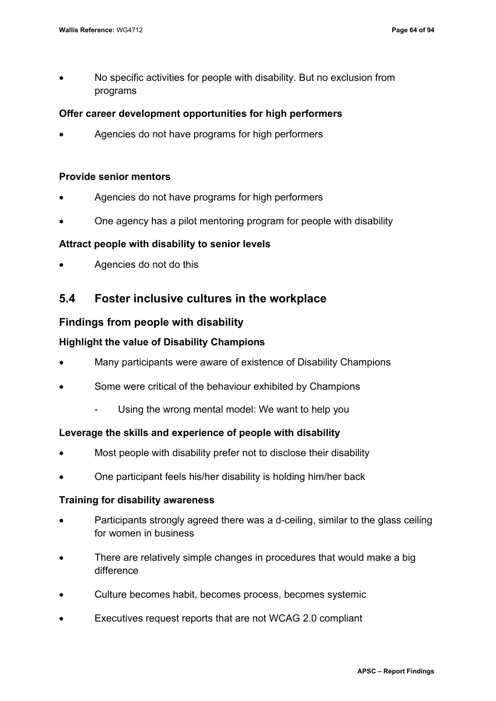• No specific activities for people with disability. But no exclusion from programs

### **Offer career development opportunities for high performers**

• Agencies do not have programs for high performers

#### **Provide senior mentors**

- Agencies do not have programs for high performers
- One agency has a pilot mentoring program for people with disability

### **Attract people with disability to senior levels**

• Agencies do not do this

## **5.4 Foster inclusive cultures in the workplace**

### **Findings from people with disability**

#### **Highlight the value of Disability Champions**

- Many participants were aware of existence of Disability Champions
- Some were critical of the behaviour exhibited by Champions
	- Using the wrong mental model: We want to help you

#### **Leverage the skills and experience of people with disability**

- Most people with disability prefer not to disclose their disability
- One participant feels his/her disability is holding him/her back

#### **Training for disability awareness**

- Participants strongly agreed there was a d-ceiling, similar to the glass ceiling for women in business
- There are relatively simple changes in procedures that would make a big difference
- Culture becomes habit, becomes process, becomes systemic
- Executives request reports that are not WCAG 2.0 compliant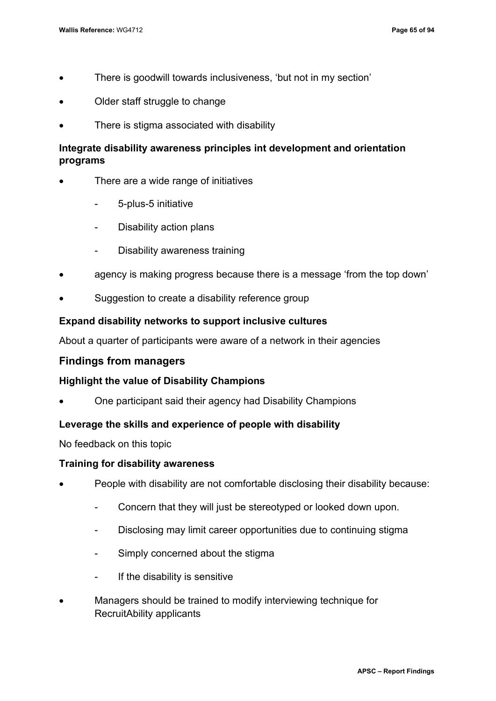- There is goodwill towards inclusiveness, 'but not in my section'
- Older staff struggle to change
- There is stigma associated with disability

## **Integrate disability awareness principles int development and orientation programs**

- There are a wide range of initiatives
	- 5-plus-5 initiative
	- Disability action plans
	- Disability awareness training
- agency is making progress because there is a message 'from the top down'
- Suggestion to create a disability reference group

### **Expand disability networks to support inclusive cultures**

About a quarter of participants were aware of a network in their agencies

#### **Findings from managers**

### **Highlight the value of Disability Champions**

• One participant said their agency had Disability Champions

#### **Leverage the skills and experience of people with disability**

No feedback on this topic

#### **Training for disability awareness**

- People with disability are not comfortable disclosing their disability because:
	- Concern that they will just be stereotyped or looked down upon.
	- Disclosing may limit career opportunities due to continuing stigma
	- Simply concerned about the stigma
	- If the disability is sensitive
- Managers should be trained to modify interviewing technique for RecruitAbility applicants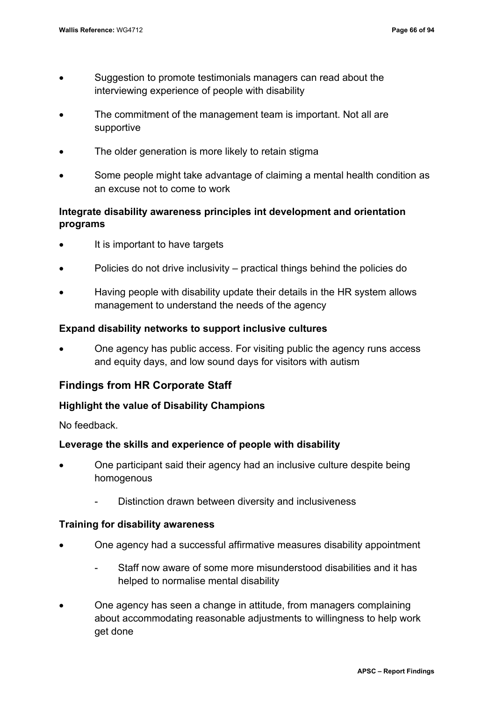- Suggestion to promote testimonials managers can read about the interviewing experience of people with disability
- The commitment of the management team is important. Not all are supportive
- The older generation is more likely to retain stigma
- Some people might take advantage of claiming a mental health condition as an excuse not to come to work

## **Integrate disability awareness principles int development and orientation programs**

- It is important to have targets
- Policies do not drive inclusivity practical things behind the policies do
- Having people with disability update their details in the HR system allows management to understand the needs of the agency

## **Expand disability networks to support inclusive cultures**

• One agency has public access. For visiting public the agency runs access and equity days, and low sound days for visitors with autism

## **Findings from HR Corporate Staff**

## **Highlight the value of Disability Champions**

No feedback.

## **Leverage the skills and experience of people with disability**

- One participant said their agency had an inclusive culture despite being homogenous
	- Distinction drawn between diversity and inclusiveness

## **Training for disability awareness**

- One agency had a successful affirmative measures disability appointment
	- Staff now aware of some more misunderstood disabilities and it has helped to normalise mental disability
- One agency has seen a change in attitude, from managers complaining about accommodating reasonable adjustments to willingness to help work get done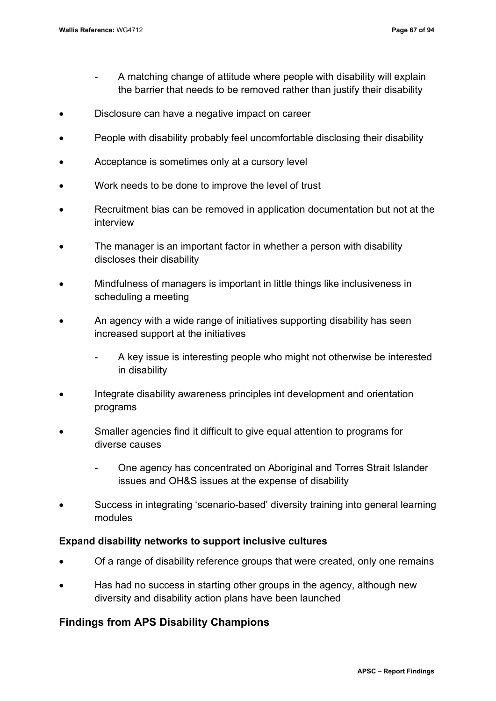- A matching change of attitude where people with disability will explain the barrier that needs to be removed rather than justify their disability
- Disclosure can have a negative impact on career
- People with disability probably feel uncomfortable disclosing their disability
- Acceptance is sometimes only at a cursory level
- Work needs to be done to improve the level of trust
- Recruitment bias can be removed in application documentation but not at the interview
- The manager is an important factor in whether a person with disability discloses their disability
- Mindfulness of managers is important in little things like inclusiveness in scheduling a meeting
- An agency with a wide range of initiatives supporting disability has seen increased support at the initiatives
	- A key issue is interesting people who might not otherwise be interested in disability
- Integrate disability awareness principles int development and orientation programs
- Smaller agencies find it difficult to give equal attention to programs for diverse causes
	- One agency has concentrated on Aboriginal and Torres Strait Islander issues and OH&S issues at the expense of disability
- Success in integrating 'scenario-based' diversity training into general learning modules

#### **Expand disability networks to support inclusive cultures**

- Of a range of disability reference groups that were created, only one remains
- Has had no success in starting other groups in the agency, although new diversity and disability action plans have been launched

## **Findings from APS Disability Champions**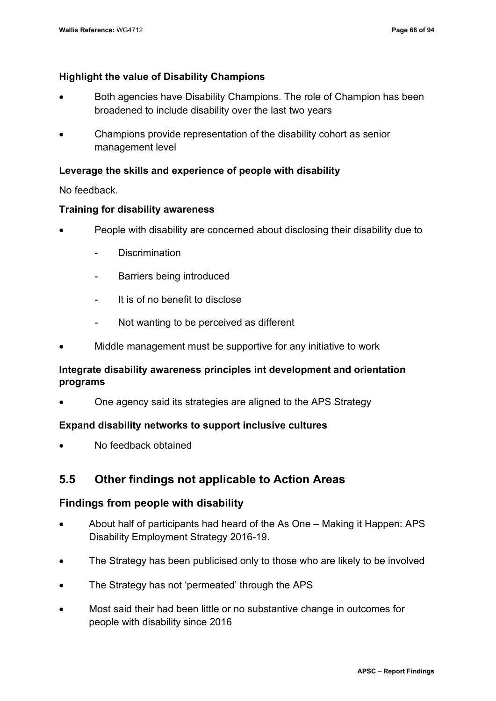## **Highlight the value of Disability Champions**

- Both agencies have Disability Champions. The role of Champion has been broadened to include disability over the last two years
- Champions provide representation of the disability cohort as senior management level

### **Leverage the skills and experience of people with disability**

No feedback.

#### **Training for disability awareness**

- People with disability are concerned about disclosing their disability due to
	- Discrimination
	- Barriers being introduced
	- It is of no benefit to disclose
	- Not wanting to be perceived as different
- Middle management must be supportive for any initiative to work

## **Integrate disability awareness principles int development and orientation programs**

• One agency said its strategies are aligned to the APS Strategy

#### **Expand disability networks to support inclusive cultures**

• No feedback obtained

## **5.5 Other findings not applicable to Action Areas**

## **Findings from people with disability**

- About half of participants had heard of the As One Making it Happen: APS Disability Employment Strategy 2016-19.
- The Strategy has been publicised only to those who are likely to be involved
- The Strategy has not 'permeated' through the APS
- Most said their had been little or no substantive change in outcomes for people with disability since 2016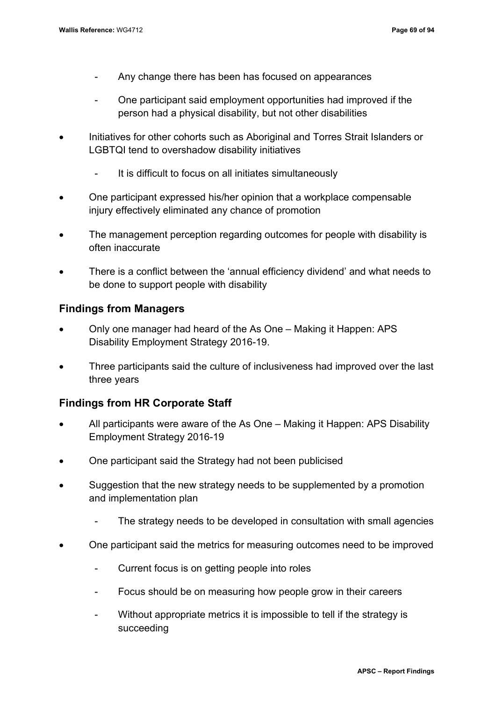- Any change there has been has focused on appearances
- One participant said employment opportunities had improved if the person had a physical disability, but not other disabilities
- Initiatives for other cohorts such as Aboriginal and Torres Strait Islanders or LGBTQI tend to overshadow disability initiatives
	- It is difficult to focus on all initiates simultaneously
- One participant expressed his/her opinion that a workplace compensable injury effectively eliminated any chance of promotion
- The management perception regarding outcomes for people with disability is often inaccurate
- There is a conflict between the 'annual efficiency dividend' and what needs to be done to support people with disability

## **Findings from Managers**

- Only one manager had heard of the As One Making it Happen: APS Disability Employment Strategy 2016-19.
- Three participants said the culture of inclusiveness had improved over the last three years

## **Findings from HR Corporate Staff**

- All participants were aware of the As One Making it Happen: APS Disability Employment Strategy 2016-19
- One participant said the Strategy had not been publicised
- Suggestion that the new strategy needs to be supplemented by a promotion and implementation plan
	- The strategy needs to be developed in consultation with small agencies
- One participant said the metrics for measuring outcomes need to be improved
	- Current focus is on getting people into roles
	- Focus should be on measuring how people grow in their careers
	- Without appropriate metrics it is impossible to tell if the strategy is succeeding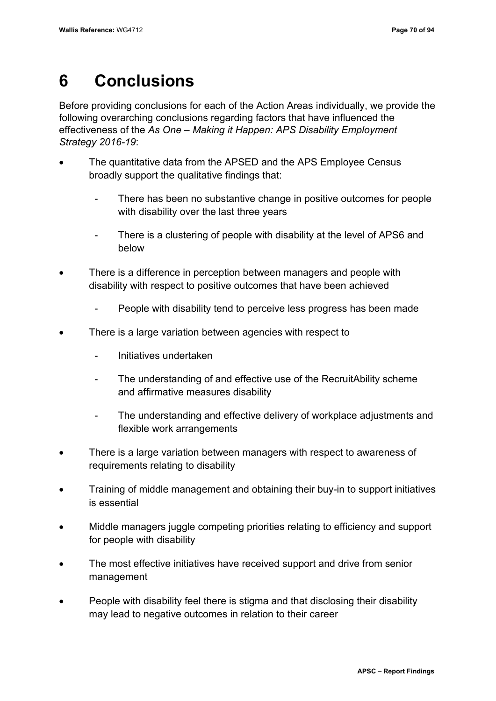## **6 Conclusions**

Before providing conclusions for each of the Action Areas individually, we provide the following overarching conclusions regarding factors that have influenced the effectiveness of the *As One – Making it Happen: APS Disability Employment Strategy 2016-19*:

- The quantitative data from the APSED and the APS Employee Census broadly support the qualitative findings that:
	- There has been no substantive change in positive outcomes for people with disability over the last three years
	- There is a clustering of people with disability at the level of APS6 and below
- There is a difference in perception between managers and people with disability with respect to positive outcomes that have been achieved
	- People with disability tend to perceive less progress has been made
- There is a large variation between agencies with respect to
	- Initiatives undertaken
	- The understanding of and effective use of the RecruitAbility scheme and affirmative measures disability
	- The understanding and effective delivery of workplace adjustments and flexible work arrangements
- There is a large variation between managers with respect to awareness of requirements relating to disability
- Training of middle management and obtaining their buy-in to support initiatives is essential
- Middle managers juggle competing priorities relating to efficiency and support for people with disability
- The most effective initiatives have received support and drive from senior management
- People with disability feel there is stigma and that disclosing their disability may lead to negative outcomes in relation to their career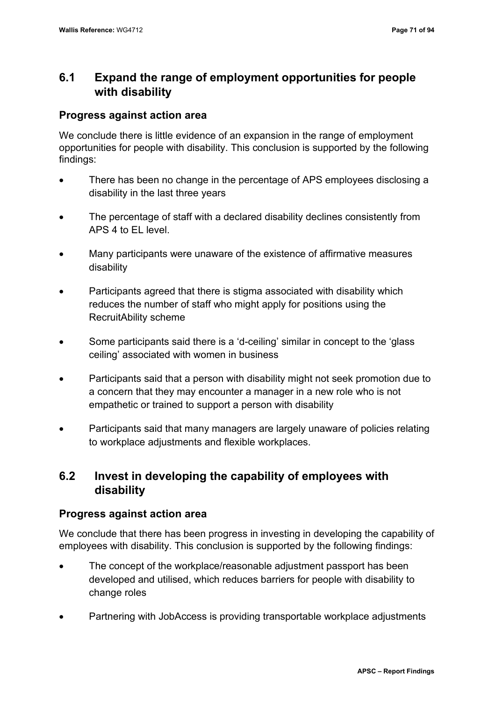## **6.1 Expand the range of employment opportunities for people with disability**

## **Progress against action area**

We conclude there is little evidence of an expansion in the range of employment opportunities for people with disability. This conclusion is supported by the following findings:

- There has been no change in the percentage of APS employees disclosing a disability in the last three years
- The percentage of staff with a declared disability declines consistently from APS 4 to EL level.
- Many participants were unaware of the existence of affirmative measures disability
- Participants agreed that there is stigma associated with disability which reduces the number of staff who might apply for positions using the RecruitAbility scheme
- Some participants said there is a 'd-ceiling' similar in concept to the 'glass ceiling' associated with women in business
- Participants said that a person with disability might not seek promotion due to a concern that they may encounter a manager in a new role who is not empathetic or trained to support a person with disability
- Participants said that many managers are largely unaware of policies relating to workplace adjustments and flexible workplaces.

## **6.2 Invest in developing the capability of employees with disability**

## **Progress against action area**

We conclude that there has been progress in investing in developing the capability of employees with disability. This conclusion is supported by the following findings:

- The concept of the workplace/reasonable adjustment passport has been developed and utilised, which reduces barriers for people with disability to change roles
- Partnering with JobAccess is providing transportable workplace adjustments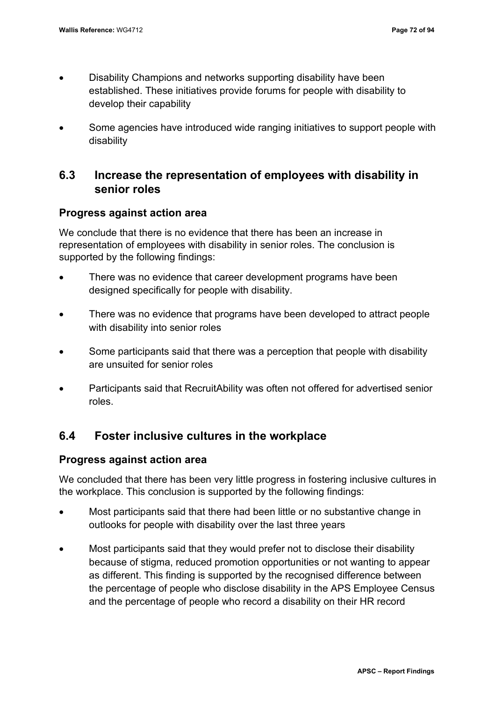- Disability Champions and networks supporting disability have been established. These initiatives provide forums for people with disability to develop their capability
- Some agencies have introduced wide ranging initiatives to support people with disability

## **6.3 Increase the representation of employees with disability in senior roles**

## **Progress against action area**

We conclude that there is no evidence that there has been an increase in representation of employees with disability in senior roles. The conclusion is supported by the following findings:

- There was no evidence that career development programs have been designed specifically for people with disability.
- There was no evidence that programs have been developed to attract people with disability into senior roles
- Some participants said that there was a perception that people with disability are unsuited for senior roles
- Participants said that RecruitAbility was often not offered for advertised senior roles.

## **6.4 Foster inclusive cultures in the workplace**

## **Progress against action area**

We concluded that there has been very little progress in fostering inclusive cultures in the workplace. This conclusion is supported by the following findings:

- Most participants said that there had been little or no substantive change in outlooks for people with disability over the last three years
- Most participants said that they would prefer not to disclose their disability because of stigma, reduced promotion opportunities or not wanting to appear as different. This finding is supported by the recognised difference between the percentage of people who disclose disability in the APS Employee Census and the percentage of people who record a disability on their HR record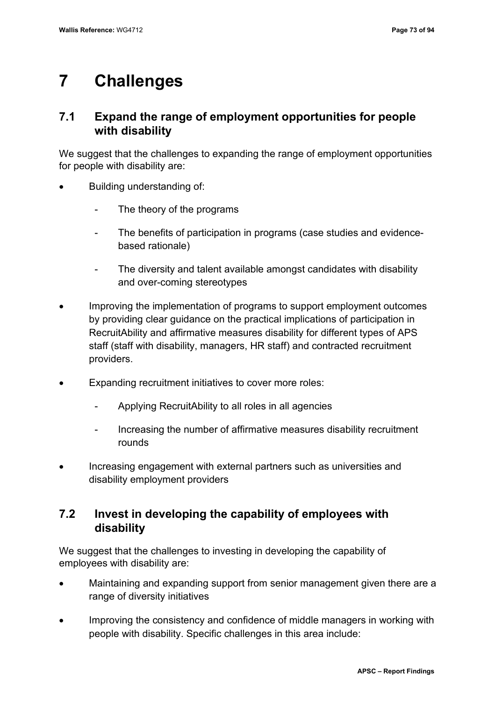## **7 Challenges**

## **7.1 Expand the range of employment opportunities for people with disability**

We suggest that the challenges to expanding the range of employment opportunities for people with disability are:

- Building understanding of:
	- The theory of the programs
	- The benefits of participation in programs (case studies and evidencebased rationale)
	- The diversity and talent available amongst candidates with disability and over-coming stereotypes
- Improving the implementation of programs to support employment outcomes by providing clear guidance on the practical implications of participation in RecruitAbility and affirmative measures disability for different types of APS staff (staff with disability, managers, HR staff) and contracted recruitment providers.
- Expanding recruitment initiatives to cover more roles:
	- Applying RecruitAbility to all roles in all agencies
	- Increasing the number of affirmative measures disability recruitment rounds
- Increasing engagement with external partners such as universities and disability employment providers

## **7.2 Invest in developing the capability of employees with disability**

We suggest that the challenges to investing in developing the capability of employees with disability are:

- Maintaining and expanding support from senior management given there are a range of diversity initiatives
- Improving the consistency and confidence of middle managers in working with people with disability. Specific challenges in this area include: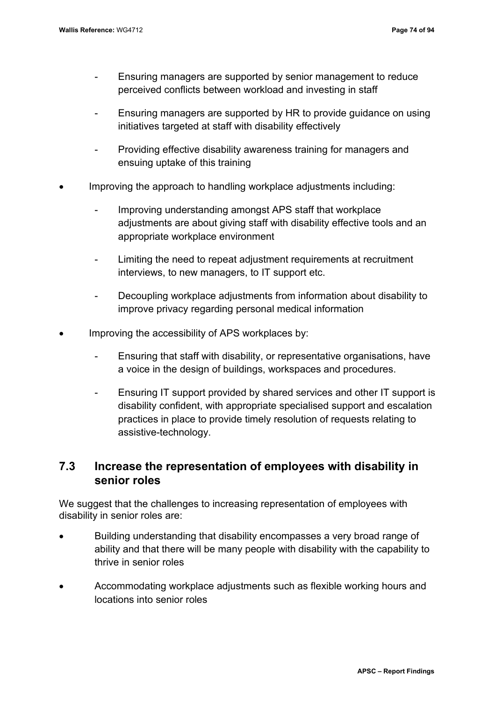- Ensuring managers are supported by senior management to reduce perceived conflicts between workload and investing in staff
- Ensuring managers are supported by HR to provide guidance on using initiatives targeted at staff with disability effectively
- Providing effective disability awareness training for managers and ensuing uptake of this training
- Improving the approach to handling workplace adjustments including:
	- Improving understanding amongst APS staff that workplace adjustments are about giving staff with disability effective tools and an appropriate workplace environment
	- Limiting the need to repeat adjustment requirements at recruitment interviews, to new managers, to IT support etc.
	- Decoupling workplace adjustments from information about disability to improve privacy regarding personal medical information
- Improving the accessibility of APS workplaces by:
	- Ensuring that staff with disability, or representative organisations, have a voice in the design of buildings, workspaces and procedures.
	- Ensuring IT support provided by shared services and other IT support is disability confident, with appropriate specialised support and escalation practices in place to provide timely resolution of requests relating to assistive-technology.

## **7.3 Increase the representation of employees with disability in senior roles**

We suggest that the challenges to increasing representation of employees with disability in senior roles are:

- Building understanding that disability encompasses a very broad range of ability and that there will be many people with disability with the capability to thrive in senior roles
- Accommodating workplace adjustments such as flexible working hours and locations into senior roles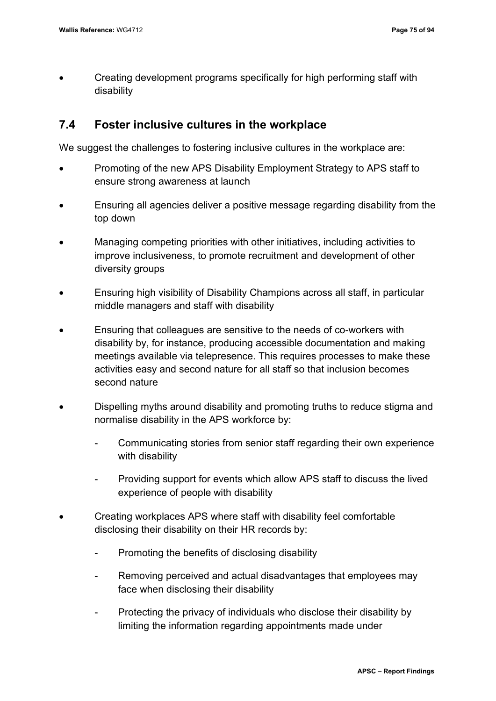• Creating development programs specifically for high performing staff with disability

## **7.4 Foster inclusive cultures in the workplace**

We suggest the challenges to fostering inclusive cultures in the workplace are:

- Promoting of the new APS Disability Employment Strategy to APS staff to ensure strong awareness at launch
- Ensuring all agencies deliver a positive message regarding disability from the top down
- Managing competing priorities with other initiatives, including activities to improve inclusiveness, to promote recruitment and development of other diversity groups
- Ensuring high visibility of Disability Champions across all staff, in particular middle managers and staff with disability
- Ensuring that colleagues are sensitive to the needs of co-workers with disability by, for instance, producing accessible documentation and making meetings available via telepresence. This requires processes to make these activities easy and second nature for all staff so that inclusion becomes second nature
- Dispelling myths around disability and promoting truths to reduce stigma and normalise disability in the APS workforce by:
	- Communicating stories from senior staff regarding their own experience with disability
	- Providing support for events which allow APS staff to discuss the lived experience of people with disability
- Creating workplaces APS where staff with disability feel comfortable disclosing their disability on their HR records by:
	- Promoting the benefits of disclosing disability
	- Removing perceived and actual disadvantages that employees may face when disclosing their disability
	- Protecting the privacy of individuals who disclose their disability by limiting the information regarding appointments made under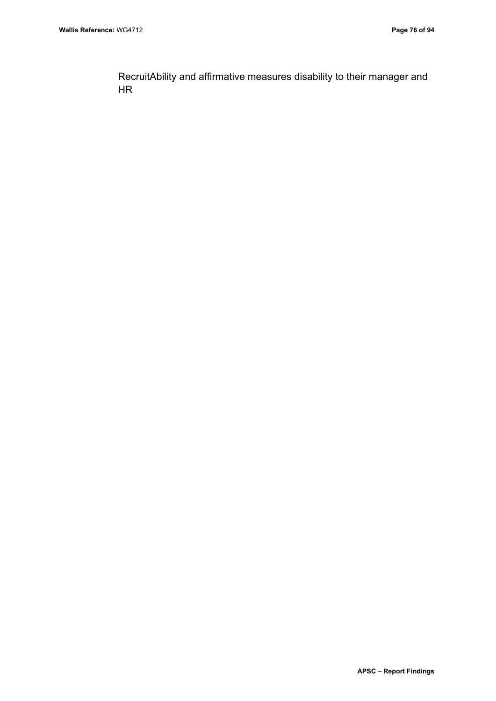RecruitAbility and affirmative measures disability to their manager and HR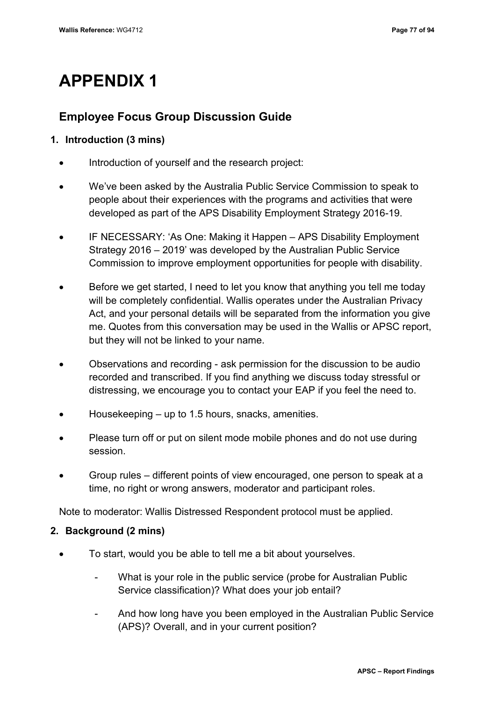## **APPENDIX 1**

## **Employee Focus Group Discussion Guide**

## **1. Introduction (3 mins)**

- Introduction of yourself and the research project:
- We've been asked by the Australia Public Service Commission to speak to people about their experiences with the programs and activities that were developed as part of the APS Disability Employment Strategy 2016-19.
- IF NECESSARY: 'As One: Making it Happen APS Disability Employment Strategy 2016 – 2019' was developed by the Australian Public Service Commission to improve employment opportunities for people with disability.
- Before we get started, I need to let you know that anything you tell me today will be completely confidential. Wallis operates under the Australian Privacy Act, and your personal details will be separated from the information you give me. Quotes from this conversation may be used in the Wallis or APSC report, but they will not be linked to your name.
- Observations and recording ask permission for the discussion to be audio recorded and transcribed. If you find anything we discuss today stressful or distressing, we encourage you to contact your EAP if you feel the need to.
- Housekeeping  $-$  up to 1.5 hours, snacks, amenities.
- Please turn off or put on silent mode mobile phones and do not use during session.
- Group rules different points of view encouraged, one person to speak at a time, no right or wrong answers, moderator and participant roles.

Note to moderator: Wallis Distressed Respondent protocol must be applied.

## **2. Background (2 mins)**

- To start, would you be able to tell me a bit about yourselves.
	- What is your role in the public service (probe for Australian Public Service classification)? What does your job entail?
	- And how long have you been employed in the Australian Public Service (APS)? Overall, and in your current position?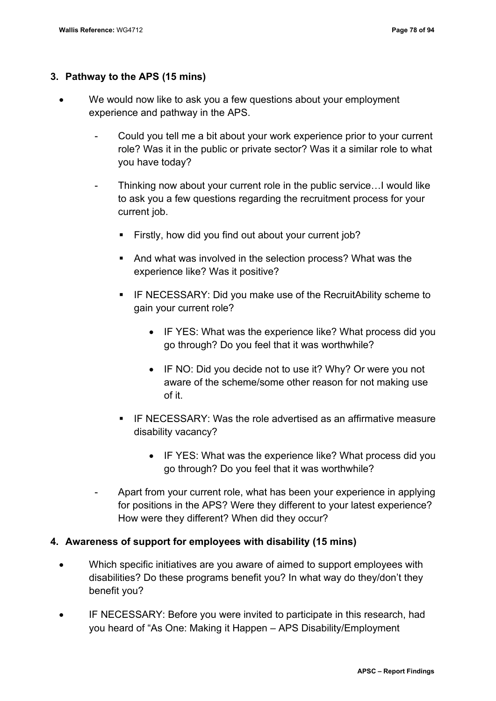### **3. Pathway to the APS (15 mins)**

- We would now like to ask you a few questions about your employment experience and pathway in the APS.
	- Could you tell me a bit about your work experience prior to your current role? Was it in the public or private sector? Was it a similar role to what you have today?
	- Thinking now about your current role in the public service... I would like to ask you a few questions regarding the recruitment process for your current job.
		- Firstly, how did you find out about your current job?
		- And what was involved in the selection process? What was the experience like? Was it positive?
		- **F** IF NECESSARY: Did you make use of the RecruitAbility scheme to gain your current role?
			- IF YES: What was the experience like? What process did you go through? Do you feel that it was worthwhile?
			- IF NO: Did you decide not to use it? Why? Or were you not aware of the scheme/some other reason for not making use of it.
		- IF NECESSARY: Was the role advertised as an affirmative measure disability vacancy?
			- IF YES: What was the experience like? What process did you go through? Do you feel that it was worthwhile?
	- Apart from your current role, what has been your experience in applying for positions in the APS? Were they different to your latest experience? How were they different? When did they occur?

#### **4. Awareness of support for employees with disability (15 mins)**

- Which specific initiatives are you aware of aimed to support employees with disabilities? Do these programs benefit you? In what way do they/don't they benefit you?
- IF NECESSARY: Before you were invited to participate in this research, had you heard of "As One: Making it Happen – APS Disability/Employment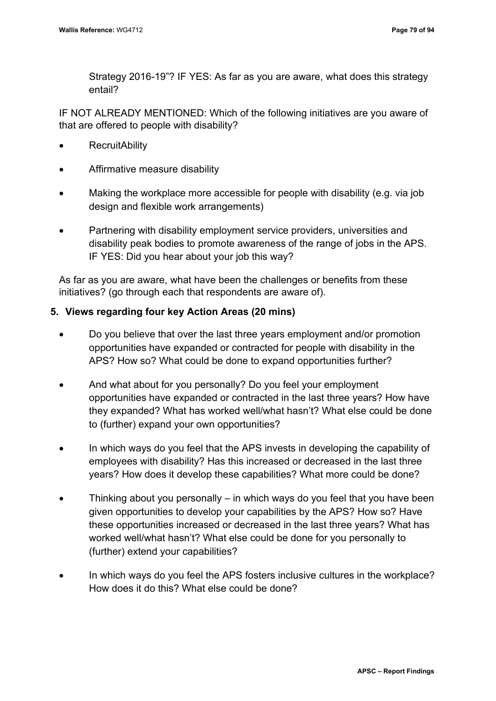Strategy 2016-19"? IF YES: As far as you are aware, what does this strategy entail?

IF NOT ALREADY MENTIONED: Which of the following initiatives are you aware of that are offered to people with disability?

- **RecruitAbility**
- Affirmative measure disability
- Making the workplace more accessible for people with disability (e.g. via job design and flexible work arrangements)
- Partnering with disability employment service providers, universities and disability peak bodies to promote awareness of the range of jobs in the APS. IF YES: Did you hear about your job this way?

As far as you are aware, what have been the challenges or benefits from these initiatives? (go through each that respondents are aware of).

## **5. Views regarding four key Action Areas (20 mins)**

- Do you believe that over the last three years employment and/or promotion opportunities have expanded or contracted for people with disability in the APS? How so? What could be done to expand opportunities further?
- And what about for you personally? Do you feel your employment opportunities have expanded or contracted in the last three years? How have they expanded? What has worked well/what hasn't? What else could be done to (further) expand your own opportunities?
- In which ways do you feel that the APS invests in developing the capability of employees with disability? Has this increased or decreased in the last three years? How does it develop these capabilities? What more could be done?
- Thinking about you personally  $-$  in which ways do you feel that you have been given opportunities to develop your capabilities by the APS? How so? Have these opportunities increased or decreased in the last three years? What has worked well/what hasn't? What else could be done for you personally to (further) extend your capabilities?
- In which ways do you feel the APS fosters inclusive cultures in the workplace? How does it do this? What else could be done?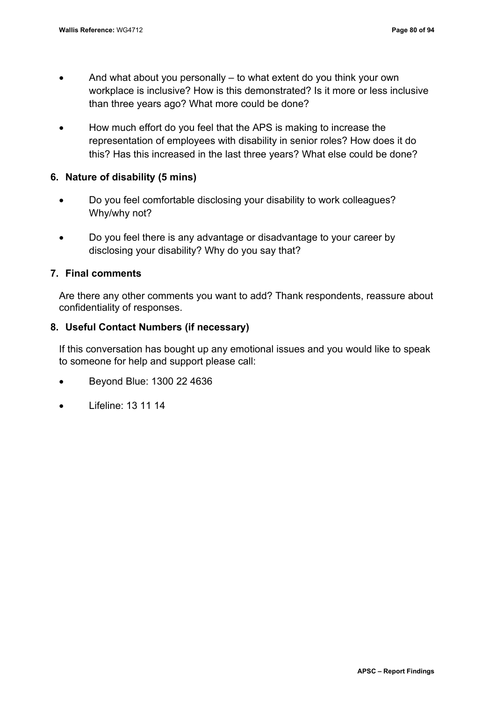- And what about you personally  $-$  to what extent do you think your own workplace is inclusive? How is this demonstrated? Is it more or less inclusive than three years ago? What more could be done?
- How much effort do you feel that the APS is making to increase the representation of employees with disability in senior roles? How does it do this? Has this increased in the last three years? What else could be done?

### **6. Nature of disability (5 mins)**

- Do you feel comfortable disclosing your disability to work colleagues? Why/why not?
- Do you feel there is any advantage or disadvantage to your career by disclosing your disability? Why do you say that?

### **7. Final comments**

Are there any other comments you want to add? Thank respondents, reassure about confidentiality of responses.

### **8. Useful Contact Numbers (if necessary)**

If this conversation has bought up any emotional issues and you would like to speak to someone for help and support please call:

- Beyond Blue: 1300 22 4636
- Lifeline: 13 11 14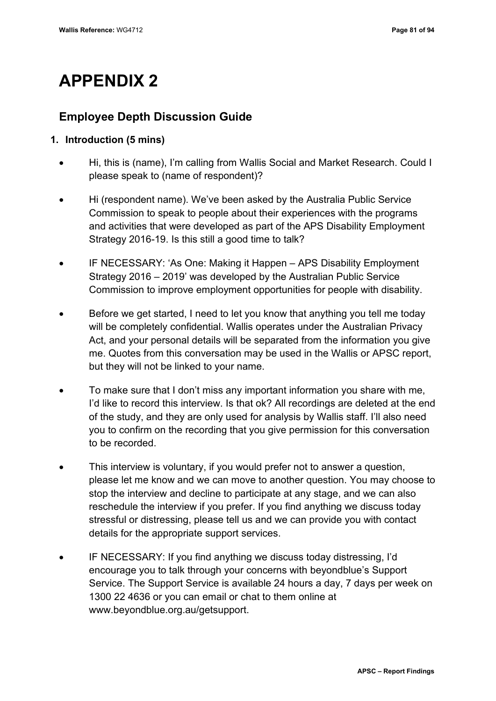## **APPENDIX 2**

## **Employee Depth Discussion Guide**

## **1. Introduction (5 mins)**

- Hi, this is (name), I'm calling from Wallis Social and Market Research. Could I please speak to (name of respondent)?
- Hi (respondent name). We've been asked by the Australia Public Service Commission to speak to people about their experiences with the programs and activities that were developed as part of the APS Disability Employment Strategy 2016-19. Is this still a good time to talk?
- IF NECESSARY: 'As One: Making it Happen APS Disability Employment Strategy 2016 – 2019' was developed by the Australian Public Service Commission to improve employment opportunities for people with disability.
- Before we get started, I need to let you know that anything you tell me today will be completely confidential. Wallis operates under the Australian Privacy Act, and your personal details will be separated from the information you give me. Quotes from this conversation may be used in the Wallis or APSC report, but they will not be linked to your name.
- To make sure that I don't miss any important information you share with me, I'd like to record this interview. Is that ok? All recordings are deleted at the end of the study, and they are only used for analysis by Wallis staff. I'll also need you to confirm on the recording that you give permission for this conversation to be recorded.
- This interview is voluntary, if you would prefer not to answer a question, please let me know and we can move to another question. You may choose to stop the interview and decline to participate at any stage, and we can also reschedule the interview if you prefer. If you find anything we discuss today stressful or distressing, please tell us and we can provide you with contact details for the appropriate support services.
- IF NECESSARY: If you find anything we discuss today distressing, I'd encourage you to talk through your concerns with beyondblue's Support Service. The Support Service is available 24 hours a day, 7 days per week on 1300 22 4636 or you can email or chat to them online at www.beyondblue.org.au/getsupport.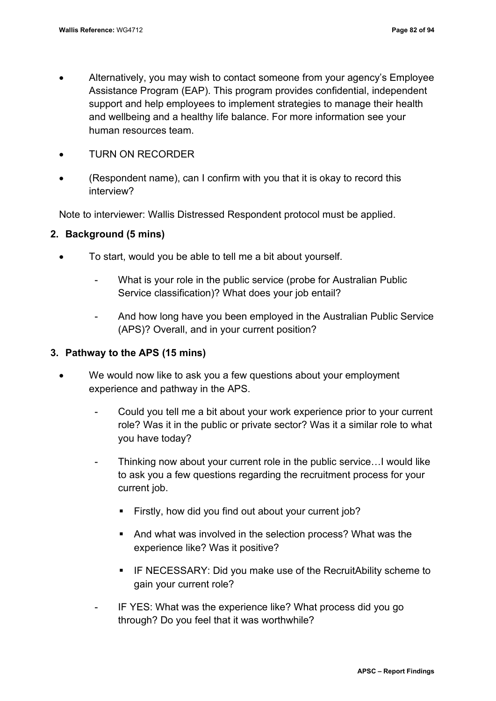- Alternatively, you may wish to contact someone from your agency's Employee Assistance Program (EAP). This program provides confidential, independent support and help employees to implement strategies to manage their health and wellbeing and a healthy life balance. For more information see your human resources team.
- TURN ON RECORDER
- (Respondent name), can I confirm with you that it is okay to record this interview?

Note to interviewer: Wallis Distressed Respondent protocol must be applied.

### **2. Background (5 mins)**

- To start, would you be able to tell me a bit about yourself.
	- What is your role in the public service (probe for Australian Public Service classification)? What does your job entail?
	- And how long have you been employed in the Australian Public Service (APS)? Overall, and in your current position?

## **3. Pathway to the APS (15 mins)**

- We would now like to ask you a few questions about your employment experience and pathway in the APS.
	- Could you tell me a bit about your work experience prior to your current role? Was it in the public or private sector? Was it a similar role to what you have today?
	- Thinking now about your current role in the public service... I would like to ask you a few questions regarding the recruitment process for your current job.
		- **Firstly, how did you find out about your current job?**
		- And what was involved in the selection process? What was the experience like? Was it positive?
		- **IF NECESSARY: Did you make use of the RecruitAbility scheme to** gain your current role?
	- IF YES: What was the experience like? What process did you go through? Do you feel that it was worthwhile?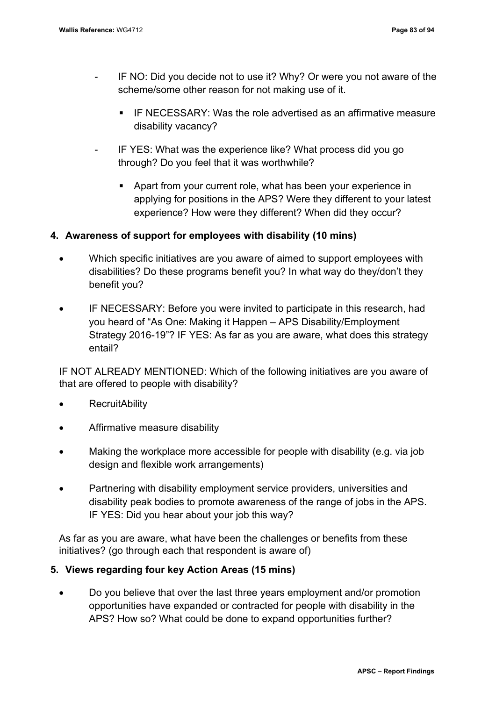- IF NO: Did you decide not to use it? Why? Or were you not aware of the scheme/some other reason for not making use of it.
	- IF NECESSARY: Was the role advertised as an affirmative measure disability vacancy?
- IF YES: What was the experience like? What process did you go through? Do you feel that it was worthwhile?
	- Apart from your current role, what has been your experience in applying for positions in the APS? Were they different to your latest experience? How were they different? When did they occur?

## **4. Awareness of support for employees with disability (10 mins)**

- Which specific initiatives are you aware of aimed to support employees with disabilities? Do these programs benefit you? In what way do they/don't they benefit you?
- IF NECESSARY: Before you were invited to participate in this research, had you heard of "As One: Making it Happen – APS Disability/Employment Strategy 2016-19"? IF YES: As far as you are aware, what does this strategy entail?

IF NOT ALREADY MENTIONED: Which of the following initiatives are you aware of that are offered to people with disability?

- **RecruitAbility**
- Affirmative measure disability
- Making the workplace more accessible for people with disability (e.g. via job design and flexible work arrangements)
- Partnering with disability employment service providers, universities and disability peak bodies to promote awareness of the range of jobs in the APS. IF YES: Did you hear about your job this way?

As far as you are aware, what have been the challenges or benefits from these initiatives? (go through each that respondent is aware of)

## **5. Views regarding four key Action Areas (15 mins)**

• Do you believe that over the last three years employment and/or promotion opportunities have expanded or contracted for people with disability in the APS? How so? What could be done to expand opportunities further?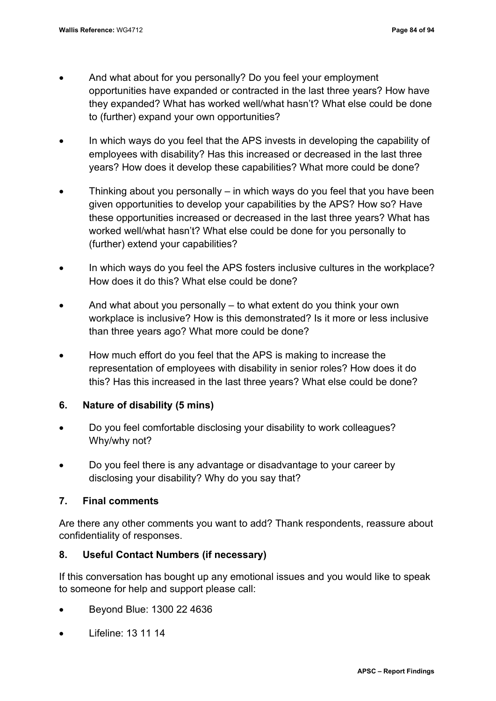- And what about for you personally? Do you feel your employment opportunities have expanded or contracted in the last three years? How have they expanded? What has worked well/what hasn't? What else could be done to (further) expand your own opportunities?
- In which ways do you feel that the APS invests in developing the capability of employees with disability? Has this increased or decreased in the last three years? How does it develop these capabilities? What more could be done?
- Thinking about you personally  $-$  in which ways do you feel that you have been given opportunities to develop your capabilities by the APS? How so? Have these opportunities increased or decreased in the last three years? What has worked well/what hasn't? What else could be done for you personally to (further) extend your capabilities?
- In which ways do you feel the APS fosters inclusive cultures in the workplace? How does it do this? What else could be done?
- And what about you personally to what extent do you think your own workplace is inclusive? How is this demonstrated? Is it more or less inclusive than three years ago? What more could be done?
- How much effort do you feel that the APS is making to increase the representation of employees with disability in senior roles? How does it do this? Has this increased in the last three years? What else could be done?

## **6. Nature of disability (5 mins)**

- Do you feel comfortable disclosing your disability to work colleagues? Why/why not?
- Do you feel there is any advantage or disadvantage to your career by disclosing your disability? Why do you say that?

## **7. Final comments**

Are there any other comments you want to add? Thank respondents, reassure about confidentiality of responses.

## **8. Useful Contact Numbers (if necessary)**

If this conversation has bought up any emotional issues and you would like to speak to someone for help and support please call:

- Beyond Blue: 1300 22 4636
- Lifeline: 13 11 14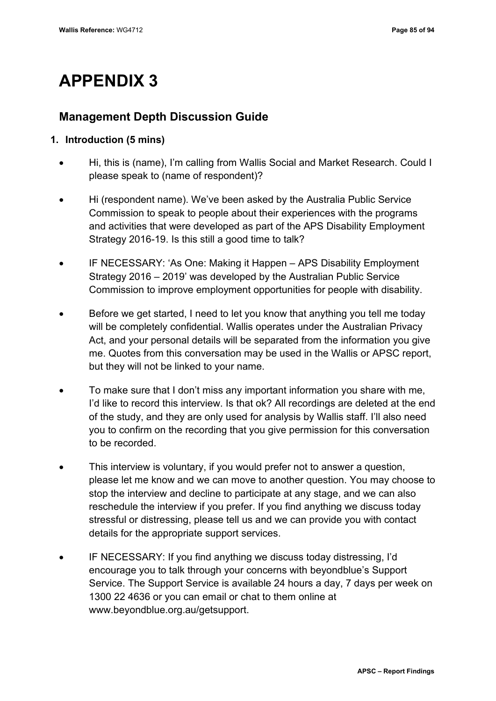## **APPENDIX 3**

## **Management Depth Discussion Guide**

## **1. Introduction (5 mins)**

- Hi, this is (name), I'm calling from Wallis Social and Market Research. Could I please speak to (name of respondent)?
- Hi (respondent name). We've been asked by the Australia Public Service Commission to speak to people about their experiences with the programs and activities that were developed as part of the APS Disability Employment Strategy 2016-19. Is this still a good time to talk?
- IF NECESSARY: 'As One: Making it Happen APS Disability Employment Strategy 2016 – 2019' was developed by the Australian Public Service Commission to improve employment opportunities for people with disability.
- Before we get started, I need to let you know that anything you tell me today will be completely confidential. Wallis operates under the Australian Privacy Act, and your personal details will be separated from the information you give me. Quotes from this conversation may be used in the Wallis or APSC report, but they will not be linked to your name.
- To make sure that I don't miss any important information you share with me, I'd like to record this interview. Is that ok? All recordings are deleted at the end of the study, and they are only used for analysis by Wallis staff. I'll also need you to confirm on the recording that you give permission for this conversation to be recorded.
- This interview is voluntary, if you would prefer not to answer a question, please let me know and we can move to another question. You may choose to stop the interview and decline to participate at any stage, and we can also reschedule the interview if you prefer. If you find anything we discuss today stressful or distressing, please tell us and we can provide you with contact details for the appropriate support services.
- IF NECESSARY: If you find anything we discuss today distressing, I'd encourage you to talk through your concerns with beyondblue's Support Service. The Support Service is available 24 hours a day, 7 days per week on 1300 22 4636 or you can email or chat to them online at www.beyondblue.org.au/getsupport.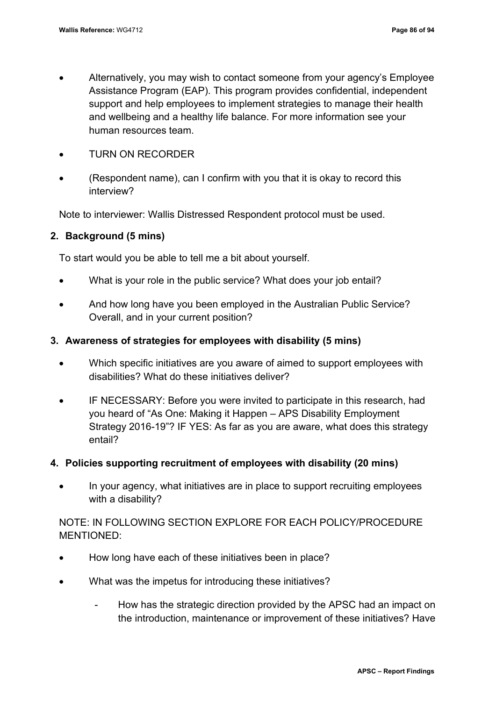- Alternatively, you may wish to contact someone from your agency's Employee Assistance Program (EAP). This program provides confidential, independent support and help employees to implement strategies to manage their health and wellbeing and a healthy life balance. For more information see your human resources team.
- TURN ON RECORDER
- (Respondent name), can I confirm with you that it is okay to record this interview?

Note to interviewer: Wallis Distressed Respondent protocol must be used.

## **2. Background (5 mins)**

To start would you be able to tell me a bit about yourself.

- What is your role in the public service? What does your job entail?
- And how long have you been employed in the Australian Public Service? Overall, and in your current position?

### **3. Awareness of strategies for employees with disability (5 mins)**

- Which specific initiatives are you aware of aimed to support employees with disabilities? What do these initiatives deliver?
- IF NECESSARY: Before you were invited to participate in this research, had you heard of "As One: Making it Happen – APS Disability Employment Strategy 2016-19"? IF YES: As far as you are aware, what does this strategy entail?

#### **4. Policies supporting recruitment of employees with disability (20 mins)**

• In your agency, what initiatives are in place to support recruiting employees with a disability?

NOTE: IN FOLLOWING SECTION EXPLORE FOR EACH POLICY/PROCEDURE MENTIONED:

- How long have each of these initiatives been in place?
- What was the impetus for introducing these initiatives?
	- How has the strategic direction provided by the APSC had an impact on the introduction, maintenance or improvement of these initiatives? Have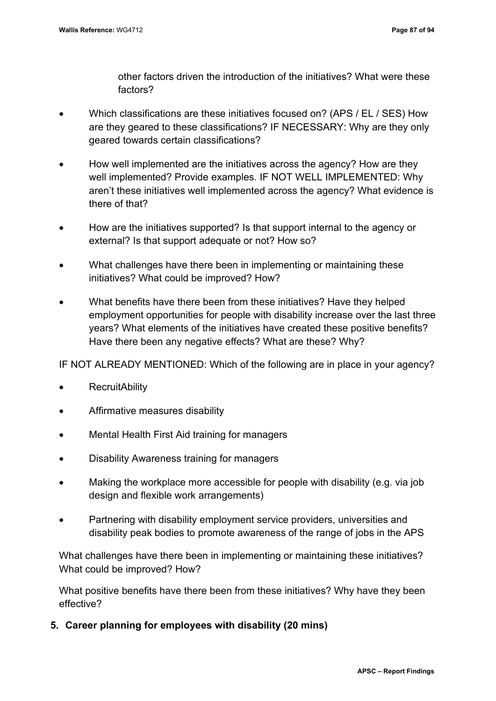other factors driven the introduction of the initiatives? What were these factors?

- Which classifications are these initiatives focused on? (APS / EL / SES) How are they geared to these classifications? IF NECESSARY: Why are they only geared towards certain classifications?
- How well implemented are the initiatives across the agency? How are they well implemented? Provide examples. IF NOT WELL IMPLEMENTED: Why aren't these initiatives well implemented across the agency? What evidence is there of that?
- How are the initiatives supported? Is that support internal to the agency or external? Is that support adequate or not? How so?
- What challenges have there been in implementing or maintaining these initiatives? What could be improved? How?
- What benefits have there been from these initiatives? Have they helped employment opportunities for people with disability increase over the last three years? What elements of the initiatives have created these positive benefits? Have there been any negative effects? What are these? Why?

IF NOT ALREADY MENTIONED: Which of the following are in place in your agency?

- **RecruitAbility**
- Affirmative measures disability
- Mental Health First Aid training for managers
- Disability Awareness training for managers
- Making the workplace more accessible for people with disability (e.g. via job design and flexible work arrangements)
- Partnering with disability employment service providers, universities and disability peak bodies to promote awareness of the range of jobs in the APS

What challenges have there been in implementing or maintaining these initiatives? What could be improved? How?

What positive benefits have there been from these initiatives? Why have they been effective?

**5. Career planning for employees with disability (20 mins)**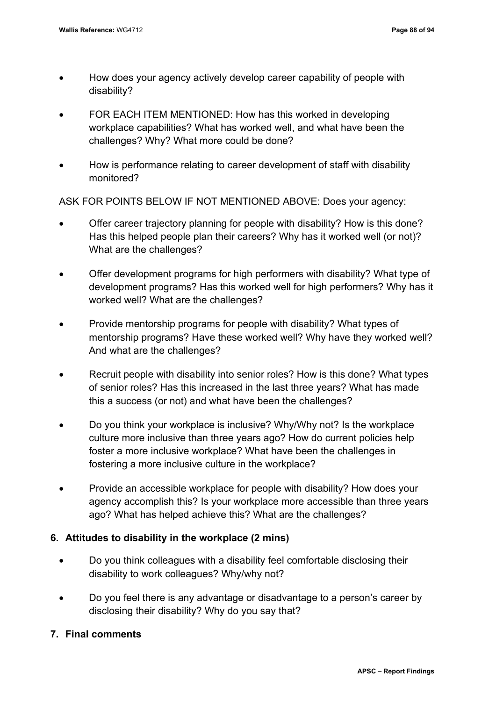- How does your agency actively develop career capability of people with disability?
- FOR EACH ITEM MENTIONED: How has this worked in developing workplace capabilities? What has worked well, and what have been the challenges? Why? What more could be done?
- How is performance relating to career development of staff with disability monitored?

ASK FOR POINTS BELOW IF NOT MENTIONED ABOVE: Does your agency:

- Offer career trajectory planning for people with disability? How is this done? Has this helped people plan their careers? Why has it worked well (or not)? What are the challenges?
- Offer development programs for high performers with disability? What type of development programs? Has this worked well for high performers? Why has it worked well? What are the challenges?
- Provide mentorship programs for people with disability? What types of mentorship programs? Have these worked well? Why have they worked well? And what are the challenges?
- Recruit people with disability into senior roles? How is this done? What types of senior roles? Has this increased in the last three years? What has made this a success (or not) and what have been the challenges?
- Do you think your workplace is inclusive? Why/Why not? Is the workplace culture more inclusive than three years ago? How do current policies help foster a more inclusive workplace? What have been the challenges in fostering a more inclusive culture in the workplace?
- Provide an accessible workplace for people with disability? How does your agency accomplish this? Is your workplace more accessible than three years ago? What has helped achieve this? What are the challenges?

## **6. Attitudes to disability in the workplace (2 mins)**

- Do you think colleagues with a disability feel comfortable disclosing their disability to work colleagues? Why/why not?
- Do you feel there is any advantage or disadvantage to a person's career by disclosing their disability? Why do you say that?
- **7. Final comments**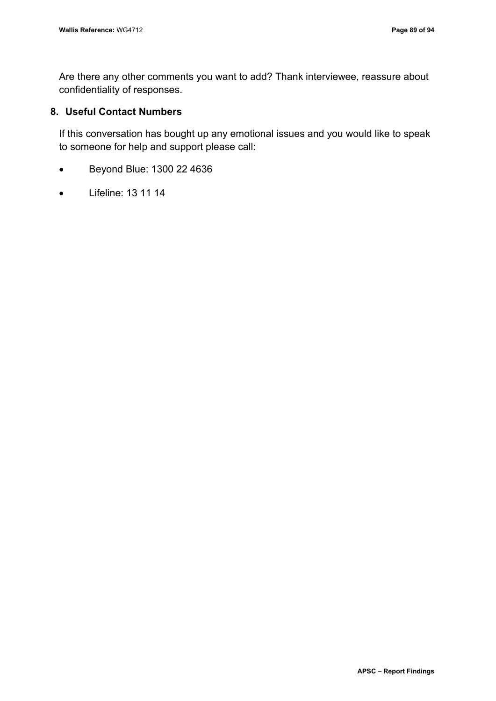Are there any other comments you want to add? Thank interviewee, reassure about confidentiality of responses.

### **8. Useful Contact Numbers**

If this conversation has bought up any emotional issues and you would like to speak to someone for help and support please call:

- Beyond Blue: 1300 22 4636
- Lifeline: 13 11 14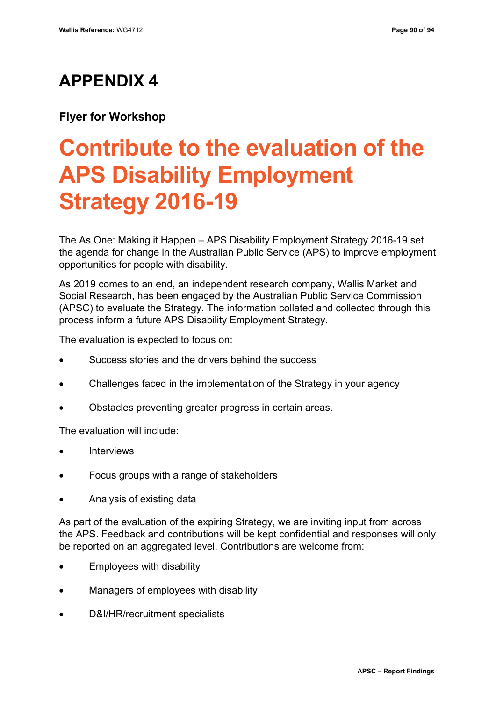## **APPENDIX 4**

## **Flyer for Workshop**

# **Contribute to the evaluation of the APS Disability Employment Strategy 2016-19**

The As One: Making it Happen – APS Disability Employment Strategy 2016-19 set the agenda for change in the Australian Public Service (APS) to improve employment opportunities for people with disability.

As 2019 comes to an end, an independent research company, Wallis Market and Social Research, has been engaged by the Australian Public Service Commission (APSC) to evaluate the Strategy. The information collated and collected through this process inform a future APS Disability Employment Strategy.

The evaluation is expected to focus on:

- Success stories and the drivers behind the success
- Challenges faced in the implementation of the Strategy in your agency
- Obstacles preventing greater progress in certain areas.

The evaluation will include:

- **Interviews**
- Focus groups with a range of stakeholders
- Analysis of existing data

As part of the evaluation of the expiring Strategy, we are inviting input from across the APS. Feedback and contributions will be kept confidential and responses will only be reported on an aggregated level. Contributions are welcome from:

- Employees with disability
- Managers of employees with disability
- D&I/HR/recruitment specialists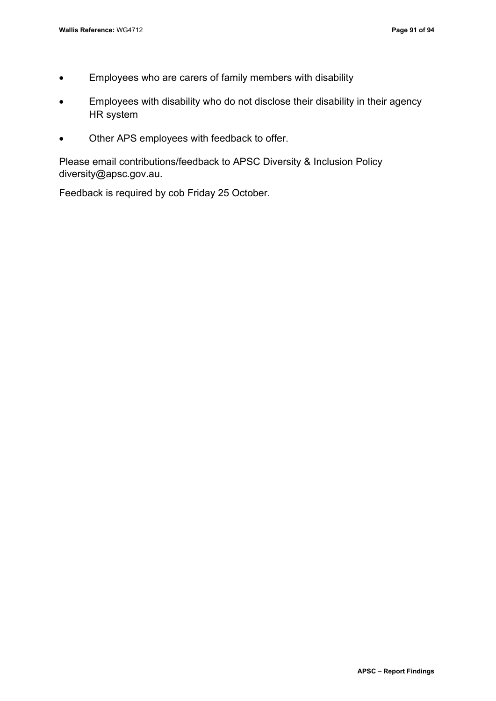- Employees who are carers of family members with disability
- Employees with disability who do not disclose their disability in their agency HR system
- Other APS employees with feedback to offer.

Please email contributions/feedback to APSC Diversity & Inclusion Policy diversity@apsc.gov.au.

Feedback is required by cob Friday 25 October.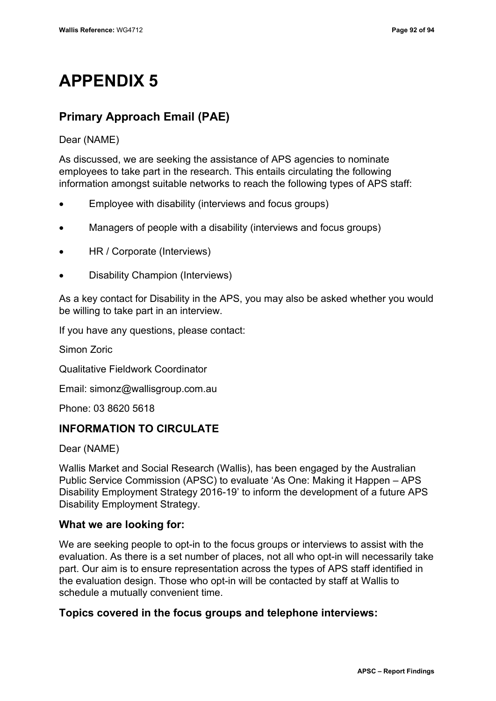## **APPENDIX 5**

## **Primary Approach Email (PAE)**

Dear (NAME)

As discussed, we are seeking the assistance of APS agencies to nominate employees to take part in the research. This entails circulating the following information amongst suitable networks to reach the following types of APS staff:

- Employee with disability (interviews and focus groups)
- Managers of people with a disability (interviews and focus groups)
- HR / Corporate (Interviews)
- Disability Champion (Interviews)

As a key contact for Disability in the APS, you may also be asked whether you would be willing to take part in an interview.

If you have any questions, please contact:

Simon Zoric

Qualitative Fieldwork Coordinator

Email: simonz@wallisgroup.com.au

Phone: 03 8620 5618

## **INFORMATION TO CIRCULATE**

Dear (NAME)

Wallis Market and Social Research (Wallis), has been engaged by the Australian Public Service Commission (APSC) to evaluate 'As One: Making it Happen – APS Disability Employment Strategy 2016-19' to inform the development of a future APS Disability Employment Strategy.

## **What we are looking for:**

We are seeking people to opt-in to the focus groups or interviews to assist with the evaluation. As there is a set number of places, not all who opt-in will necessarily take part. Our aim is to ensure representation across the types of APS staff identified in the evaluation design. Those who opt-in will be contacted by staff at Wallis to schedule a mutually convenient time.

## **Topics covered in the focus groups and telephone interviews:**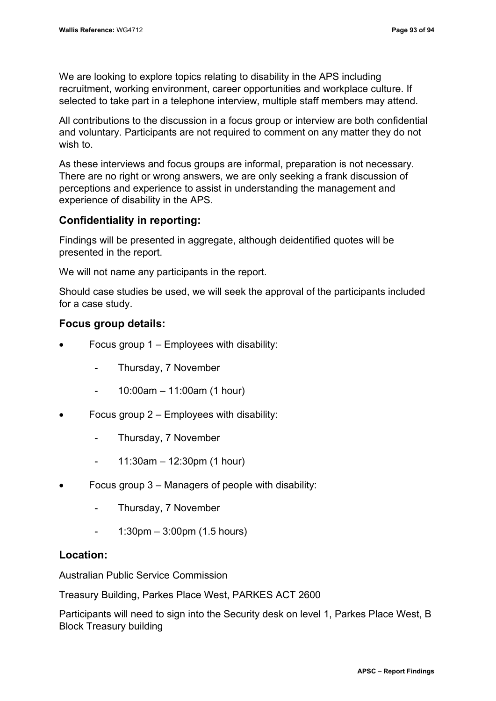We are looking to explore topics relating to disability in the APS including recruitment, working environment, career opportunities and workplace culture. If selected to take part in a telephone interview, multiple staff members may attend.

All contributions to the discussion in a focus group or interview are both confidential and voluntary. Participants are not required to comment on any matter they do not wish to.

As these interviews and focus groups are informal, preparation is not necessary. There are no right or wrong answers, we are only seeking a frank discussion of perceptions and experience to assist in understanding the management and experience of disability in the APS.

## **Confidentiality in reporting:**

Findings will be presented in aggregate, although deidentified quotes will be presented in the report.

We will not name any participants in the report.

Should case studies be used, we will seek the approval of the participants included for a case study.

## **Focus group details:**

- Focus group  $1 -$  Employees with disability:
	- Thursday, 7 November
	- 10:00am 11:00am (1 hour)
- Focus group  $2 -$  Employees with disability:
	- Thursday, 7 November
	- $-$  11:30am  $-$  12:30pm (1 hour)
- Focus group  $3$  Managers of people with disability:
	- Thursday, 7 November
	- $1:30$ pm  $3:00$ pm (1.5 hours)

## **Location:**

Australian Public Service Commission

Treasury Building, Parkes Place West, PARKES ACT 2600

Participants will need to sign into the Security desk on level 1, Parkes Place West, B Block Treasury building